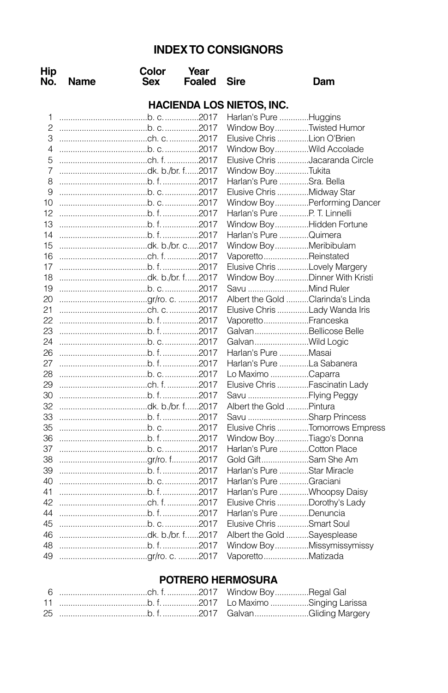# **INDEXTO CONSIGNORS**

| Hip<br>No.     | Name                             | Color<br>Sex | Year<br><b>Foaled</b> | Sire                         | Dam                              |  |  |
|----------------|----------------------------------|--------------|-----------------------|------------------------------|----------------------------------|--|--|
|                | <b>HACIENDA LOS NIETOS, INC.</b> |              |                       |                              |                                  |  |  |
| 1              |                                  |              |                       | Harlan's Pure Huggins        |                                  |  |  |
| $\overline{c}$ |                                  |              |                       |                              | Window BoyTwisted Humor          |  |  |
| 3              |                                  |              |                       | Elusive Chris Lion O'Brien   |                                  |  |  |
| 4              |                                  |              |                       |                              | Window BoyWild Accolade          |  |  |
| 5              |                                  |              |                       |                              | Elusive Chris Jacaranda Circle   |  |  |
| 7              | dk. b./br. f2017                 |              |                       | Window BoyTukita             |                                  |  |  |
| 8              |                                  |              |                       | Harlan's Pure Sra. Bella     |                                  |  |  |
| 9              |                                  |              |                       | Elusive Chris Midway Star    |                                  |  |  |
| 10             |                                  |              |                       |                              | Window BoyPerforming Dancer      |  |  |
| 12             |                                  |              |                       | Harlan's Pure P. T. Linnelli |                                  |  |  |
| 13             |                                  |              |                       |                              | Window BoyHidden Fortune         |  |  |
| 14             |                                  |              |                       | Harlan's Pure Quimera        |                                  |  |  |
| 15             | dk. b./br. c2017                 |              |                       | Window BoyMeribibulam        |                                  |  |  |
| 16             |                                  |              |                       | VaporettoReinstated          |                                  |  |  |
| 17             |                                  |              |                       |                              | Elusive Chris Lovely Margery     |  |  |
| 18             | dk. b./br. f2017                 |              |                       |                              | Window BoyDinner With Kristi     |  |  |
| 19             |                                  |              |                       |                              |                                  |  |  |
| 20             |                                  |              |                       |                              | Albert the Gold Clarinda's Linda |  |  |
| 21             |                                  |              |                       |                              | Elusive Chris Lady Wanda Iris    |  |  |
| 22             |                                  |              |                       | VaporettoFranceska           |                                  |  |  |
| 23             |                                  |              |                       |                              | GalvanBellicose Belle            |  |  |
| 24             |                                  |              |                       | GalvanWild Logic             |                                  |  |  |
| 26             |                                  |              |                       | Harlan's Pure Masai          |                                  |  |  |
| 27             |                                  |              |                       | Harlan's Pure La Sabanera    |                                  |  |  |
| 28             |                                  |              |                       | Lo Maximo Caparra            |                                  |  |  |
| 29             |                                  |              |                       |                              | Elusive Chris Fascinatin Lady    |  |  |
| 30             |                                  |              |                       | Savu Flying Peggy            |                                  |  |  |
| 32             | dk. b./br. f2017                 |              |                       | Albert the Gold Pintura      |                                  |  |  |
| 33             |                                  |              |                       |                              | Savu Sharp Princess              |  |  |
| 35             |                                  |              |                       |                              | Elusive Chris Tomorrows Empress  |  |  |
| 36             |                                  |              |                       |                              | Window BoyTiago's Donna          |  |  |
| 37             |                                  |              |                       | Harlan's Pure Cotton Place   |                                  |  |  |
| 38             |                                  |              |                       | Gold GiftSam She Am          |                                  |  |  |
| 39             |                                  |              |                       | Harlan's Pure Star Miracle   |                                  |  |  |
| 40             |                                  |              |                       | Harlan's Pure Graciani       |                                  |  |  |
| 41             |                                  |              |                       |                              | Harlan's Pure Whoopsy Daisy      |  |  |
| 42             |                                  |              |                       |                              | Elusive Chris Dorothy's Lady     |  |  |
| 44             |                                  |              |                       | Harlan's Pure Denuncia       |                                  |  |  |
| 45             |                                  |              |                       | Elusive Chris Smart Soul     |                                  |  |  |
| 46             | dk. b./br. f2017                 |              |                       | Albert the Gold Sayesplease  |                                  |  |  |
| 48             |                                  |              |                       |                              | Window BoyMissymissymissy        |  |  |
| 49             |                                  |              |                       | VaporettoMatizada            |                                  |  |  |

## **POTRERO HERMOSURA**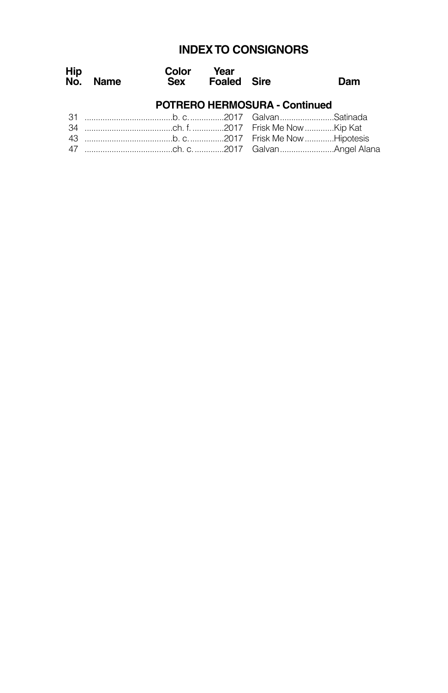# **INDEXTO CONSIGNORS**

| Hip | No. Name | Color Year<br>Sex Foaled Sire |                                                                                                                                                                                                                                                                                                                                   | Dam |
|-----|----------|-------------------------------|-----------------------------------------------------------------------------------------------------------------------------------------------------------------------------------------------------------------------------------------------------------------------------------------------------------------------------------|-----|
|     |          |                               | <b>POTRERO HERMOSURA - Continued</b>                                                                                                                                                                                                                                                                                              |     |
|     |          |                               |                                                                                                                                                                                                                                                                                                                                   |     |
|     |          |                               |                                                                                                                                                                                                                                                                                                                                   |     |
|     |          |                               | $\overline{A}$ and the state $\overline{A}$ and $\overline{A}$ and $\overline{A}$ and $\overline{A}$ and $\overline{A}$ and $\overline{A}$ and $\overline{A}$ and $\overline{A}$ and $\overline{A}$ and $\overline{A}$ and $\overline{A}$ and $\overline{A}$ and $\overline{A}$ and $\overline{A}$ and $\overline{A}$ and $\over$ |     |

43 .......................................b. c................2017 Frisk Me Now.............Hipotesis 47 .......................................ch. c..............2017 Galvan........................Angel Alana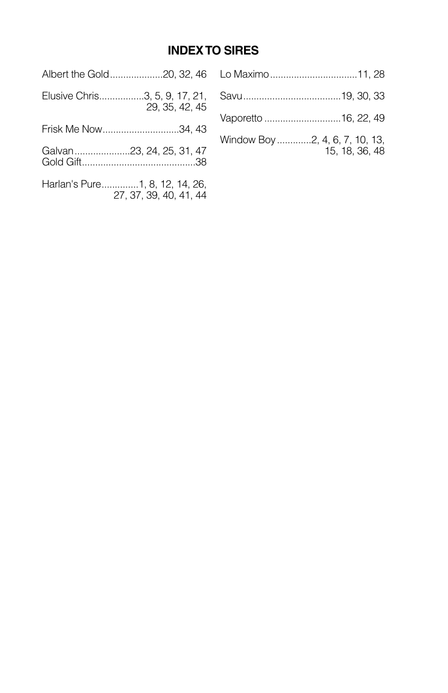# **INDEXTO SIRES**

|                                                          | Albert the Gold20, 32, 46   Lo Maximo11, 28      |
|----------------------------------------------------------|--------------------------------------------------|
| 29, 35, 42, 45                                           |                                                  |
| Frisk Me Now34, 43                                       |                                                  |
| Galvan 23, 24, 25, 31, 47                                | Window Boy 2, 4, 6, 7, 10, 13,<br>15, 18, 36, 48 |
| Harlan's Pure1, 8, 12, 14, 26,<br>27, 37, 39, 40, 41, 44 |                                                  |
|                                                          |                                                  |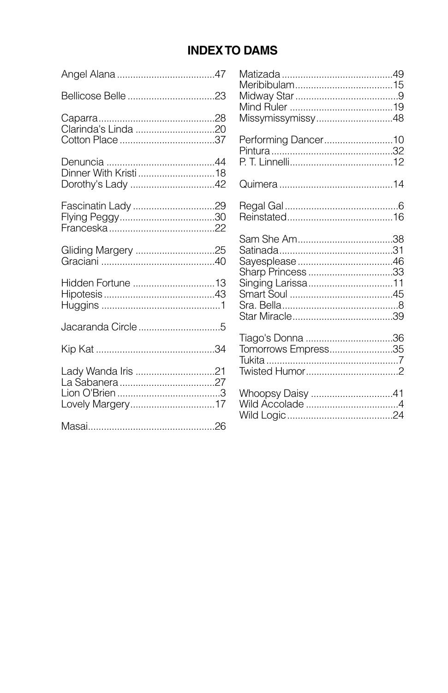# **INDEX TO DAMS**

| Clarinda's Linda 20                    |  |
|----------------------------------------|--|
| Dinner With Kristi 18                  |  |
|                                        |  |
| Gliding Margery 25                     |  |
| Hidden Fortune 13                      |  |
|                                        |  |
|                                        |  |
| Lady Wanda Iris 21<br>Lovely Margery17 |  |
|                                        |  |

| Performing Dancer10 |  |
|---------------------|--|
|                     |  |
|                     |  |
| Sharp Princess 33   |  |
| Tomorrows Empress35 |  |
| Whoopsy Daisy 41    |  |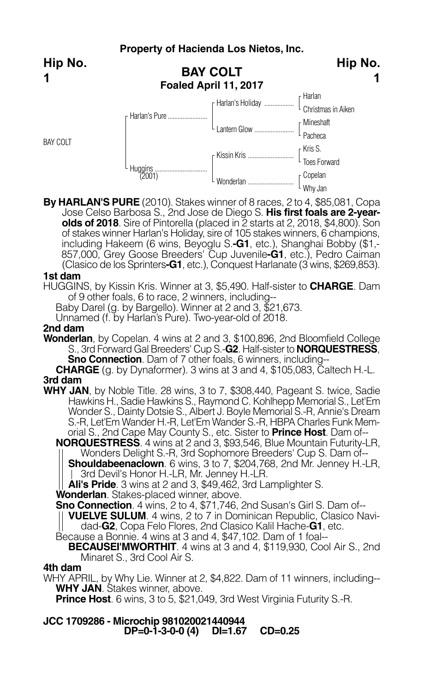**BAY COLT Foaled April 11, 2017** Harlan Christmas in Aiken Mineshaft L <sub>Pacheca</sub> Kris S. Toes Forward Kissin Kris ............................ Copelan F Harlan's Holiday ........ L Lantern Glow ......................... r Harlan's Pure....... Huggins................................ (2001) BAY COLT **Hip No.**

**By HARLAN'S PURE** (2010). Stakes winner of 8 races, 2 to 4, \$85,081, Copa Jose Celso Barbosa S., 2nd Jose de Diego S. **His first foals are 2-yearolds of 2018**. Sire of Pintorella (placed in 2 starts at 2, 2018, \$4,800). Son of stakes winner Harlan's Holiday, sire of 105 stakes winners, 6 champions, including Hakeem (6 wins, Beyoglu S.**-G1**, etc.), Shanghai Bobby (\$1,- 857,000, Grey Goose Breeders' Cup Juvenile**-G1**, etc.), Pedro Caiman (Clasico de los Sprinters**-G1**, etc.), Conquest Harlanate (3 wins, \$269,853).

Wonderlan ............................

Why Jan

**Hip No.**

**1**

## **1st dam**

**1**

HUGGINS, by Kissin Kris. Winner at 3, \$5,490. Half-sister to **CHARGE**. Dam of 9 other foals, 6 to race, 2 winners, including--

Baby Darel (g. by Bargello). Winner at 2 and 3, \$21,673.

Unnamed (f. by Harlan's Pure). Two-year-old of 2018.

## **2nd dam**

**Wonderlan**, by Copelan. 4 wins at 2 and 3, \$100,896, 2nd Bloomfield College S., 3rd Forward Gal Breeders' Cup S.-**G2**. Half-sister to **NORQUESTRESS**,

**Sno Connection**. Dam of 7 other foals, 6 winners, including--

**CHARGE** (g. by Dynaformer). 3 wins at 3 and 4, \$105,083, Caltech H.-L. **3rd dam**

**WHY JAN**, by Noble Title. 28 wins, 3 to 7, \$308,440, Pageant S. twice, Sadie Hawkins H., Sadie Hawkins S., Raymond C. Kohlhepp Memorial S., Let'Em Wonder S., Dainty Dotsie S., Albert J. Boyle Memorial S.-R, Annie's Dream S.-R, Let'Em Wander H.-R, Let'Em Wander S.-R, HBPA Charles Funk Memorial S., 2nd Cape May County S., etc. Sister to **Prince Host**. Dam of--

**NORQUESTRESS**. 4 wins at 2 and 3, \$93,546, Blue Mountain Futurity-LR, Wonders Delight S.-R, 3rd Sophomore Breeders' Cup S. Dam of--

**Shouldabeenaclown**. 6 wins, 3 to 7, \$204,768, 2nd Mr. Jenney H.-LR, 3rd Devil's Honor H.-LR, Mr. Jenney H.-LR.

**Ali's Pride**. <sup>3</sup> wins at <sup>2</sup> and 3, \$49,462, 3rd Lamplighter S. **Wonderlan**. Stakes-placed winner, above.

**Sno Connection**. 4 wins, 2 to 4, \$71,746, 2nd Susan's Girl S. Dam of--

**VUELVE SULUM**. <sup>4</sup> wins, <sup>2</sup> to <sup>7</sup> in Dominican Republic, Clasico Navi- dad-**G2**, Copa Felo Flores, 2nd Clasico Kalil Hache-**G1**, etc.

Because a Bonnie. 4 wins at 3 and 4, \$47,102. Dam of 1 foal--

## **BECAUSEI'MWORTHIT**. 4 wins at 3 and 4, \$119,930, Cool Air S., 2nd Minaret S., 3rd Cool Air S.

### **4th dam**

WHY APRIL, by Why Lie. Winner at 2, \$4,822. Dam of 11 winners, including-- **WHY JAN**. Stakes winner, above.

**Prince Host**. 6 wins, 3 to 5, \$21,049, 3rd West Virginia Futurity S.-R.

**JCC 1709286 - Microchip 981020021440944 DP=0-1-3-0-0 (4) DI=1.67 CD=0.25**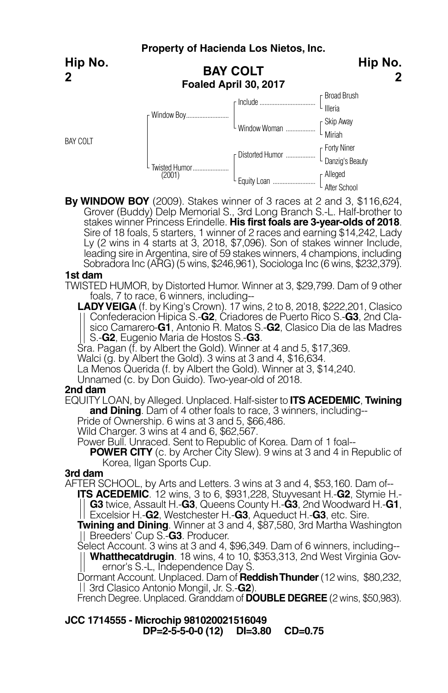**Property of Hacienda Los Nietos, Inc. BAY COLT Foaled April 30, 2017** Broad Brush L <sub>Illeria</sub> Skip Away Miriah Window Woman .................. Forty Niner Danzig's Beauty Distorted Humor .................. Alleged After School Include.................................. L Equity Loan ............................ r Window Boy.... Twisted Humor...................... (2001) BAY COLT **Hip No. 2 Hip No. 2**

**By WINDOW BOY** (2009). Stakes winner of 3 races at 2 and 3, \$116,624, Grover (Buddy) Delp Memorial S., 3rd Long Branch S.-L. Half-brother to stakes winner Princess Erindelle. **His first foals are 3-year-olds of 2018**. Sire of 18 foals, 5 starters, 1 winner of 2 races and earning \$14,242, Lady Ly (2 wins in 4 starts at 3, 2018, \$7,096). Son of stakes winner Include, leading sire in Argentina, sire of 59 stakes winners, 4 champions, including Sobradora Inc (ARG) (5 wins, \$246,961), Sociologa Inc (6 wins, \$232,379).

### **1st dam**

TWISTED HUMOR, by Distorted Humor. Winner at 3, \$29,799. Dam of 9 other foals, 7 to race, 6 winners, including--

**LADY VEIGA** (f. by King's Crown). 17 wins, 2 to 8, 2018, \$222,201, Clasico Confederacion Hipica S.-**G2**, Criadores de Puerto Rico S.-**G3**, 2nd Clasico Camarero-**G1**, Antonio R. Matos S.-**G2**, Clasico Dia de las Madres S.-**G2**, Eugenio Maria de Hostos S.-**G3**.

Sra. Pagan (f. by Albert the Gold). Winner at 4 and 5, \$17,369.

Walci (g. by Albert the Gold). 3 wins at 3 and 4, \$16,634.

La Menos Querida (f. by Albert the Gold). Winner at 3, \$14,240.

Unnamed (c. by Don Guido). Two-year-old of 2018.

### **2nd dam**

EQUITY LOAN, by Alleged. Unplaced. Half-sister to **ITS ACEDEMIC**, **Twining and Dining**. Dam of <sup>4</sup> other foals to race, <sup>3</sup> winners, including-- Pride of Ownership. <sup>6</sup> wins at <sup>3</sup> and 5, \$66,486.

Wild Charger. 3 wins at 4 and 6, \$62,567.

Power Bull. Unraced. Sent to Republic of Korea. Dam of 1 foal--

**POWER CITY** (c. by Archer City Slew). 9 wins at 3 and 4 in Republic of Korea, Ilgan Sports Cup.

## **3rd dam**

AFTER SCHOOL, by Arts and Letters. 3 wins at 3 and 4, \$53,160. Dam of--

**ITS ACEDEMIC**. 12 wins, 3 to 6, \$931,228, Stuyvesant H.-**G2**, Stymie H.- **G3** twice, Assault H.-**G3**, Queens County H.-**G3**, 2nd Woodward H.-**G1**,

Excelsior H.-**G2**, Westchester H.-**G3**, Aqueduct H.-**G3**, etc. Sire.

**Twining and Dining**. Winner at 3 and 4, \$87,580, 3rd Martha Washington Breeders' Cup S.-**G3**. Producer.

Select Account. 3 wins at 3 and 4, \$96,349. Dam of 6 winners, including--

**Whatthecatdrugin**. 18 wins, 4 to 10, \$353,313, 2nd West Virginia Governor's S.-L, Independence Day S.

Dormant Account. Unplaced. Dam of **ReddishThunder**(12 wins, \$80,232, 3rd Clasico Antonio Mongil, Jr. S.-**G2**).

French Degree. Unplaced. Granddam of **DOUBLE DEGREE** (2 wins, \$50,983).

**JCC 1714555 - Microchip 981020021516049 DP=2-5-5-0-0 (12) DI=3.80 CD=0.75**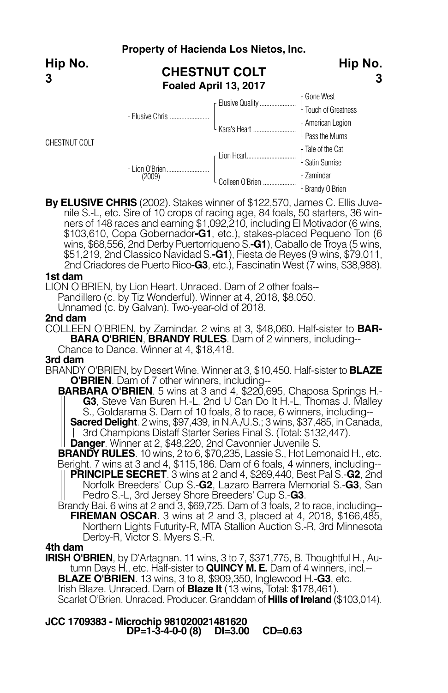

**By ELUSIVE CHRIS** (2002). Stakes winner of \$122,570, James C. Ellis Juvenile S.-L, etc. Sire of 10 crops of racing age, 84 foals, 50 starters, 36 winners of 148 races and earning \$1,092,210, including El Motivador (6 wins, \$103,610, Copa Gobernador**-G1**, etc.), stakes-placed Pequeno Ton (6 wins, \$68,556, 2nd Derby Puertorriqueno S.**-G1**), Caballo de Trova (5 wins, \$51,219, 2nd Classico Navidad S.**-G1**), Fiesta de Reyes (9 wins, \$79,011, 2nd Criadores de Puerto Rico**-G3**, etc.), Fascinatin West (7 wins, \$38,988).

## **1st dam**

LION O'BRIEN, by Lion Heart. Unraced. Dam of 2 other foals--

Pandillero (c. by Tiz Wonderful). Winner at 4, 2018, \$8,050.

Unnamed (c. by Galvan). Two-year-old of 2018.

## **2nd dam**

COLLEEN O'BRIEN, by Zamindar. 2 wins at 3, \$48,060. Half-sister to **BAR-BARA O'BRIEN**, **BRANDY RULES**. Dam of 2 winners, including--

Chance to Dance. Winner at 4, \$18,418.

## **3rd dam**

BRANDY O'BRIEN, by Desert Wine. Winner at 3, \$10,450. Half-sister to **BLAZE O'BRIEN**. Dam of 7 other winners, including--

**BARBARA O'BRIEN**. 5 wins at 3 and 4, \$220,695, Chaposa Springs H.- **G3**, Steve Van Buren H.-L, 2nd U Can Do It H.-L, Thomas J. Malley S., Goldarama S. Dam of 10 foals, 8 to race, 6 winners, including-- **Sacred Delight**. 2 wins, \$97,439, in N.A./U.S.; 3 wins, \$37,485, in Canada,

3rd Champions Distaff Starter Series Final S. (Total: \$132,447).

**Danger**. Winner at 2, \$48,220, 2nd Cavonnier Juvenile S.

**BRANDY RULES**. 10 wins, 2 to 6, \$70,235, Lassie S., Hot Lemonaid H., etc.

Beright. 7 wins at 3 and 4, \$115,186. Dam of 6 foals, 4 winners, including-- **PRINCIPLE SECRET**. 3 wins at 2 and 4, \$269,440, Best Pal S.-**G2**, 2nd Norfolk Breeders' Cup S.-**G2**, Lazaro Barrera Memorial S.-**G3**, San Pedro S.-L, 3rd Jersey Shore Breeders' Cup S.-**G3**.

Brandy Bai. 6 wins at 2 and 3, \$69,725. Dam of 3 foals, 2 to race, including--**FIREMAN OSCAR**. 3 wins at 2 and 3, placed at 4, 2018, \$166,485, Northern Lights Futurity-R, MTA Stallion Auction S.-R, 3rd Minnesota Derby-R, Victor S. Myers S.-R.

### **4th dam**

**IRISH O'BRIEN**, by D'Artagnan. 11 wins, 3 to 7, \$371,775, B. Thoughtful H., Autumn Days H., etc. Half-sister to **QUINCY M. E.** Dam of 4 winners, incl.-- **BLAZE O'BRIEN**. 13 wins, 3 to 8, \$909,350, Inglewood H.-**G3**, etc. Irish Blaze. Unraced. Dam of **Blaze It** (13 wins, Total: \$178,461). Scarlet O'Brien. Unraced. Producer. Granddam of **Hills of Ireland** (\$103,014).

**JCC 1709383 - Microchip 981020021481620 DP=1-3-4-0-0 (8) DI=3.00 CD=0.63**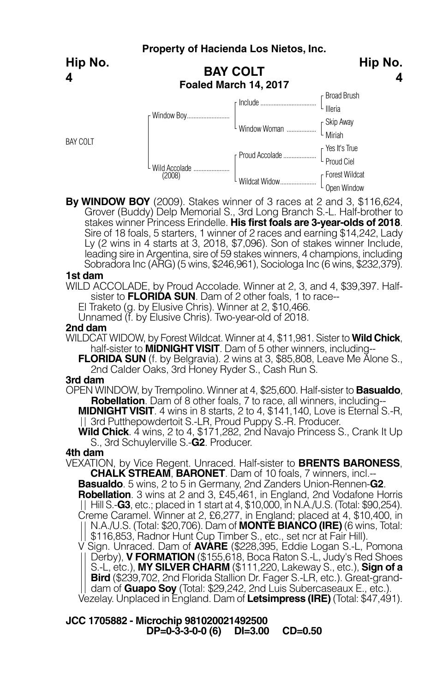**Hip No. 4**

BAY COLT



**4**

**By WINDOW BOY** (2009). Stakes winner of 3 races at 2 and 3, \$116,624, Grover (Buddy) Delp Memorial S., 3rd Long Branch S.-L. Half-brother to stakes winner Princess Erindelle. **His first foals are 3-year-olds of 2018**. Sire of 18 foals, 5 starters, 1 winner of 2 races and earning \$14,242, Lady Ly (2 wins in 4 starts at 3, 2018, \$7,096). Son of stakes winner Include, leading sire in Argentina, sire of 59 stakes winners, 4 champions, including Sobradora Inc (ARG) (5 wins, \$246,961), Sociologa Inc (6 wins, \$232,379).

#### **1st dam**

WILD ACCOLADE, by Proud Accolade. Winner at 2, 3, and 4, \$39,397. Halfsister to **FLORIDA SUN**. Dam of 2 other foals, 1 to race--

El Traketo (g. by Elusive Chris). Winner at 2, \$10,466.

Unnamed (f. by Elusive Chris). Two-year-old of 2018.

### **2nd dam**

- WILDCAT WIDOW, by Forest Wildcat. Winner at 4, \$11,981. Sister to **Wild Chick**, half-sister to **MIDNIGHT VISIT**. Dam of 5 other winners, including--
	- **FLORIDA SUN** (f. by Belgravia). 2 wins at 3, \$85,808, Leave Me Alone S., 2nd Calder Oaks, 3rd Honey Ryder S., Cash Run S.

### **3rd dam**

OPEN WINDOW, by Trempolino. Winner at 4, \$25,600. Half-sister to **Basualdo**, **Robellation**. Dam of 8 other foals, 7 to race, all winners, including-- **MIDNIGHT VISIT**. 4 wins in 8 starts, 2 to 4, \$141, 140, Love is Eternal S.-R,

3rd Putthepowdertoit S.-LR, Proud Puppy S.-R. Producer.

**Wild Chick**. 4 wins, 2 to 4, \$171,282, 2nd Navajo Princess S., Crank It Up S., 3rd Schuylerville S.-**G2**. Producer.

### **4th dam**

VEXATION, by Vice Regent. Unraced. Half-sister to **BRENTS BARONESS**, **Basualdo**. 5 wins, 2 to 5 in Germany, 2nd Zanders Union-Rennen-**G2**. **Robellation**. 3 wins at 2 and 3, £45,461, in England, 2nd Vodafone Horris Hill S.-**G3**, etc.; placed in <sup>1</sup> start at 4, \$10,000, in N.A./U.S. (Total: \$90,254). Creme Caramel. Winner at 2, £6,277, in England; placed at 4, \$10,400, in N.A./U.S. (Total: \$20,706). Dam of **MONTE BIANCO (IRE)** (6 wins, Total: V Sign. Unraced. Dam of **AVARE** (\$228,395, Eddie Logan S.-L, Pomona Derby), **V FORMATION** (\$155,618, Boca Raton S.-L, Judy's Red Shoes S.-L, etc.), **MY SILVER CHARM** (\$111,220, Lakeway S., etc.), **Sign of a**

**dam of Guapo Soy** (Total: \$29,242, 2nd Luis Subercaseaux E., etc.). Vezelay. Unplaced in England. Dam of **Letsimpress (IRE)** (Total: \$47,491).

**JCC 1705882 - Microchip 981020021492500 DP=0-3-3-0-0 (6) DI=3.00 CD=0.50**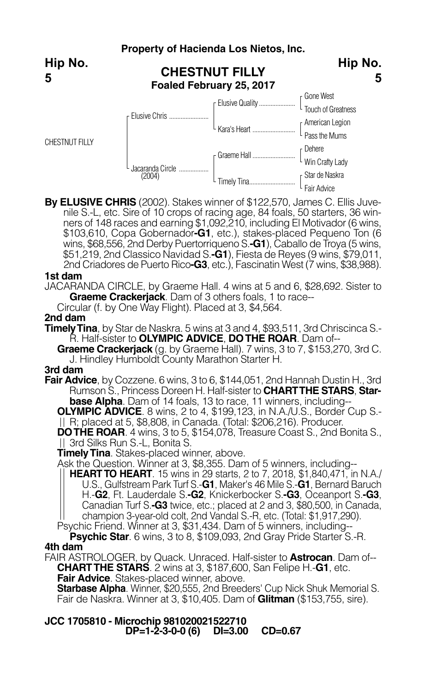

**By ELUSIVE CHRIS** (2002). Stakes winner of \$122,570, James C. Ellis Juvenile S.-L, etc. Sire of 10 crops of racing age, 84 foals, 50 starters, 36 winners of 148 races and earning \$1,092, 210, including El Motivador (6 wins, \$103,610, Copa Gobernador**-G1**, etc.), stakes-placed Pequeno Ton (6 wins, \$68,556, 2nd Derby Puertorriqueno S.**-G1**), Caballo de Troya (5 wins, \$51,219, 2nd Classico Navidad S.**-G1**), Fiesta de Reyes (9 wins, \$79,011, 2nd Criadores de Puerto Rico**-G3**, etc.), Fascinatin West (7 wins, \$38,988).

## **1st dam**

JACARANDA CIRCLE, by Graeme Hall. 4 wins at 5 and 6, \$28,692. Sister to **Graeme Crackerjack**. Dam of 3 others foals, 1 to race--

Circular (f. by One Way Flight). Placed at 3, \$4,564.

## **2nd dam**

**Timely Tina**, by Star de Naskra. 5 wins at 3 and 4, \$93,511, 3rd Chriscinca S.-R. Half-sister to **OLYMPIC ADVICE**, **DOTHE ROAR**. Dam of--

**Graeme Crackerjack** (g. by Graeme Hall). 7 wins, 3 to 7, \$153,270, 3rd C. J. Hindley Humboldt County Marathon Starter H.

## **3rd dam**

**Fair Advice**, by Cozzene. 6 wins, 3 to 6, \$144,051, 2nd Hannah Dustin H., 3rd Rumson S., Princess Doreen H. Half-sister to **CHARTTHE STARS**, **Starbase Alpha**. Dam of 14 foals, 13 to race, 11 winners, including--

**OLYMPIC ADVICE**. 8 wins, 2 to 4, \$199,123, in N.A./U.S., Border Cup S.- R; placed at 5, \$8,808, in Canada. (Total: \$206,216). Producer.

**DOTHE ROAR**. 4 wins, 3 to 5, \$154,078, Treasure Coast S., 2nd Bonita S., <br>|| 3rd Silks Run S.-L, Bonita S.

**Timely Tina**. Stakes-placed winner, above.

Ask the Question. Winner at 3, \$8,355. Dam of 5 winners, including--

**HEARTTO HEART**. 15 wins in 29 starts, 2 to 7, 2018, \$1,840,471, in N.A./ U.S., Gulfstream Park Turf S.-**G1**, Maker's 46 Mile S.-**G1**, Bernard Baruch H.-**G2**, Ft. Lauderdale S.**-G2**, Knickerbocker S.**-G3**, Oceanport S.**-G3**, Canadian Turf S.**-G3** twice, etc.; placed at 2 and 3, \$80,500, in Canada, champion 3-year-old colt, 2nd Vandal S.-R, etc. (Total: \$1,917,290).

Psychic Friend. Winner at 3, \$31,434. Dam of 5 winners, including-- **Psychic Star**. 6 wins, 3 to 8, \$109,093, 2nd Gray Pride Starter S.-R.

### **4th dam**

FAIR ASTROLOGER, by Quack. Unraced. Half-sister to **Astrocan**. Dam of-- **CHARTTHE STARS**. 2 wins at 3, \$187,600, San Felipe H.-**G1**, etc.

**Fair Advice**. Stakes-placed winner, above.

**Starbase Alpha**. Winner, \$20,555, 2nd Breeders' Cup Nick Shuk Memorial S. Fair de Naskra. Winner at 3, \$10,405. Dam of **Glitman** (\$153,755, sire).

**JCC 1705810 - Microchip 981020021522710 DP=1-2-3-0-0 (6) DI=3.00 CD=0.67**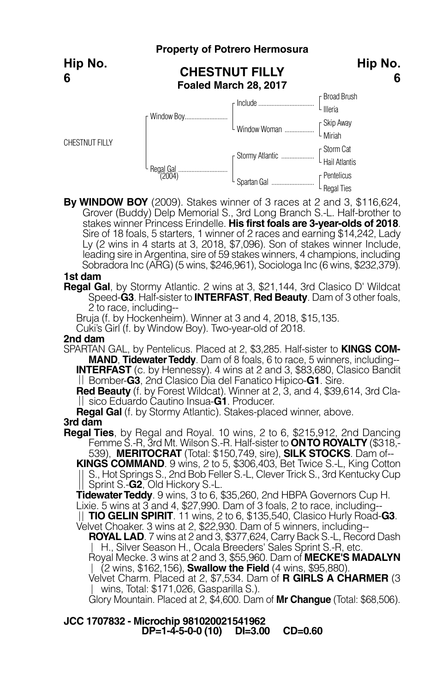|                       |                                                | <b>Property of Potrero Hermosura</b> |                                                                          |
|-----------------------|------------------------------------------------|--------------------------------------|--------------------------------------------------------------------------|
| Hip No.<br>6          | <b>CHESTNUT FILLY</b><br>Foaled March 28, 2017 | Hip No.                              |                                                                          |
|                       |                                                |                                      | r Broad Brush                                                            |
|                       |                                                |                                      | $\lfloor$ $\frac{1}{\text{  leria}}\rfloor$                              |
|                       |                                                | L Window Woman                       | $\left[\begin{array}{c} \text{Skip} \\ \text{Miriah} \end{array}\right]$ |
|                       |                                                |                                      |                                                                          |
| <b>CHESTNUT FILLY</b> |                                                |                                      |                                                                          |
|                       |                                                |                                      |                                                                          |
|                       | . Regal Gal<br>(2004)                          |                                      | r Pentelicus                                                             |
|                       |                                                |                                      | - Regal Ties                                                             |

**By WINDOW BOY** (2009). Stakes winner of 3 races at 2 and 3, \$116,624, Grover (Buddy) Delp Memorial S., 3rd Long Branch S.-L. Half-brother to stakes winner Princess Erindelle. **His first foals are 3-year-olds of 2018**. Sire of 18 foals, 5 starters, 1 winner of 2 races and earning \$14,242, Lady Ly (2 wins in 4 starts at 3, 2018, \$7,096). Son of stakes winner Include, leading sire in Argentina, sire of 59 stakes winners, 4 champions, including Sobradora Inc (ARG) (5 wins, \$246,961), Sociologa Inc (6 wins, \$232,379).

### **1st dam**

**Regal Gal**, by Stormy Atlantic. 2 wins at 3, \$21,144, 3rd Clasico D' Wildcat Speed-**G3**. Half-sister to **INTERFAST**, **Red Beauty**. Dam of 3 other foals, 2 to race, including--

Bruja (f. by Hockenheim). Winner at 3 and 4, 2018, \$15,135.

Cuki's Girl (f. by Window Boy). Two-year-old of 2018.

#### **2nd dam**

SPARTAN GAL, by Pentelicus. Placed at 2, \$3,285. Half-sister to **KINGS COM-MAND, Tidewater Teddy**. Dam of 8 foals, 6 to race, 5 winners, including--**INTERFAST** (c. by Hennessy). 4 wins at 2 and 3, \$83,680, Clasico Bandit

**Red Beauty** (f. by Forest Wildcat). Winner at 2, 3, and 4, \$39,614, 3rd Clasico Eduardo Cautino Insua-**G1**. Producer.

**Regal Gal** (f. by Stormy Atlantic). Stakes-placed winner, above.

#### **3rd dam**

**Regal Ties**, by Regal and Royal. 10 wins, 2 to 6, \$215,912, 2nd Dancing Femme S.-R, 3rd Mt. Wilson S.-R. Half-sister to **ONTO ROYALTY** (\$318,- 539), **MERITOCRAT** (Total: \$150,749, sire), **SILK STOCKS**. Dam of--

**KINGS COMMAND**. 9 wins, 2 to 5, \$306,403, Bet Twice S.-L, King Cotton S., Hot Springs S., 2nd Bob Feller S.-L, Clever Trick S., 3rd Kentucky Cup Sprint S.**-G2**, Old Hickory S.-L.

**TidewaterTeddy**. 9 wins, 3 to 6, \$35,260, 2nd HBPA Governors Cup H. Lixie. 5 wins at 3 and 4, \$27,990. Dam of 3 foals, 2 to race, including--

**TIO GELIN SPIRIT**. <sup>11</sup> wins, <sup>2</sup> to 6, \$135,540, Clasico Hurly Road-**G3**. Velvet Choaker. <sup>3</sup> wins at 2, \$22,930. Dam of <sup>5</sup> winners, including--

**ROYAL LAD**. 7 wins at 2 and 3, \$377,624, Carry Back S.-L, Record Dash H., Silver Season H., Ocala Breeders' Sales Sprint S.-R, etc.

Royal Mecke. 3 wins at 2 and 3, \$55,960. Dam of **MECKE'S MADALYN** (2 wins, \$162,156), **Swallow the Field** (4 wins, \$95,880).

Velvet Charm. Placed at 2, \$7,534. Dam of **R GIRLS A CHARMER** (3 wins, Total: \$171,026, Gasparilla S.).

Glory Mountain. Placed at 2, \$4,600. Dam of **Mr Changue** (Total: \$68,506).

**JCC 1707832 - Microchip 981020021541962 DP=1-4-5-0-0 (10) DI=3.00 CD=0.60**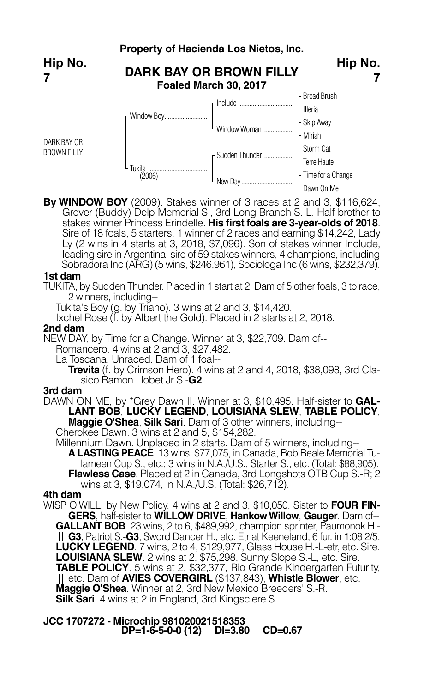

**By WINDOW BOY** (2009). Stakes winner of 3 races at 2 and 3, \$116,624, Grover (Buddy) Delp Memorial S., 3rd Long Branch S.-L. Half-brother to stakes winner Princess Erindelle. **His first foals are 3-year-olds of 2018**. Sire of 18 foals, 5 starters, 1 winner of 2 races and earning \$14,242, Lady Ly (2 wins in 4 starts at 3, 2018, \$7,096). Son of stakes winner Include, leading sire in Argentina, sire of 59 stakes winners, 4 champions, including Sobradora Inc (ARG) (5 wins, \$246,961), Sociologa Inc (6 wins, \$232,379).

Dawn On Me

#### **1st dam**

TUKITA, by Sudden Thunder. Placed in 1 start at 2. Dam of 5 other foals, 3 to race, 2 winners, including--

Tukita's Boy (g. by Triano). 3 wins at 2 and 3, \$14,420.

Ixchel Rose (f. by Albert the Gold). Placed in 2 starts at 2, 2018.

#### **2nd dam**

NEW DAY, by Time for a Change. Winner at 3, \$22,709. Dam of--

Romancero. 4 wins at 2 and 3, \$27,482.

La Toscana. Unraced. Dam of 1 foal--

**Trevita** (f. by Crimson Hero). <sup>4</sup> wins at <sup>2</sup> and 4, 2018, \$38,098, 3rd Cla- sico Ramon Llobet Jr S.-**G2**.

## **3rd dam**

DAWN ON ME, by \*Grey Dawn II. Winner at 3, \$10,495. Half-sister to **GAL-LANT BOB**, **LUCKY LEGEND**, **LOUISIANA SLEW**, **TABLE POLICY**, **Maggie O'Shea**, **Silk Sari**. Dam of 3 other winners, including--

Cherokee Dawn. 3 wins at 2 and 5, \$154,282.

Millennium Dawn. Unplaced in 2 starts. Dam of 5 winners, including--

**A LASTING PEACE**. 13 wins, \$77,075, in Canada, Bob Beale Memorial Tu-| Iameen Cup S., etc.; 3 wins in N.A./U.S., Starter S., etc. (Total: \$88,905). **Flawless Case**. Placed at 2 in Canada, 3rd Longshots OTB Cup S.-R; 2 wins at 3, \$19,074, in N.A./U.S. (Total: \$26,712).

### **4th dam**

WISP O'WILL, by New Policy. 4 wins at 2 and 3, \$10,050. Sister to **FOUR FIN-GERS**, half-sister to **WILLOW DRIVE**, **HankowWillow**, **Gauger**. Dam of-- **GALLANT BOB**. 23 wins, 2 to 6, \$489,992, champion sprinter, Paumonok H.- **G3**, Patriot S.-**G3**, Sword Dancer H., etc. Etr at Keeneland, 6 fur. in 1:08 2/5. **LUCKY LEGEND**. 7 wins, 2 to 4, \$129,977, Glass House H.-L-etr, etc. Sire. **LOUISIANA SLEW**. 2 wins at 2, \$75,298, Sunny Slope S.-L, etc. Sire. **TABLE POLICY**. 5 wins at 2, \$32,377, Rio Grande Kindergarten Futurity, etc. Dam of **AVIES COVERGIRL** (\$137,843), **Whistle Blower**, etc. **Maggie O'Shea**. Winner at 2, 3rd New Mexico Breeders' S.-R. **Silk Sari**. <sup>4</sup> wins at <sup>2</sup> in England, 3rd Kingsclere S.

**JCC 1707272 - Microchip 981020021518353 DP=1-6-5-0-0 (12) DI=3.80 CD=0.67**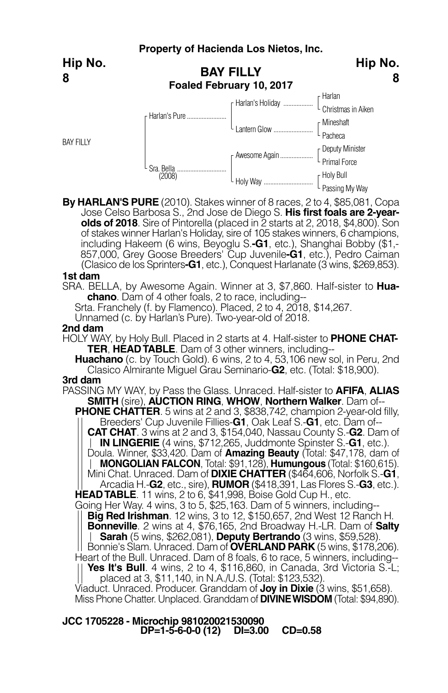**Property of Hacienda Los Nietos, Inc. BAY FILLY Foaled February 10, 2017** Harlan Christmas in Aiken Mineshaft Pacheca Deputy Minister L Primal Force Holy Bull F Harlan's Holiday ... Lantern Glow ..... F Awesome Again... Holy Way ... Harlan's Pure. Sra. Bella .............................. (2008) BAY FILLY **Hip No. 8 Hip No. 8**

**By HARLAN'S PURE** (2010). Stakes winner of 8 races, 2 to 4, \$85,081, Copa Jose Celso Barbosa S., 2nd Jose de Diego S. **His first foals are 2-yearolds of 2018**. Sire of Pintorella (placed in 2 starts at 2, 2018, \$4,800). Son of stakes winner Harlan's Holiday, sire of 105 stakes winners, 6 champions, including Hakeem (6 wins, Beyoglu S.**-G1**, etc.), Shanghai Bobby (\$1,- 857,000, Grey Goose Breeders' Cup Juvenile**-G1**, etc.), Pedro Caiman (Clasico de los Sprinters**-G1**, etc.), Conquest Harlanate (3 wins, \$269,853).

Passing My Way

#### **1st dam**

SRA. BELLA, by Awesome Again. Winner at 3, \$7,860. Half-sister to **Huachano**. Dam of 4 other foals, 2 to race, including--

Srta. Franchely (f. by Flamenco). Placed, 2 to 4, 2018, \$14,267.

Unnamed (c. by Harlan's Pure). Two-year-old of 2018.

#### **2nd dam**

HOLY WAY, by Holy Bull. Placed in 2 starts at 4. Half-sister to **PHONE CHAT-TER**, **HEADTABLE**. Dam of 3 other winners, including--

**Huachano** (c. by Touch Gold). 6 wins, 2 to 4, 53,106 new sol, in Peru, 2nd Clasico Almirante Miguel Grau Seminario-**G2**, etc. (Total: \$18,900).

## **3rd dam**

PASSING MY WAY, by Pass the Glass. Unraced. Half-sister to **AFIFA**, **ALIAS SMITH** (sire), **AUCTION RING**, **WHOW**, **NorthernWalker**. Dam of--

**PHONE CHATTER**. 5 wins at 2 and 3, \$838,742, champion 2-year-old filly, Breeders' Cup Juvenile Fillies-**G1**, Oak Leaf S.-**G1**, etc. Dam of--

**CAT CHAT**. 3 wins at 2 and 3, \$154,040, Nassau County S.-**G2**. Dam of **IN LINGERIE** (4 wins, \$712,265, Juddmonte Spinster S.-**G1**, etc.).

Doula. Winner, \$33,420. Dam of **Amazing Beauty** (Total: \$47,178, dam of **Mini Chat. Unraced. Dam of DIXIE CHATTER** (\$464,606, Norfolk S.-G1,

Arcadia H.-**G2**, etc., sire), **RUMOR** (\$418,391, Las Flores S.-**G3**, etc.).

Going Her Way. 4 wins, 3 to 5, \$25,163. Dam of 5 winners, including--<br>|| **Big Red Irishman**. 12 wins, 3 to 12, \$150,657, 2nd West 12 Ranch H. **Bonneville**. 2 wins at 4, \$76,165, 2nd Broadway H.-LR. Dam of **Salty Sarah** (5 wins, \$262,081), **Deputy Bertrando** (3 wins, \$59,528).

Heart of the Bull. Unraced. Dam of 8 foals, 6 to race, 5 winners, including--

**Yes It's Bull**. 4 wins, 2 to 4, \$116,860, in Canada, 3rd Victoria S.-L; placed at 3, \$11,140, in N.A./U.S. (Total: \$123,532).

Viaduct. Unraced. Producer. Granddam of **Joy in Dixie** (3 wins, \$51,658). Miss Phone Chatter. Unplaced. Granddam of **DIVINEWISDOM** (Total: \$94,890).

**JCC 1705228 - Microchip 981020021530090 DP=1-5-6-0-0 (12) DI=3.00 CD=0.58**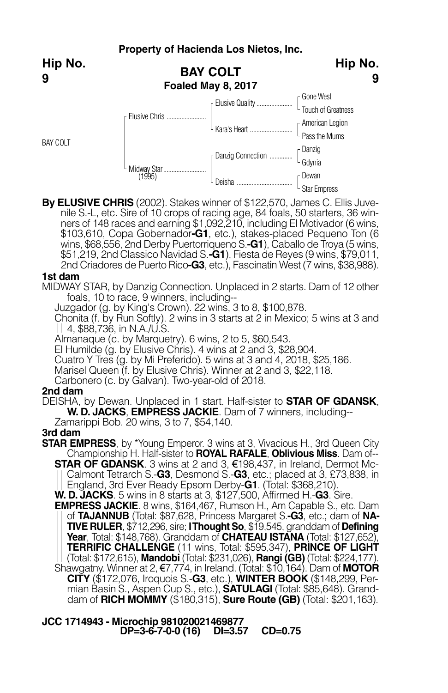**Hip No. 9**

BAY COLT



**By ELUSIVE CHRIS** (2002). Stakes winner of \$122,570, James C. Ellis Juvenile S.-L, etc. Sire of 10 crops of racing age, 84 foals, 50 starters, 36 winners of 148 races and earning \$1,092,210, including El Motivador (6 wins, \$103,610, Copa Gobernador**-G1**, etc.), stakes-placed Pequeno Ton (6 wins, \$68,556, 2nd Derby Puertorriqueno S.**-G1**), Caballo de Troya (5 wins, \$51,219, 2nd Classico Navidad S.**-G1**), Fiesta de Reyes (9 wins, \$79,011, 2nd Criadores de Puerto Rico**-G3**, etc.), Fascinatin West (7 wins, \$38,988).

### **1st dam**

MIDWAY STAR, by Danzig Connection. Unplaced in 2 starts. Dam of 12 other foals, 10 to race, 9 winners, including--

Juzgador (g. by King's Crown). 22 wins, 3 to 8, \$100,878.

Chonita (f. by Run Softly). 2 wins in 3 starts at 2 in Mexico; 5 wins at 3 and 4, \$88,736, in N.A./U.S.

Almanaque (c. by Marquetry). 6 wins, 2 to 5, \$60,543.<br>El Humilde (g. by Elusive Chris). 4 wins at 2 and 3, \$28,904.

Cuatro Y Tres (g. by Mi Preferido). 5 wins at 3 and 4, 2018, \$25,186.

Marisel Queen (f. by Elusive Chris). Winner at 2 and 3, \$22,118.

Carbonero (c. by Galvan). Two-year-old of 2018.

## **2nd dam**

DEISHA, by Dewan. Unplaced in 1 start. Half-sister to **STAR OF GDANSK**, **W. D. JACKS**, **EMPRESS JACKIE**. Dam of 7 winners, including--

Zamarippi Bob. 20 wins, 3 to 7, \$54,140.

## **3rd dam**

**STAR EMPRESS**, by \*Young Emperor. 3 wins at 3, Vivacious H., 3rd Queen City Championship H. Half-sister to **ROYAL RAFALE**, **Oblivious Miss**. Dam of-- **STAR OF GDANSK**. 3 wins at 2 and 3, €198,437, in Ireland, Dermot Mc-

Calmont Tetrarch S.-**G3**, Desmond S.-**G3**, etc.; placed at 3, £73,838, in England, 3rd Ever Ready Epsom Derby-**G1**. (Total: \$368,210).

**W. D. JACKS**. 5 wins in 8 starts at 3, \$127,500, Affirmed H.-**G3**. Sire.

**EMPRESS JACKIE**. 8 wins, \$164,467, Rumson H., Am Capable S., etc. Dam of **TAJANNUB** (Total: \$87,628, Princess Margaret S.**-G3**, etc.; dam of **NA- TIVE RULER**, \$712,296, sire; **IThought So**, \$19,545, granddam of **Defining Year**, Total: \$148,768). Granddam of **CHATEAU ISTANA** (Total: \$127,652), **TERRIFIC CHALLENGE** (11 wins, Total: \$595,347), **PRINCE OF LIGHT** (Total: \$172,615), **Mandobi** (Total: \$231,026), **Rangi (GB)** (Total: \$224,177). Shawgatny. Winner at 2, €7,774, in Ireland. (Total: \$10,164). Dam of **MOTOR CITY** (\$172,076, Iroquois S.-**G3**, etc.), **WINTER BOOK** (\$148,299, Permian Basin S., Aspen Cup S., etc.), **SATULAGI** (Total: \$85,648). Granddam of **RICH MOMMY** (\$180,315), **Sure Route (GB)** (Total: \$201,163).

**JCC 1714943 - Microchip 981020021469877 DP=3-6-7-0-0 (16) DI=3.57 CD=0.75**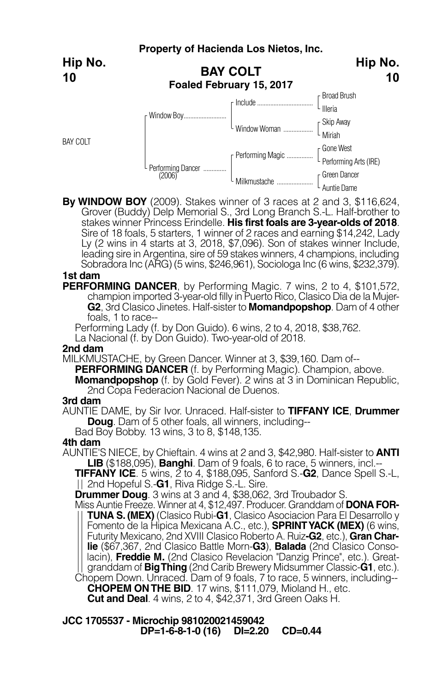**Hip No. 10**

BAY COLT



**By WINDOW BOY** (2009). Stakes winner of 3 races at 2 and 3, \$116,624, Grover (Buddy) Delp Memorial S., 3rd Long Branch S.-L. Half-brother to stakes winner Princess Erindelle. **His first foals are 3-year-olds of 2018**. Sire of 18 foals, 5 starters, 1 winner of 2 races and earning \$14,242, Lady Ly (2 wins in 4 starts at 3, 2018, \$7,096). Son of stakes winner Include, leading sire in Argentina, sire of 59 stakes winners, 4 champions, including Sobradora Inc (ARG) (5 wins, \$246,961), Sociologa Inc (6 wins, \$232,379).

## **1st dam**

**PERFORMING DANCER**, by Performing Magic. 7 wins, 2 to 4, \$101,572, champion imported 3-year-old filly in Puerto Rico, Clasico Dia de la Mujer-**G2**, 3rd Clasico Jinetes. Half-sister to **Momandpopshop**. Dam of 4 other foals, 1 to race--

Performing Lady (f. by Don Guido). 6 wins, 2 to 4, 2018, \$38,762. La Nacional (f. by Don Guido). Two-year-old of 2018.

#### **2nd dam**

MILKMUSTACHE, by Green Dancer. Winner at 3, \$39,160. Dam of--

**PERFORMING DANCER** (f. by Performing Magic). Champion, above.

**Momandpopshop** (f. by Gold Fever). 2 wins at 3 in Dominican Republic, 2nd Copa Federacion Nacional de Duenos.

### **3rd dam**

AUNTIE DAME, by Sir Ivor. Unraced. Half-sister to **TIFFANY ICE**, **Drummer Doug**. Dam of 5 other foals, all winners, including--

Bad Boy Bobby. 13 wins, 3 to 8, \$148,135.

## **4th dam**

AUNTIE'S NIECE, by Chieftain. 4 wins at 2 and 3, \$42,980. Half-sister to **ANTI LIB** (\$188,095), **Banghi**. Dam of 9 foals, 6 to race, 5 winners, incl.--

**TIFFANY ICE**. <sup>5</sup> wins, <sup>2</sup> to 4, \$188,095, Sanford S.-**G2**, Dance Spell S.-L, 2nd Hopeful S.-**G1**, Riva Ridge S.-L. Sire.

**Drummer Doug**. 3 wins at 3 and 4, \$38,062, 3rd Troubador S.

Miss Auntie Freeze. Winner at 4, \$12,497. Producer. Granddam of **DONA FOR-TUNA S. (MEX)** (Clasico Rubi-**G1**, Clasico Asociacion Para El Desarrollo y Fomento de la Hipica Mexicana A.C., etc.), **SPRINTYACK (MEX)** (6 wins, Futurity Mexicano, 2nd XVIII Clasico Roberto A. Ruiz**-G2**, etc.), **Gran Charlie** (\$67,367, 2nd Clasico Battle Morn-**G3**), **Balada** (2nd Clasico Consolacin), **Freddie M.** (2nd Clasico Revelacion "Danzig Prince", etc.). Greatgranddam of **BigThing** (2nd Carib Brewery Midsummer Classic-**G1**, etc.).

Chopem Down. Unraced. Dam of 9 foals, 7 to race, 5 winners, including-- **CHOPEM ONTHE BID**. 17 wins, \$111,079, Mioland H., etc. **Cut and Deal**. 4 wins, 2 to 4, \$42,371, 3rd Green Oaks H.

**JCC 1705537 - Microchip 981020021459042 DP=1-6-8-1-0 (16) DI=2.20 CD=0.44**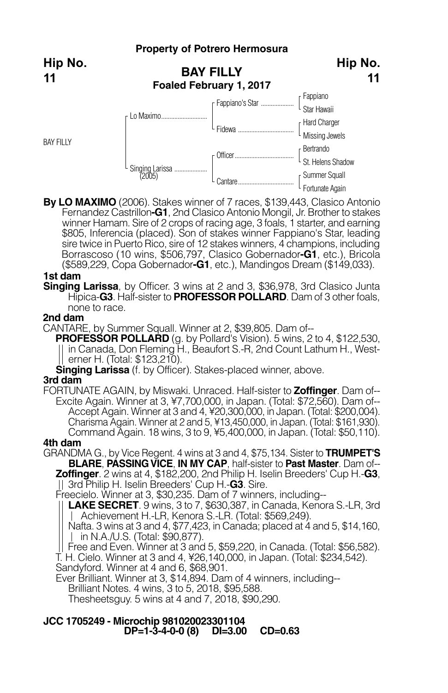## **Property of Potrero Hermosura**



BAY FILLY



L Fortunate Again

**By LO MAXIMO** (2006). Stakes winner of 7 races, \$139,443, Clasico Antonio Fernandez Castrillon**-G1**, 2nd Clasico Antonio Mongil, Jr. Brother to stakes winner Hamam. Sire of 2 crops of racing age, 3 foals, 1 starter, and earning \$805, Inferencia (placed). Son of stakes winner Fappiano's Star, leading sire twice in Puerto Rico, sire of 12 stakes winners, 4 champions, including Borrascoso (10 wins, \$506,797, Clasico Gobernador**-G1**, etc.), Bricola (\$589,229, Copa Gobernador**-G1**, etc.), Mandingos Dream (\$149,033).

## **1st dam**

**Singing Larissa**, by Officer. 3 wins at 2 and 3, \$36,978, 3rd Clasico Junta Hipica-**G3**. Half-sister to **PROFESSOR POLLARD**. Dam of <sup>3</sup> other foals, none to race.

### **2nd dam**

CANTARE, by Summer Squall. Winner at 2, \$39,805. Dam of--

**PROFESSOR POLLARD** (g. by Pollard's Vision). 5 wins, 2 to 4, \$122,530, in Canada, Don Fleming H., Beaufort S.-R, 2nd Count Lathum H., West- erner H. (Total: \$123,210).

**Singing Larissa** (f. by Officer). Stakes-placed winner, above. **3rd dam**

FORTUNATE AGAIN, by Miswaki. Unraced. Half-sister to **Zoffinger**. Dam of-- Excite Again. Winner at 3, ¥7,700,000, in Japan. (Total: \$72,560). Dam of-- Accept Again. Winner at 3 and 4, ¥20,300,000, in Japan. (Total: \$200,004). Charisma Again. Winner at 2 and 5, ¥13,450,000, in Japan. (Total: \$161,930). Command Again. 18 wins, 3 to 9, ¥5,400,000, in Japan. (Total: \$50,110).

### **4th dam**

GRANDMA G., by Vice Regent. 4 wins at 3 and 4, \$75,134. Sister to **TRUMPET'S BLARE**, **PASSINGVICE**, **IN MY CAP**, half-sister to **Past Master**. Dam of-- **Zoffinger**. 2 wins at 4, \$182,200, 2nd Philip H. Iselin Breeders' Cup H.-**G3**, 3rd Philip H. Iselin Breeders' Cup H.-**G3**. Sire.

Freecielo. Winner at 3, \$30,235. Dam of 7 winners, including--

**LAKE SECRET**. 9 wins, 3 to 7, \$630,387, in Canada, Kenora S.-LR, 3rd Achievement H.-LR, Kenora S.-LR. (Total: \$569,249).

Nafta. 3 wins at 3 and 4, \$77,423, in Canada; placed at 4 and 5, \$14,160, | in N.A./U.S. (Total: \$90,877).

Free and Even. Winner at 3 and 5, \$59,220, in Canada. (Total: \$56,582).

T. H. Cielo. Winner at 3 and 4, ¥26,140,000, in Japan. (Total: \$234,542). Sandyford. Winner at 4 and 6, \$68,901.

Ever Brilliant. Winner at 3, \$14,894. Dam of 4 winners, including--

Brilliant Notes. 4 wins, 3 to 5, 2018, \$95,588.

Thesheetsguy. 5 wins at 4 and 7, 2018, \$90,290.

## **JCC 1705249 - Microchip 981020023301104 DP=1-3-4-0-0 (8) DI=3.00 CD=0.63**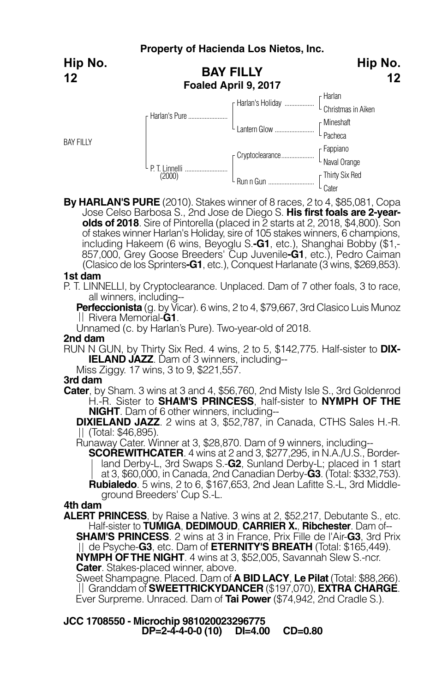|                  | Property of Hacienda Los Nietos, Inc.    |                                                                       |                         |  |
|------------------|------------------------------------------|-----------------------------------------------------------------------|-------------------------|--|
| Hip No.<br>12    | <b>BAY FILLY</b><br>Foaled April 9, 2017 | Hip No.<br>12                                                         |                         |  |
|                  | r Harlan's Pure                          |                                                                       |                         |  |
|                  |                                          | $\begin{array}{c} \downarrow \\ \downarrow \\ \downarrow \end{array}$ | [Mineshaft<br>- Pacheca |  |
| <b>BAY FILLY</b> | L P. T. Linnelli<br>(2000)               |                                                                       |                         |  |
|                  |                                          |                                                                       | Cater                   |  |

**By HARLAN'S PURE** (2010). Stakes winner of 8 races, 2 to 4, \$85,081, Copa Jose Celso Barbosa S., 2nd Jose de Diego S. **His first foals are 2-yearolds of 2018**. Sire of Pintorella (placed in 2 starts at 2, 2018, \$4,800). Son of stakes winner Harlan's Holiday, sire of 105 stakes winners, 6 champions,<br>including Hakeem (6 wins, Beyoglu S.**-G1**, etc.), Shanghai Bobby (\$1,-857,000, Grey Goose Breeders' Cup Juvenile**-G1**, etc.), Pedro Caiman (Clasico de los Sprinters**-G1**, etc.), Conquest Harlanate (3 wins, \$269,853).

#### **1st dam**

P. T. LINNELLI, by Cryptoclearance. Unplaced. Dam of 7 other foals, 3 to race, all winners, including--

**Perfeccionista** (g. by Vicar). 6 wins, 2 to 4, \$79,667, 3rd Clasico Luis Munoz Rivera Memorial-**G1**.

Unnamed (c. by Harlan's Pure). Two-year-old of 2018.

#### **2nd dam**

RUN N GUN, by Thirty Six Red. 4 wins, 2 to 5, \$142,775. Half-sister to **DIX-IELAND JAZZ**. Dam of 3 winners, including--<br>Miss Ziggy. 17 wins, 3 to 9, \$221,557.

### **3rd dam**

**Cater**, by Sham. 3 wins at 3 and 4, \$56,760, 2nd Misty Isle S., 3rd Goldenrod H.-R. Sister to **SHAM'S PRINCESS**, half-sister to **NYMPH OF THE**

**NIGHT**. Dam of <sup>6</sup> other winners, including-- **DIXIELAND JAZZ**. <sup>2</sup> wins at 3, \$52,787, in Canada, CTHS Sales H.-R. (Total: \$46,895).

Runaway Cater. Winner at 3, \$28,870. Dam of 9 winners, including--

**SCOREWITHCATER**. 4 wins at 2 and 3, \$277,295, in N.A./U.S., Borderland Derby-L, 3rd Swaps S.-**G2**, Sunland Derby-L; placed in 1 start at 3, \$60,000, in Canada, 2nd Canadian Derby-**G3**. (Total: \$332,753). **Rubialedo**. 5 wins, 2 to 6, \$167,653, 2nd Jean Lafitte S.-L, 3rd Middleground Breeders' Cup S.-L.

## **4th dam**

**ALERT PRINCESS**, by Raise a Native. 3 wins at 2, \$52,217, Debutante S., etc. Half-sister to **TUMIGA**, **DEDIMOUD**, **CARRIER X.**, **Ribchester**. Dam of-- **SHAM'S PRINCESS**. 2 wins at 3 in France, Prix Fille de l'Air-**G3**, 3rd Prix de Psyche-**G3**, etc. Dam of **ETERNITY'S BREATH** (Total: \$165,449). **NYMPH OFTHE NIGHT**. 4 wins at 3, \$52,005, Savannah Slew S.-ncr. **Cater**. Stakes-placed winner, above.

Sweet Shampagne. Placed. Dam of **A BID LACY**, **Le Pilat** (Total: \$88,266). Granddam of **SWEETTRICKYDANCER** (\$197,070), **EXTRA CHARGE**. Ever Surpreme. Unraced. Dam of **Tai Power** (\$74,942, 2nd Cradle S.).

**JCC 1708550 - Microchip 981020023296775 DP=2-4-4-0-0 (10) DI=4.00 CD=0.80**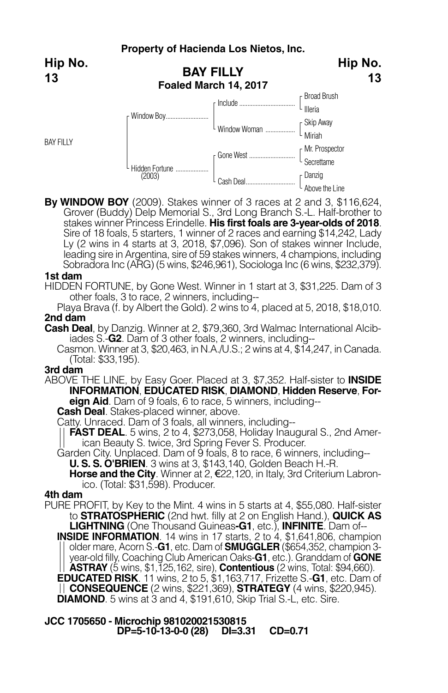**Hip No. 13**

BAY FILLY



**By WINDOW BOY** (2009). Stakes winner of 3 races at 2 and 3, \$116,624, Grover (Buddy) Delp Memorial S., 3rd Long Branch S.-L. Half-brother to stakes winner Princess Erindelle. **His first foals are 3-year-olds of 2018**. Sire of 18 foals, 5 starters, 1 winner of 2 races and earning \$14,242, Lady Ly (2 wins in 4 starts at 3, 2018, \$7,096). Son of stakes winner Include, leading sire in Argentina, sire of 59 stakes winners, 4 champions, including Sobradora Inc (ARG) (5 wins, \$246,961), Sociologa Inc (6 wins, \$232,379).

#### **1st dam**

HIDDEN FORTUNE, by Gone West. Winner in 1 start at 3, \$31,225. Dam of 3 other foals, 3 to race, 2 winners, including--

Playa Brava (f. by Albert the Gold). 2 wins to 4, placed at 5, 2018, \$18,010. **2nd dam**

**Cash Deal**, by Danzig. Winner at 2, \$79,360, 3rd Walmac International Alcibiades S.-**G2**. Dam of 3 other foals, 2 winners, including--

Casmon. Winner at 3, \$20,463, in N.A./U.S.; 2 wins at 4, \$14,247, in Canada. (Total: \$33,195).

### **3rd dam**

ABOVE THE LINE, by Easy Goer. Placed at 3, \$7,352. Half-sister to **INSIDE INFORMATION**, **EDUCATED RISK**, **DIAMOND**, **Hidden Reserve**, **For-**

**eign Aid**. Dam of 9 foals, 6 to race, 5 winners, including--

**Cash Deal**. Stakes-placed winner, above.

Catty. Unraced. Dam of 3 foals, all winners, including--

**FAST DEAL**. 5 wins, 2 to 4, \$273,058, Holiday Inaugural S., 2nd American Beauty S. twice, 3rd Spring Fever S. Producer.

Garden City. Unplaced. Dam of 9 foals, 8 to race, 6 winners, including-- **U. S. S. O'BRIEN**. 3 wins at 3, \$143,140, Golden Beach H.-R.

**Horse and the City**. Winner at 2, €22,120, in Italy, 3rd Criterium Labronico. (Total: \$31,598). Producer.

## **4th dam**

PURE PROFIT, by Key to the Mint. 4 wins in 5 starts at 4, \$55,080. Half-sister to **STRATOSPHERIC** (2nd hwt. filly at 2 on English Hand.), **QUICK AS LIGHTNING** (One Thousand Guineas**-G1**, etc.), **INFINITE**. Dam of--

**INSIDE INFORMATION**. 14 wins in 17 starts, 2 to 4, \$1,641,806, champion older mare, Acorn S.-**G1**, etc. Dam of **SMUGGLER** (\$654,352, champion 3 year-old filly, Coaching Club American Oaks-**G1**, etc.). Granddam of **GONE ASTRAY** (5 wins, \$1,125,162, sire), **Contentious** (2 wins, Total: \$94,660). **EDUCATED RISK**. 11 wins, 2 to 5, \$1,163,717, Frizette S.-**G1**, etc. Dam of **CONSEQUENCE** (2 wins, \$221,369), **STRATEGY** (4 wins, \$220,945).

**DIAMOND**. 5 wins at 3 and 4, \$191,610, Skip Trial S.-L, etc. Sire.

**JCC 1705650 - Microchip 981020021530815 DP=5-10-13-0-0 (28) DI=3.31 CD=0.71**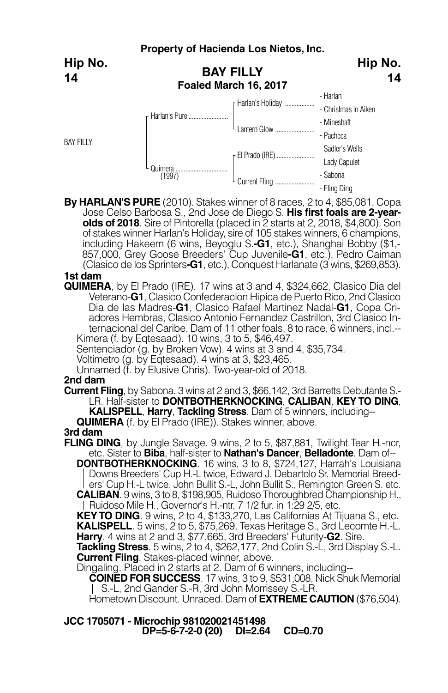|                  | Property of Hacienda Los Nietos, Inc.     |                                                                                                              |                         |  |  |
|------------------|-------------------------------------------|--------------------------------------------------------------------------------------------------------------|-------------------------|--|--|
| Hip No.<br>14    | <b>BAY FILLY</b><br>Foaled March 16, 2017 | Hip No.<br>14                                                                                                |                         |  |  |
|                  | r Harlan's Pure                           |                                                                                                              |                         |  |  |
|                  |                                           | $L_{\text{Lantern} \text{Glow} \dots}$                                                                       | [Mineshaft<br>- Pacheca |  |  |
| <b>BAY FILLY</b> | Quimera<br>(1997)                         | $\begin{array}{l} \textsf{F} \textsf{EI Prado (IRE)} \textsf{}\textsf{}\\ \textsf{Lady Capulet} \end{array}$ |                         |  |  |
|                  |                                           |                                                                                                              |                         |  |  |

**By HARLAN'S PURE** (2010). Stakes winner of 8 races, 2 to 4, \$85,081, Copa Jose Celso Barbosa S., 2nd Jose de Diego S. **His first foals are 2-yearolds of 2018**. Sire of Pintorella (placed in 2 starts at 2, 2018, \$4,800). Son of stakes winner Harlan's Holiday, sire of 105 stakes winners, 6 champions, including Hakeem (6 wins, Beyoglu S.**-G1**, etc.), Shanghai Bobby (\$1,- 857,000, Grey Goose Breeders' Cup Juvenile**-G1**, etc.), Pedro Caiman (Clasico de los Sprinters**-G1**, etc.), Conquest Harlanate (3 wins, \$269,853).

## **1st dam**

**QUIMERA**, by El Prado (IRE). 17 wins at 3 and 4, \$324,662, Clasico Dia del Veterano-**G1**, Clasico Confederacion Hipica de Puerto Rico, 2nd Clasico Dia de las Madres-**G1**, Clasico Rafael Martinez Nadal-**G1**, Copa Criadores Hembras, Clasico Antonio Fernandez Castrillon, 3rd Clasico Internacional del Caribe. Dam of <sup>11</sup> other foals, <sup>8</sup> to race, <sup>6</sup> winners, incl.-- Kimera (f. by Eqtesaad). <sup>10</sup> wins, <sup>3</sup> to 5, \$46,497.

Sentenciador (g. by Broken Vow). 4 wins at 3 and 4, \$35,734.

Voltimetro (g. by Eqtesaad). 4 wins at 3, \$23,465.

Unnamed (f. by Elusive Chris). Two-year-old of 2018.

### **2nd dam**

**Current Fling**, by Sabona. 3 wins at 2 and 3, \$66,142, 3rd Barretts Debutante S.- LR. Half-sister to **DONTBOTHERKNOCKING**, **CALIBAN**, **KEY TO DING**, **KALISPELL**, **Harry**, **Tackling Stress**. Dam of 5 winners, including--

**QUIMERA** (f. by El Prado (IRE)). Stakes winner, above.

## **3rd dam**

**FLING DING**, by Jungle Savage. 9 wins, 2 to 5, \$87,881, Twilight Tear H.-ncr, etc. Sister to **Biba**, half-sister to **Nathan's Dancer**, **Belladonte**. Dam of-- **DONTBOTHERKNOCKING**. 16 wins, 3 to 8, \$724,127, Harrah's Louisiana Downs Breeders' Cup H.-L twice, Edward J. Debartolo Sr. Memorial Breed ers' Cup H.-L twice, John Bullit S.-L, John Bullit S., Remington Green S. etc. **CALIBAN**. 9 wins, 3 to 8, \$198,905, Ruidoso Thoroughbred Championship H.,

|| Ruidoso Mile H., Governor's H.-ntr, 7 1/2 fur. in 1:29 2/5, etc.<br>KEYTO DING. 9 wins, 2 to 4, \$133,270, Las Californias At Tijuana S., etc. **KALISPELL**. 5 wins, 2 to 5, \$75,269, Texas Heritage S., 3rd Lecomte H.-L. **Harry**. 4 wins at 2 and 3, \$77,665, 3rd Breeders' Futurity-**G2**. Sire.

**Tackling Stress**. 5 wins, 2 to 4, \$262,177, 2nd Colin S.-L, 3rd Display S.-L. **Current Fling**. Stakes-placed winner, above.

Dingaling. Placed in 2 starts at 2. Dam of 6 winners, including--

**COINED FOR SUCCESS**. 17 wins, 3 to 9, \$531,008, Nick Shuk Memorial

Hometown Discount. Unraced. Dam of **EXTREME CAUTION** (\$76,504).

**JCC 1705071 - Microchip 981020021451498 DP=5-6-7-2-0 (20) DI=2.64 CD=0.70**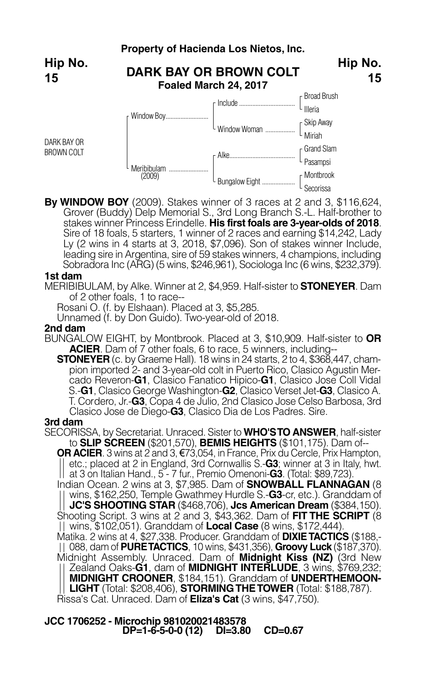

**By WINDOW BOY** (2009). Stakes winner of 3 races at 2 and 3, \$116,624, Grover (Buddy) Delp Memorial S., 3rd Long Branch S.-L. Half-brother to stakes winner Princess Erindelle. **His first foals are 3-year-olds of 2018**. Sire of 18 foals, 5 starters, 1 winner of 2 races and earning \$14,242, Lady Ly (2 wins in 4 starts at 3, 2018, \$7,096). Son of stakes winner Include, leading sire in Argentina, sire of 59 stakes winners, 4 champions, including Sobradora Inc (ARG) (5 wins, \$246,961), Sociologa Inc (6 wins, \$232,379).

L Secorissa

#### **1st dam**

MERIBIBULAM, by Alke. Winner at 2, \$4,959. Half-sister to **STONEYER**. Dam of 2 other foals, 1 to race--

Rosani O. (f. by Elshaan). Placed at 3, \$5,285.

Unnamed (f. by Don Guido). Two-year-old of 2018.

#### **2nd dam**

- BUNGALOW EIGHT, by Montbrook. Placed at 3, \$10,909. Half-sister to **OR ACIER**. Dam of 7 other foals, 6 to race, 5 winners, including--
	- **STONEYER** (c. by Graeme Hall). 18 wins in 24 starts, 2 to 4, \$368,447, cham pion imported 2- and 3-year-old colt in Puerto Rico, Clasico Agustin Mer cado Reveron-**G1**, Clasico Fanatico Hipico-**G1**, Clasico Jose Coll Vidal S.-**G1**, Clasico George Washington-**G2**, Clasico Verset Jet-**G3**, Clasico A. T. Cordero, Jr.-**G3**, Copa 4 de Julio, 2nd Clasico Jose Celso Barbosa, 3rd Clasico Jose de Diego-**G3**, Clasico Dia de Los Padres. Sire.

#### **3rd dam**

SECORISSA, by Secretariat. Unraced. Sister to **WHO'STO ANSWER**, half-sister to **SLIP SCREEN** (\$201,570), **BEMIS HEIGHTS** (\$101,175). Dam of--

**OR ACIER**. 3 wins at 2 and 3, €73,054, in France, Prix du Cercle, Prix Hampton, etc.; placed at 2 in England, 3rd Cornwallis S.-**G3**; winner at 3 in Italy, hwt. at 3 on Italian Hand., 5 - 7 fur., Premio Omenoni-**G3**. (Total: \$89,723).

Indian Ocean. 2 wins at 3, \$7,985. Dam of **SNOWBALL FLANNAGAN** (8 wins, \$162,250, Temple Gwathmey Hurdle S.-**G3**-cr, etc.). Granddam of **JC'S SHOOTING STAR** (\$468,706), **Jcs American Dream** (\$384,150). Shooting Script. 3 wins at 2 and 3, \$43,362. Dam of **FIT THE SCRIPT** (8 wins, \$102,051). Granddam of **Local Case** (8 wins, \$172,444).

Matika. 2 wins at 4, \$27,338. Producer. Granddam of **DIXIETACTICS** (\$188,- 088, dam of **PURETACTICS**, 10 wins, \$431,356), **Groovy Luck** (\$187,370). Midnight Assembly. Unraced. Dam of **Midnight Kiss (NZ)** (3rd New Zealand Oaks-**G1**, dam of **MIDNIGHT INTERLUDE**, 3 wins, \$769,232; **MIDNIGHT CROONER**, \$184,151). Granddam of **UNDERTHEMOON-LIGHT** (Total: \$208,406), **STORMINGTHETOWER** (Total: \$188,787). Rissa's Cat. Unraced. Dam of **Eliza's Cat** (3 wins, \$47,750).

**JCC 1706252 - Microchip 981020021483578 DP=1-6-5-0-0 (12) DI=3.80 CD=0.67**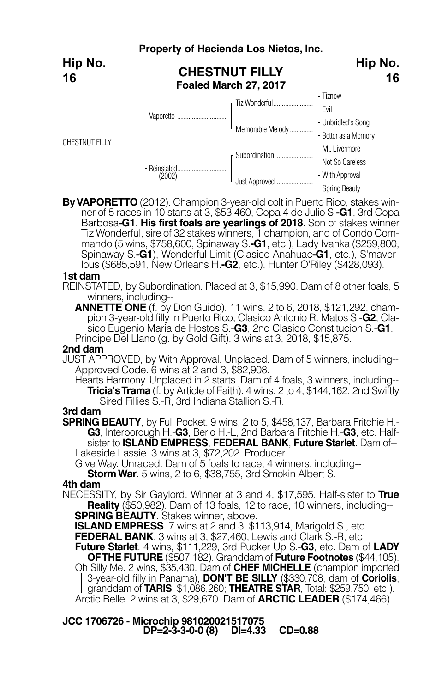|                       | Property of Hacienda Los Nietos, Inc.          |                                                                             |                                         |  |
|-----------------------|------------------------------------------------|-----------------------------------------------------------------------------|-----------------------------------------|--|
| Hip No.<br>16         | <b>CHESTNUT FILLY</b><br>Foaled March 27, 2017 | Hip No.<br>16                                                               |                                         |  |
|                       |                                                | Tiz Wonderful                                                               | Tiznow<br><sup>L</sup> Evil             |  |
|                       | Vaporetto                                      | $\bigg\downarrow_{\hbox{Memorable Melody}\,\ldots\ldots\ldots\ldots\ldots}$ | [Unbridled's Song<br>Better as a Memory |  |
| <b>CHESTNUT FILLY</b> |                                                | Subordination                                                               | r Mt. Livermore<br>Not So Careless      |  |
|                       | Reinstated<br>(2002)                           | Just Approved                                                               | [ With Approval<br>[ Spring Beauty      |  |

**ByVAPORETTO** (2012). Champion 3-year-old colt in Puerto Rico, stakes winner of 5 races in 10 starts at 3, \$53,460, Copa 4 de Julio S.**-G1**, 3rd Copa Barbosa**-G1**. **His first foals are yearlings of 2018**. Son of stakes winner Tiz Wonderful, sire of 32 stakes winners, 1 champion, and of Condo Commando (5 wins, \$758,600, Spinaway S.**-G1**, etc.), Lady Ivanka (\$259,800, Spinaway S.**-G1**), Wonderful Limit (Clasico Anahuac**-G1**, etc.), S'maverlous (\$685,591, New Orleans H.**-G2**, etc.), Hunter O'Riley (\$428,093).

#### **1st dam**

REINSTATED, by Subordination. Placed at 3, \$15,990. Dam of 8 other foals, 5 winners, including--

**ANNETTE ONE** (f. by Don Guido). 11 wins, 2 to 6, 2018, \$121,292, champion 3-year-old filly in Puerto Rico, Clasico Antonio R. Matos S.-**G2**, Clasico Eugenio Maria de Hostos S.-**G3**, 2nd Clasico Constitucion S.-**G1**. Principe Del Llano (g. by Gold Gift). 3 wins at 3, 2018, \$15,875.

#### **2nd dam**

- JUST APPROVED, by With Approval. Unplaced. Dam of 5 winners, including-- Approved Code. 6 wins at 2 and 3, \$82,908.
	- Hearts Harmony. Unplaced in 2 starts. Dam of 4 foals, 3 winners, including-- **Tricia'sTrama** (f. by Article of Faith). 4 wins, 2 to 4, \$144,162, 2nd Swiftly Sired Fillies S.-R, 3rd Indiana Stallion S.-R.

### **3rd dam**

**SPRING BEAUTY**, by Full Pocket. 9 wins, 2 to 5, \$458,137, Barbara Fritchie H.- **G3**, Interborough H.-**G3**, Berlo H.-L, 2nd Barbara Fritchie H.-**G3**, etc. Halfsister to **ISLAND EMPRESS**, **FEDERAL BANK**, **Future Starlet**. Dam of-- Lakeside Lassie. 3 wins at 3, \$72,202. Producer.

Give Way. Unraced. Dam of 5 foals to race, 4 winners, including-- **StormWar**. 5 wins, 2 to 6, \$38,755, 3rd Smokin Albert S.

### **4th dam**

NECESSITY, by Sir Gaylord. Winner at 3 and 4, \$17,595. Half-sister to **True Reality** (\$50,982). Dam of 13 foals, 12 to race, 10 winners, including--<br>**SPRING BEAUTY**. Stakes winner, above.

**ISLAND EMPRESS**. 7 wins at 2 and 3, \$113,914, Marigold S., etc.

**FEDERAL BANK**. 3 wins at 3, \$27,460, Lewis and Clark S.-R, etc.

**Future Starlet**. 4 wins, \$111,229, 3rd Pucker Up S.-**G3**, etc. Dam of **LADY OFTHE FUTURE** (\$507,182). Granddam of **Future Footnotes** (\$44,105). Oh Silly Me. 2 wins, \$35,430. Dam of **CHEF MICHELLE** (champion imported 3-year-old filly in Panama), **DON'T BE SILLY** (\$330,708, dam of **Coriolis**; granddam of **TARIS**, \$1,086,260; **THEATRE STAR**, Total: \$259,750, etc.). Arctic Belle. 2 wins at 3, \$29,670. Dam of **ARCTIC LEADER** (\$174,466).

**JCC 1706726 - Microchip 981020021517075 DP=2-3-3-0-0 (8) DI=4.33 CD=0.88**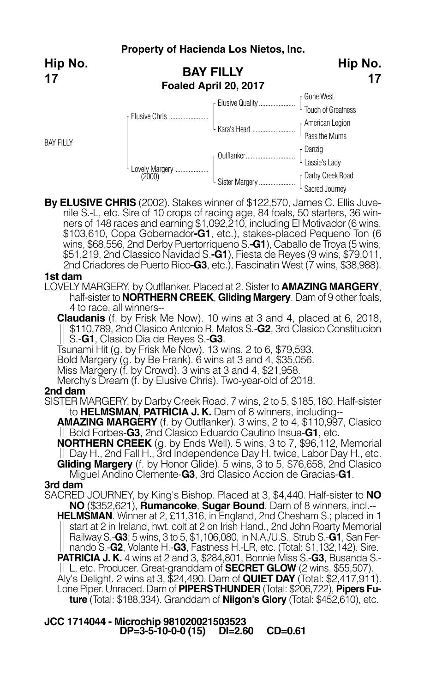**Hip No. 17**

BAY FILLY



**By ELUSIVE CHRIS** (2002). Stakes winner of \$122,570, James C. Ellis Juvenile S.-L, etc. Sire of 10 crops of racing age, 84 foals, 50 starters, 36 winners of 148 races and earning \$1,092,210, including El Motivador (6 wins, \$103,610, Copa Gobernador**-G1**, etc.), stakes-placed Pequeno Ton (6 wins, \$68,556, 2nd Derby Puertorriqueno S.-G1), Caballo de Troya (5 wins, \$51,219, 2nd Classico Navidad S.**-G1**), Fiesta de Reyes (9 wins, \$79,011, 2nd Criadores de Puerto Rico**-G3**, etc.), Fascinatin West (7 wins, \$38,988).

## **1st dam**

LOVELY MARGERY, by Outflanker. Placed at 2. Sister to **AMAZING MARGERY**, half-sister to **NORTHERN CREEK**, **Gliding Margery**. Dam of 9 other foals, 4 to race, all winners--

**Claudanis** (f. by Frisk Me Now). 10 wins at 3 and 4, placed at 6, 2018, \$110,789, 2nd Clasico Antonio R. Matos S.-**G2**, 3rd Clasico Constitucion

Tsunami Hit (g. by Frisk Me Now). 13 wins, 2 to 6, \$79,593.

Bold Margery (g. by Be Frank). 6 wins at 3 and 4, \$35,056.

Miss Margery (f. by Crowd). 3 wins at 3 and 4, \$21,958.

Merchy's Dream (f. by Elusive Chris). Two-year-old of 2018.

### **2nd dam**

SISTER MARGERY, by Darby Creek Road. 7 wins, 2 to 5, \$185,180. Half-sister to **HELMSMAN**, **PATRICIA J. K.** Dam of 8 winners, including--

**AMAZING MARGERY** (f. by Outflanker). 3 wins, 2 to 4, \$110,997, Clasico Bold Forbes-**G3**, 2nd Clasico Eduardo Cautino Insua-**G1**, etc.

**NORTHERN CREEK** (g. by Ends Well). 5 wins, 3 to 7, \$96,112, Memorial Day H., 2nd Fall H., 3rd Independence Day H. twice, Labor Day H., etc. **Gliding Margery** (f. by Honor Glide). 5 wins, 3 to 5, \$76,658, 2nd Clasico

Miguel Andino Clemente-**G3**, 3rd Clasico Accion de Gracias-**G1**. **3rd dam**

SACRED JOURNEY, by King's Bishop. Placed at 3, \$4,440. Half-sister to **NO NO** (\$352,621), **Rumancoke**, **Sugar Bound**. Dam of 8 winners, incl.-- **HELMSMAN**. Winner at 2, £11,316, in England, 2nd Chesham S.; placed in 1 start at 2 in Ireland, hwt. colt at 2 on Irish Hand., 2nd John Roarty Memorial Railway S.-**G3**; 5 wins, 3 to 5, \$1,106,080, in N.A./U.S., Strub S.-**G1**, San Fer nando S.-**G2**, Volante H.-**G3**, Fastness H.-LR, etc. (Total: \$1,132,142). Sire. **PATRICIA J. K.** 4 wins at 2 and 3, \$284,801, Bonnie Miss S.-**G3**, Busanda S.- L, etc. Producer. Great-granddam of **SECRET GLOW** (2 wins, \$55,507). Aly's Delight. 2 wins at 3, \$24,490. Dam of **QUIET DAY** (Total: \$2,417,911). Lone Piper. Unraced. Dam of **PIPERSTHUNDER** (Total: \$206,722), **Pipers Future** (Total: \$188,334). Granddam of **Niigon's Glory** (Total: \$452,610), etc.

**JCC 1714044 - Microchip 981020021503523 DP=3-5-10-0-0 (15) DI=2.60 CD=0.61**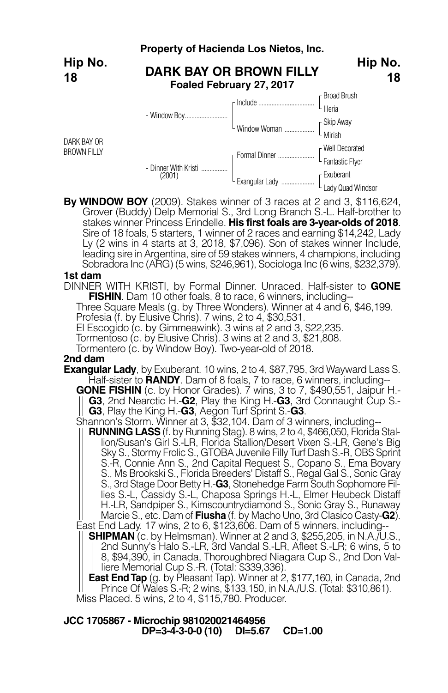#### **Property of Hacienda Los Nietos, Inc. DARK BAY OR BROWN FILLY Foaled February 27, 2017** Broad Brush Illeria Skip Away Miriah Window Woman .................. Well Decorated Fantastic Flyer Exuberant Lady Quad Windsor Include.................................. Formal Dinner ...................... Exangular Lady .................... Dinner With Kristi ................ (2001) Window Boy.......................... DARK BAY OR BROWN FILLY **Hip No. 18 Hip No. 18**

**By WINDOW BOY** (2009). Stakes winner of 3 races at 2 and 3, \$116,624, Grover (Buddy) Delp Memorial S., 3rd Long Branch S.-L. Half-brother to stakes winner Princess Erindelle. **His first foals are 3-year-olds of 2018**. Sire of 18 foals, 5 starters, 1 winner of 2 races and earning \$14,242, Lady Ly (2 wins in 4 starts at 3, 2018, \$7,096). Son of stakes winner Include, leading sire in Argentina, sire of 59 stakes winners, 4 champions, including Sobradora Inc (ARG) (5 wins, \$246,961), Sociologa Inc (6 wins, \$232,379).

### **1st dam**

DINNER WITH KRISTI, by Formal Dinner. Unraced. Half-sister to **GONE**

Three Square Meals (g. by Three Wonders). Winner at 4 and 6, \$46,199.

Profesia (f. by Elusive Chris). 7 wins, 2 to 4, \$30,531.

El Escogido (c. by Gimmeawink). 3 wins at 2 and 3, \$22,235.

Tormentoso (c. by Elusive Chris). 3 wins at 2 and 3, \$21,808.

Tormentero (c. by Window Boy). Two-year-old of 2018.

### **2nd dam**

**Exangular Lady**, by Exuberant. 10 wins, 2 to 4, \$87,795, 3rd Wayward Lass S. Half-sister to **RANDY**. Dam of 8 foals, 7 to race, 6 winners, including--

**GONE FISHIN** (c. by Honor Grades). 7 wins, 3 to 7, \$490,551, Jaipur H.- **G3**, 2nd Nearctic H.-**G2**, Play the King H.-**G3**, 3rd Connaught Cup S.- **G3**, Play the King H.-**G3**, Aegon Turf Sprint S.-**G3**.

Shannon's Storm. Winner at 3, \$32,104. Dam of 3 winners, including--

**RUNNING LASS** (f. by Running Stag). 8 wins, 2 to 4, \$466,050, Florida Stallion/Susan's Girl S.-LR, Florida Stallion/Desert Vixen S.-LR, Gene's Big Sky S., Stormy Frolic S., GTOBA Juvenile Filly Turf Dash S.-R, OBS Sprint S.-R, Connie Ann S., 2nd Capital Request S., Copano S., Ema Bovary S., Ms Brookski S., Florida Breeders' Distaff S., Regal Gal S., Sonic Gray S., 3rd Stage Door Betty H.-**G3**, Stonehedge Farm South Sophomore Fillies S.-L, Cassidy S.-L, Chaposa Springs H.-L, Elmer Heubeck Distaff H.-LR, Sandpiper S., Kimscountrydiamond S., Sonic Gray S., Runaway Marcie S., etc. Dam of **Fiusha** (f. by Macho Uno, 3rd Clasico Casty-**G2**). East End Lady. 17 wins, 2 to 6, \$123,606. Dam of 5 winners, including--

**SHIPMAN** (c. by Helmsman). Winner at 2 and 3, \$255,205, in N.A./U.S., 2nd Sunny's Halo S.-LR, 3rd Vandal S.-LR, Afleet S.-LR; 6 wins, 5 to 8, \$94,390, in Canada, Thoroughbred Niagara Cup S., 2nd Don Valliere Memorial Cup S.-R. (Total: \$339,336).

**East End Tap** (g. by Pleasant Tap). Winner at 2, \$177,160, in Canada, 2nd Prince Of Wales S.-R; 2 wins, \$133,150, in N.A./U.S. (Total: \$310,861). Miss Placed. 5 wins, 2 to 4, \$115,780. Producer.

**JCC 1705867 - Microchip 981020021464956 DP=3-4-3-0-0 (10) DI=5.67 CD=1.00**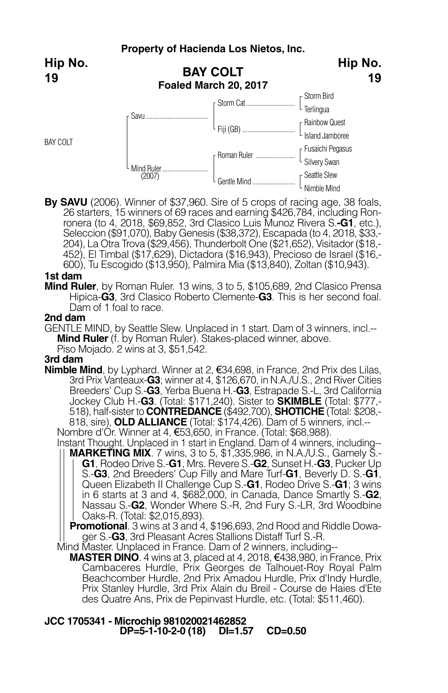**Hip No. 19**

BAY COLT



**By SAVU** (2006). Winner of \$37,960. Sire of 5 crops of racing age, 38 foals, 26 starters, 15 winners of 69 races and earning \$426,784, including Ronronera (to 4, 2018, \$69,852, 3rd Clasico Luis Munoz Rivera S.**-G1**, etc.), Seleccion (\$91,070), Baby Genesis (\$38,372), Escapada (to 4, 2018, \$33,- 204), La Otra Trova (\$29,456), Thunderbolt One (\$21,652), Visitador (\$18,- 452), El Timbal (\$17,629), Dictadora (\$16,943), Precioso de Israel (\$16,- 600), Tu Escogido (\$13,950), Palmira Mia (\$13,840), Zoltan (\$10,943).

## **1st dam**

**Mind Ruler**, by Roman Ruler. 13 wins, 3 to 5, \$105,689, 2nd Clasico Prensa Hipica-**G3**, 3rd Clasico Roberto Clemente-**G3**. This is her second foal. Dam of 1 foal to race.

## **2nd dam**

GENTLE MIND, by Seattle Slew. Unplaced in 1 start. Dam of 3 winners, incl.-- **Mind Ruler** (f. by Roman Ruler). Stakes-placed winner, above. Piso Mojado. 2 wins at 3, \$51,542.

### **3rd dam**

**Nimble Mind**, by Lyphard. Winner at 2, €34,698, in France, 2nd Prix des Lilas, 3rd Prix Vanteaux-**G3**; winner at 4, \$126,670, in N.A./U.S., 2nd River Cities Breeders' Cup S.-**G3**, Yerba Buena H.-**G3**, Estrapade S.-L, 3rd California Jockey Club H.-**G3**. (Total: \$171,240). Sister to **SKIMBLE** (Total: \$777,- 518), half-sister to **CONTREDANCE** (\$492,700), **SHOTICHE** (Total: \$208,- 818, sire), **OLD ALLIANCE** (Total: \$174,426). Dam of 5 winners, incl.--<br>Nombre d'Or. Winner at 4, €53,650, in France. (Total: \$68,988).

Instant Thought. Unplaced in 1 start in England. Dam of 4 winners, including--

**MARKETING MIX**. 7 wins, 3 to 5, \$1,335,986, in N.A./U.S., Gamely S.- **G1**, Rodeo Drive S.-**G1**, Mrs. Revere S.-**G2**, Sunset H.-**G3**, Pucker Up S.-**G3**, 2nd Breeders' Cup Filly and Mare Turf-**G1**, Beverly D. S.-**G1**, Queen Elizabeth II Challenge Cup S.-**G1**, Rodeo Drive S.-**G1**; 3 wins in 6 starts at 3 and 4, \$682,000, in Canada, Dance Smartly S.-**G2**, Nassau S.-**G2**, Wonder Where S.-R, 2nd Fury S.-LR, 3rd Woodbine Oaks-R. (Total: \$2,015,893).

**Promotional**. 3 wins at 3 and 4, \$196,693, 2nd Rood and Riddle Dowager S.-**G3**, 3rd Pleasant Acres Stallions Distaff Turf S.-R.

Mind Master. Unplaced in France. Dam of 2 winners, including--

**MASTER DINO**. 4 wins at 3, placed at 4, 2018, €438,980, in France, Prix Cambaceres Hurdle, Prix Georges de Talhouet-Roy Royal Palm Beachcomber Hurdle, 2nd Prix Amadou Hurdle, Prix d'Indy Hurdle, Prix Stanley Hurdle, 3rd Prix Alain du Breil - Course de Haies d'Ete des Quatre Ans, Prix de Pepinvast Hurdle, etc. (Total: \$511,460).

## **JCC 1705341 - Microchip 981020021462852 DP=5-1-10-2-0 (18) DI=1.57 CD=0.50**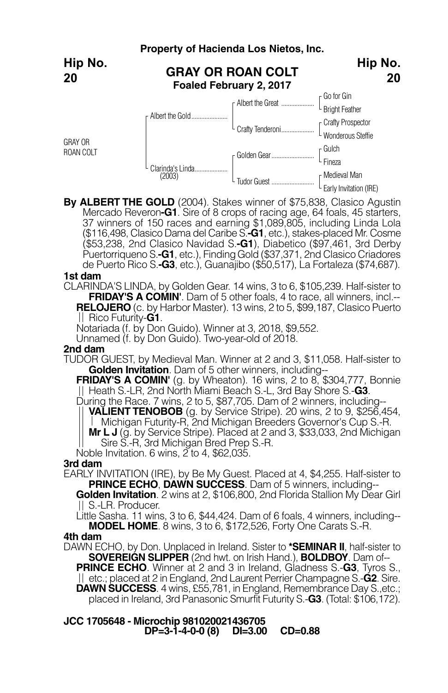|                             | Property of Hacienda Los Nietos, Inc.               |                  |                                          |
|-----------------------------|-----------------------------------------------------|------------------|------------------------------------------|
| Hip No.<br>20               | <b>GRAY OR ROAN COLT</b><br>Foaled February 2, 2017 | Hip No.<br>20    |                                          |
|                             |                                                     |                  | [ Go for Gin<br>E Bright Feather         |
|                             | Albert the Gold                                     | Crafty Tenderoni | [ Crafty Prospector<br>Wonderous Steffie |
| <b>GRAY OR</b><br>ROAN COLT |                                                     |                  | r Gulch<br>Fineza                        |
|                             | Clarinda's Linda.<br>(2003)                         | Tudor Guest      | r Medieval Man<br>Early Invitation (IRE) |

**By ALBERT THE GOLD** (2004). Stakes winner of \$75,838, Clasico Agustin Mercado Reveron**-G1**. Sire of 8 crops of racing age, 64 foals, 45 starters, 37 winners of 150 races and earning \$1,089,805, including Linda Lola (\$116,498, Clasico Dama del Caribe S.**-G1**, etc.), stakes-placed Mr. Cosme (\$53,238, 2nd Clasico Navidad S.**-G1**), Diabetico (\$97,461, 3rd Derby Puertorriqueno S.**-G1**, etc.), FindingGold (\$37,371, 2nd Clasico Criadores de Puerto Rico S.**-G3**, etc.), Guanajibo (\$50,517), La Fortaleza (\$74,687).

#### **1st dam**

CLARINDA'S LINDA, by Golden Gear. 14 wins, 3 to 6, \$105,239. Half-sister to **FRIDAY'S A COMIN'**. Dam of 5 other foals, 4 to race, all winners, incl.-- **RELOJERO** (c. by Harbor Master). 13 wins, 2 to 5, \$99,187, Clasico Puerto Rico Futurity-**G1**.

Notariada (f. by Don Guido). Winner at 3, 2018, \$9,552.

Unnamed (f. by Don Guido). Two-year-old of 2018.

#### **2nd dam**

TUDOR GUEST, by Medieval Man. Winner at 2 and 3, \$11,058. Half-sister to **Golden Invitation**. Dam of 5 other winners, including--

**FRIDAY'S A COMIN'** (g. by Wheaton). 16 wins, 2 to 8, \$304,777, Bonnie Heath S.-LR, 2nd North Miami Beach S.-L, 3rd Bay Shore S.-**G3**.

During the Race. 7 wins, 2 to 5, \$87,705. Dam of 2 winners, including--

**VALIENT TENOBOB** (g. by Service Stripe). 20 wins, 2 to 9, \$256,454, Michigan Futurity-R, 2nd Michigan Breeders Governor's Cup S.-R.

**Mr L J** (g. by Service Stripe). Placed at 2 and 3, \$33,033, 2nd Michigan Sire S.-R, 3rd Michigan Bred Prep S.-R.

Noble Invitation. 6 wins,  $\widetilde{2}$  to 4, \$62,035.

### **3rd dam**

EARLY INVITATION (IRE), by Be My Guest. Placed at 4, \$4,255. Half-sister to **PRINCE ECHO**, **DAWN SUCCESS**. Dam of 5 winners, including--

**Golden Invitation**. 2 wins at 2, \$106,800, 2nd Florida Stallion My Dear Girl S.-LR. Producer.

Little Sasha. 11 wins, 3 to 6, \$44,424. Dam of 6 foals, 4 winners, including-- **MODEL HOME**. 8 wins, 3 to 6, \$172,526, Forty One Carats S.-R.

### **4th dam**

DAWN ECHO, by Don. Unplaced in Ireland. Sister to **\*SEMINAR II**, half-sister to **SOVEREIGN SLIPPER** (2nd hwt. on Irish Hand.), **BOLDBOY**. Dam of--

**PRINCE ECHO**. Winner at 2 and 3 in Ireland, Gladness S.-**G3**, Tyros S., etc.; placed at 2 in England, 2nd Laurent Perrier Champagne S.-**G2**. Sire. **DAWN SUCCESS**. 4 wins, £55,781, in England, Remembrance Day S.,etc.; placed in Ireland, 3rd Panasonic Smurfit Futurity S.-**G3**. (Total: \$106,172).

**JCC 1705648 - Microchip 981020021436705 DP=3-1-4-0-0 (8) DI=3.00 CD=0.88**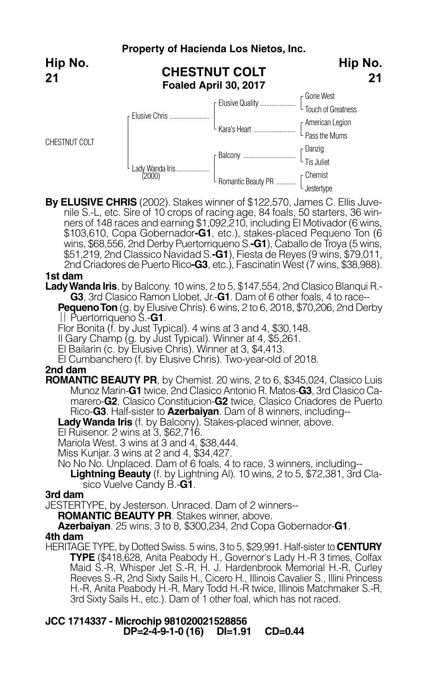#### **Property of Hacienda Los Nietos, Inc. CHESTNUT COLT Foaled April 30, 2017** Gone West Touch of Greatness Elusive Quality...................... American Legion Passthe Mums Kara's Heart .......................... Danzig **Tis Juliet** Chemist Balcony ................................. Romantic Beauty PR ............ r Elusive Chris .... Lady Wanda Iris....................<br>(2000) CHESTNUT COLT **Hip No. 21 Hip No. 21**

**By ELUSIVE CHRIS** (2002). Stakes winner of \$122,570, James C. Ellis Juvenile S.-L, etc. Sire of 10 crops of racing age, 84 foals, 50 starters, 36 winners of 148 races and earning \$1,092,210, including El Motivador (6 wins, \$103,610, Copa Gobernador**-G1**, etc.), stakes-placed Pequeno Ton (6 wins, \$68,556, 2nd Derby Puertorriqueno S.**-G1**), Caballo de Troya (5 wins, \$51,219, 2nd Classico Navidad S.**-G1**), Fiesta de Reyes (9 wins, \$79,011, 2nd Criadores de Puerto Rico**-G3**, etc.), Fascinatin West (7 wins, \$38,988).

**Jestertype** 

## **1st dam**

**LadyWanda Iris**, by Balcony. 10 wins, 2 to 5, \$147,554, 2nd Clasico Blanqui R.- **G3**, 3rd Clasico Ramon Llobet, Jr.-**G1**. Dam of 6 other foals, 4 to race-- **Pequeno Ton** (g. by Elusive Chris). 6 wins, 2 to 6, 2018, \$70,206, 2nd Derby

Puertorriqueno S.-**G1**.

Flor Bonita (f. by Just Typical). <sup>4</sup> wins at <sup>3</sup> and 4, \$30,148. Il Gary Champ (g. by Just Typical). Winner at 4, \$5,261.

El Bailarin (c. by Elusive Chris). Winner at 3, \$4,413.

El Cumbanchero (f. by Elusive Chris). Two-year-old of 2018.

## **2nd dam**

**ROMANTIC BEAUTY PR**, by Chemist. 20 wins, 2 to 6, \$345,024, Clasico Luis Munoz Marin-**G1** twice, 2nd Clasico Antonio R. Matos-**G3**, 3rd Clasico Ca marero-**G2**, Clasico Constitucion-**G2** twice, Clasico Criadores de Puerto Rico-**G3**. Half-sister to **Azerbaiyan**. Dam of 8 winners, including--

**LadyWanda Iris** (f. by Balcony). Stakes-placed winner, above.

El Ruisenor. 2 wins at 3, \$62,716.

Mariola West. 3 wins at 3 and 4, \$38,444.

Miss Kunjar. 3 wins at 2 and 4, \$34,427.

No No No. Unplaced. Dam of 6 foals, 4 to race, 3 winners, including--

**Lightning Beauty** (f. by Lightning Al). 10 wins, 2 to 5, \$72,381, 3rd Clasico Vuelve Candy B.-**G1**. **3rd dam**

JESTERTYPE, by Jesterson. Unraced. Dam of 2 winners--<br>**ROMANTIC BEAUTY PR**. Stakes winner, above.

**Azerbaiyan**. 25 wins, 3 to 8, \$300,234, 2nd Copa Gobernador-**G1**. **4th dam**

HERITAGE TYPE, by Dotted Swiss. 5 wins, 3 to 5, \$29,991. Half-sister to **CENTURY TYPE** (\$418,628, Anita Peabody H., Governor's Lady H.-R 3 times, Colfax Maid S.-R, Whisper Jet S.-R, H. J. Hardenbrook Memorial H.-R, Curley Reeves S.-R, 2nd Sixty Sails H., Cicero H., Illinois Cavalier S., Illini Princess H.-R, Anita Peabody H.-R, Mary Todd H.-R twice, Illinois Matchmaker S.-R, 3rd Sixty Sails H., etc.). Dam of 1 other foal, which has not raced.

## **JCC 1714337 - Microchip 981020021528856 DP=2-4-9-1-0 (16) DI=1.91 CD=0.44**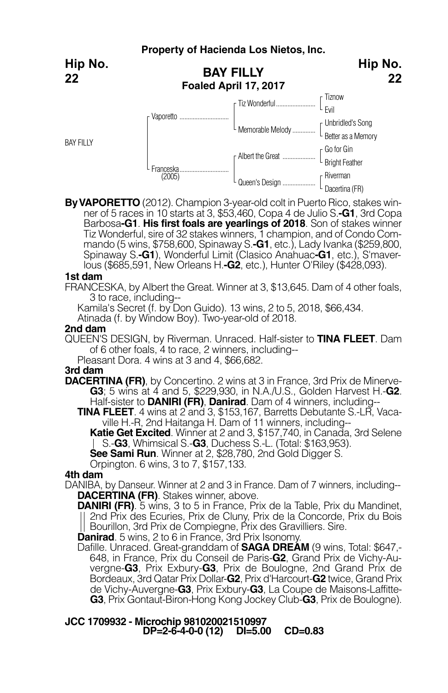|                  | Property of Hacienda Los Nietos, Inc.     |                    |                                         |  |  |
|------------------|-------------------------------------------|--------------------|-----------------------------------------|--|--|
| Hip No.<br>22    | <b>BAY FILLY</b><br>Foaled April 17, 2017 | Hip No.<br>22      |                                         |  |  |
|                  |                                           | [ Tiz Wonderful    | - Tiznow                                |  |  |
|                  | Vaporetto                                 |                    | L Evil                                  |  |  |
|                  |                                           | L Memorable Melody | [Unbridled's Song<br>Better as a Memory |  |  |
| <b>BAY FILLY</b> |                                           |                    |                                         |  |  |
|                  | Franceska<br>(2005)                       |                    | [Go for Gin<br>Bright Feather           |  |  |
|                  |                                           | F Albert the Great |                                         |  |  |
|                  |                                           |                    | r Riverman                              |  |  |
|                  |                                           | L Queen's Design   | Dacertina (FR)                          |  |  |

**ByVAPORETTO** (2012). Champion 3-year-old colt in Puerto Rico, stakes winner of 5 races in 10 starts at 3, \$53,460, Copa 4 de Julio S.**-G1**, 3rd Copa Barbosa**-G1**. **His first foals are yearlings of 2018**. Son of stakes winner Tiz Wonderful, sire of 32 stakes winners, 1 champion, and of Condo Commando (5 wins, \$758,600, Spinaway S.**-G1**, etc.), Lady Ivanka (\$259,800, Spinaway S.**-G1**), Wonderful Limit (Clasico Anahuac**-G1**, etc.), S'maverlous (\$685,591, New Orleans H.**-G2**, etc.), Hunter O'Riley (\$428,093).

#### **1st dam**

FRANCESKA, by Albert the Great. Winner at 3, \$13,645. Dam of 4 other foals, 3 to race, including--

Kamila's Secret (f. by Don Guido). 13 wins, 2 to 5, 2018, \$66,434.

Atinada (f. by Window Boy). Two-year-old of 2018.

### **2nd dam**

QUEEN'S DESIGN, by Riverman. Unraced. Half-sister to **TINA FLEET**. Dam of <sup>6</sup> other foals, <sup>4</sup> to race, <sup>2</sup> winners, including-- Pleasant Dora. <sup>4</sup> wins at <sup>3</sup> and 4, \$66,682.

## **3rd dam**

- **DACERTINA (FR)**, by Concertino. 2 wins at 3 in France, 3rd Prix de Minerve-**G3**; 5 wins at 4 and 5, \$229,930, in N.A./U.S., Golden Harvest H.-**G2**. Half-sister to **DANIRI (FR)**, **Danirad**. Dam of 4 winners, including--
	- **TINA FLEET**. 4 wins at 2 and 3, \$153,167, Barretts Debutante S.-LR, Vaca ville H.-R, 2nd Haitanga H. Dam of 11 winners, including--

**Katie Get Excited**. Winner at 2 and 3, \$157,740, in Canada, 3rd Selene S.-**G3**, Whimsical S.-**G3**, Duchess S.-L. (Total: \$163,953).

**See Sami Run**. Winner at 2, \$28,780, 2nd Gold Digger S.

Orpington. 6 wins, 3 to 7, \$157,133.

## **4th dam**

- DANIBA, by Danseur. Winner at 2 and 3 in France. Dam of 7 winners, including-- **DACERTINA (FR)**. Stakes winner, above.
	- **DANIRI (FR)**. 5 wins, 3 to 5 in France, Prix de la Table, Prix du Mandinet, 2nd Prix des Ecuries, Prix de Cluny, Prix de la Concorde, Prix du Bois Bourillon, 3rd Prix de Compiegne, Prix des Gravilliers. Sire.

**Danirad**. 5 wins, 2 to 6 in France, 3rd Prix Isonomy.

Dafille. Unraced. Great-granddam of **SAGA DREAM** (9 wins, Total: \$647,- 648, in France, Prix du Conseil de Paris-**G2**, Grand Prix de Vichy-Auvergne-**G3**, Prix Exbury-**G3**, Prix de Boulogne, 2nd Grand Prix de Bordeaux, 3rd Qatar Prix Dollar-**G2**, Prix d'Harcourt-**G2** twice, Grand Prix de Vichy-Auvergne-**G3**, Prix Exbury-**G3**, La Coupe de Maisons-Laffitte-**G3**, Prix Gontaut-Biron-Hong Kong Jockey Club-**G3**, Prix de Boulogne).

## **JCC 1709932 - Microchip 981020021510997 DP=2-6-4-0-0 (12) DI=5.00 CD=0.83**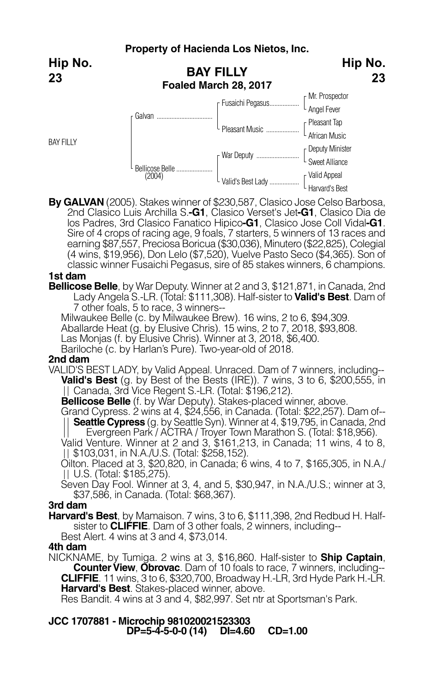**Hip No. 23**

**BAY FILLY** 

| Hip No.<br><b>BAY FILLY</b><br>23<br>Foaled March 28, 2017<br>[Mr. Prospector<br>4 Angel Fever<br>Fusaichi Pegasus<br>Galvan<br><sub>[</sub> Pleasant Tap<br>Pleasant Music<br>L African Music<br><b>Peputy Minister</b> |        |                   |                                   |
|--------------------------------------------------------------------------------------------------------------------------------------------------------------------------------------------------------------------------|--------|-------------------|-----------------------------------|
|                                                                                                                                                                                                                          |        |                   |                                   |
|                                                                                                                                                                                                                          |        |                   |                                   |
|                                                                                                                                                                                                                          |        |                   |                                   |
|                                                                                                                                                                                                                          |        |                   |                                   |
|                                                                                                                                                                                                                          |        |                   |                                   |
|                                                                                                                                                                                                                          |        | War Deputy        | L Sweet Alliance                  |
|                                                                                                                                                                                                                          | (2004) | Valid's Best Lady | [Valid Appeal]<br>[Harvard's Best |
| Bellicose Belle                                                                                                                                                                                                          |        |                   |                                   |

**By GALVAN** (2005). Stakes winner of \$230,587, Clasico Jose Celso Barbosa, 2nd Clasico Luis Archilla S.**-G1**, Clasico Verset's Jet**-G1**, Clasico Dia de los Padres, 3rd Clasico Fanatico Hipico**-G1**, Clasico Jose Coll Vidal**-G1**. Sire of 4 crops of racing age, 9 foals, 7 starters, 5 winners of 13 races and earning \$87,557, Preciosa Boricua (\$30,036), Minutero (\$22,825), Colegial (4 wins, \$19,956), Don Lelo (\$7,520), Vuelve Pasto Seco (\$4,365). Son of classic winner Fusaichi Pegasus, sire of 85 stakes winners, 6 champions.

## **1st dam**

**Bellicose Belle**, by War Deputy. Winner at 2 and 3, \$121,871, in Canada, 2nd Lady Angela S.-LR. (Total: \$111,308). Half-sister to **Valid's Best**. Dam of 7 other foals, 5 to race, 3 winners--

Milwaukee Belle (c. by Milwaukee Brew). 16 wins, 2 to 6, \$94,309.

Aballarde Heat (g. by Elusive Chris). <sup>15</sup> wins, <sup>2</sup> to 7, 2018, \$93,808. Las Monjas (f. by Elusive Chris). Winner at 3, 2018, \$6,400.

Bariloche (c. by Harlan's Pure). Two-year-old of 2018.

### **2nd dam**

VALID'S BEST LADY, by Valid Appeal. Unraced. Dam of 7 winners, including-- **Valid's Best** (g. by Best of the Bests (IRE)). 7 wins, 3 to 6, \$200,555, in Canada, 3rd Vice Regent S.-LR. (Total: \$196,212).

**Bellicose Belle** (f. by War Deputy). Stakes-placed winner, above.

Grand Cypress. 2 wins at 4, \$24,556, in Canada. (Total: \$22,257). Dam of-- **Seattle Cypress** (g. by Seattle Syn). Winner at 4, \$19,795, in Canada, 2nd Evergreen Park / ACTRA / Troyer Town Marathon S. (Total: \$18,956).

Valid Venture. Winner at 2 and 3, \$161,213, in Canada; 11 wins, 4 to 8, \$103,031, in N.A./U.S. (Total: \$258,152).

Oilton. Placed at 3, \$20,820, in Canada; 6 wins, 4 to 7, \$165,305, in N.A./ U.S. (Total: \$185,275).

Seven Day Fool. Winner at 3, 4, and 5, \$30,947, in N.A./U.S.; winner at 3, \$37,586, in Canada. (Total: \$68,367).

## **3rd dam**

**Harvard's Best**, by Mamaison. <sup>7</sup> wins, <sup>3</sup> to 6, \$111,398, 2nd Redbud H. Half- sister to **CLIFFIE**. Dam of <sup>3</sup> other foals, <sup>2</sup> winners, including--

Best Alert. 4 wins at 3 and 4, \$73,014.

## **4th dam**

NICKNAME, by Tumiga. 2 wins at 3, \$16,860. Half-sister to **Ship Captain**, **Counter View, Obrovac.** Dam of 10 foals to race, 7 winners, including--**CLIFFIE**. 11 wins, 3 to 6, \$320,700, Broadway H.-LR, 3rd Hyde Park H.-LR. **Harvard's Best**. Stakes-placed winner, above.

Res Bandit. 4 wins at 3 and 4, \$82,997. Set ntr at Sportsman's Park.

**JCC 1707881 - Microchip 981020021523303 DP=5-4-5-0-0 (14) DI=4.60 CD=1.00**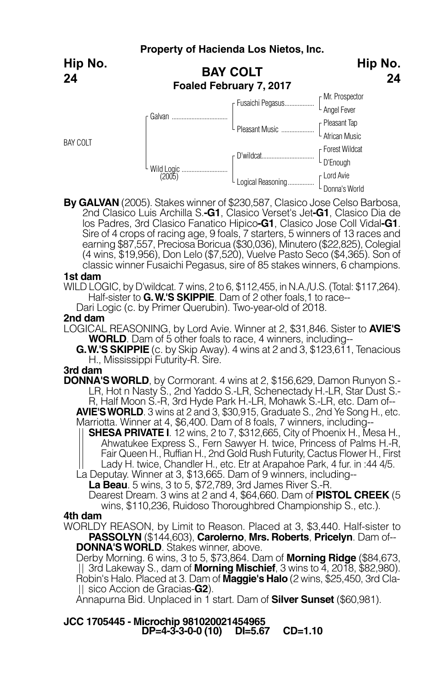**Hip No. 24**

BAY COLT

|                      | <b>BAY COLT</b><br>Foaled February 7, 2017 | . <b>.</b> <del>.</del> .<br>24 |
|----------------------|--------------------------------------------|---------------------------------|
| Galvan               | Fusaichi Pegasus                           | [Mr. Prospector<br>Angel Fever  |
|                      | L Pleasant Music                           | [Pleasant Tap<br>African Music  |
|                      |                                            | [Forest Wildcat<br>[D'Enough    |
| Wild Logic<br>(2005) | Logical Reasoning                          | r Lord Avie<br>Donna's World    |

**Hip No.**

**By GALVAN** (2005). Stakes winner of \$230,587, Clasico Jose Celso Barbosa, 2nd Clasico Luis Archilla S.**-G1**, Clasico Verset's Jet**-G1**, Clasico Dia de los Padres, 3rd Clasico Fanatico Hipico**-G1**, Clasico Jose Coll Vidal**-G1**. Sire of 4 crops of racing age, 9 foals, 7 starters, 5 winners of 13 races and earning \$87,557, Preciosa Boricua (\$30,036), Minutero (\$22,825), Colegial (4 wins, \$19,956), Don Lelo (\$7,520), Vuelve Pasto Seco (\$4,365). Son of classic winner Fusaichi Pegasus, sire of 85 stakes winners, 6 champions.

### **1st dam**

WILD LOGIC, by D'wildcat. 7 wins, 2 to 6, \$112,455, in N.A./U.S. (Total: \$117,264).<br>Half-sister to **G. W.'S SKIPPIE**. Dam of 2 other foals.1 to race--

Dari Logic (c. by Primer Querubin). Two-year-old of 2018.

## **2nd dam**

LOGICAL REASONING, by Lord Avie. Winner at 2, \$31,846. Sister to **AVIE'S WORLD**. Dam of 5 other foals to race, 4 winners, including--

**G.W.'S SKIPPIE** (c. by Skip Away). 4 wins at 2 and 3, \$123,611, Tenacious H., Mississippi Futurity-R. Sire.

## **3rd dam**

**DONNA'SWORLD**, by Cormorant. 4 wins at 2, \$156,629, Damon Runyon S.- LR, Hot n Nasty S., 2nd Yaddo S.-LR, Schenectady H.-LR, Star Dust S.- R, Half Moon S.-R, 3rd Hyde Park H.-LR, Mohawk S.-LR, etc. Dam of--

**AVIE'S WORLD**. 3 wins at 2 and 3, \$30,915, Graduate S., 2nd Ye Song H., etc. Marriotta. Winner at 4, \$6,400. Dam of 8 foals, 7 winners, including--

**SHESA PRIVATE I**. 12 wins, 2 to 7, \$312,665, City of Phoenix H., Mesa H., Ahwatukee Express S., Fern Sawyer H. twice, Princess of Palms H.-R, Fair Queen H., Ruffian H., 2nd Gold Rush Futurity, Cactus Flower H., First Lady H. twice, Chandler H., etc. Etr at Arapahoe Park, 4 fur. in :44 4/5. La Deputay. Winner at 3, \$13,665. Dam of 9 winners, including--

**La Beau**. 5 wins, 3 to 5, \$72,789, 3rd James River S.-R.

Dearest Dream. 3 wins at 2 and 4, \$64,660. Dam of **PISTOL CREEK** (5 wins, \$110,236, Ruidoso Thoroughbred Championship S., etc.).

## **4th dam**

WORLDY REASON, by Limit to Reason. Placed at 3, \$3,440. Half-sister to **PASSOLYN** (\$144,603), **Carolerno**, **Mrs. Roberts**, **Pricelyn**. Dam of-- **DONNA'SWORLD**. Stakes winner, above.

Derby Morning. 6 wins, 3 to 5, \$73,864. Dam of **Morning Ridge** (\$84,673, 3rd Lakeway S., dam of **Morning Mischief**, 3 wins to 4, 2018, \$82,980). Robin's Halo. Placed at 3. Dam of **Maggie's Halo** (2 wins, \$25,450, 3rd Cla- sico Accion de Gracias-**G2**).

Annapurna Bid. Unplaced in 1 start. Dam of **Silver Sunset** (\$60,981).

**JCC 1705445 - Microchip 981020021454965 DP=4-3-3-0-0 (10) DI=5.67 CD=1.10**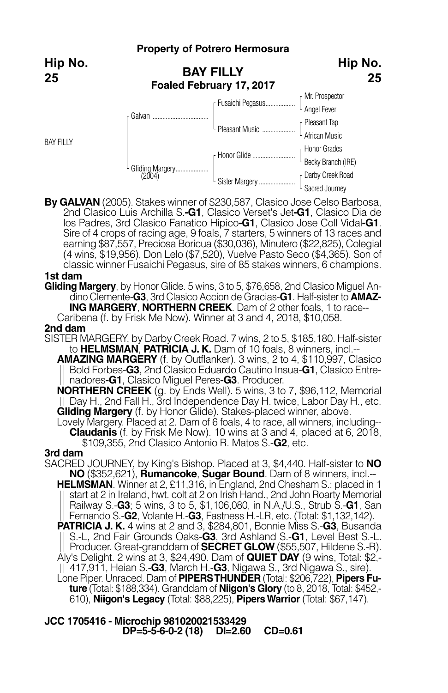## **Property of Potrero Hermosura**

**Hip No. 25**

**BAY FILLY** 

|                 | <b>BAY FILLY</b><br>Foaled February 17, 2017 | Hip No.<br>25                        |
|-----------------|----------------------------------------------|--------------------------------------|
|                 | Fusaichi Pegasus                             | Mr. Prospector<br>Angel Fever        |
| Galvan          |                                              |                                      |
|                 | L Pleasant Music                             | [Pleasant Tap<br>4 African Music     |
|                 |                                              |                                      |
|                 | r Honor Glide                                | [Honor Grades<br>[Becky Branch (IRE) |
| Gliding Margery |                                              |                                      |
|                 | Sister Margery                               | <b>Parby Creek Road</b>              |
|                 |                                              | Sacred Journey                       |

**By GALVAN** (2005). Stakes winner of \$230,587, Clasico Jose Celso Barbosa, 2nd Clasico Luis Archilla S.**-G1**, Clasico Verset's Jet**-G1**, Clasico Dia de los Padres, 3rd Clasico Fanatico Hipico**-G1**, Clasico Jose Coll Vidal**-G1**. Sire of 4 crops of racing age, 9 foals, 7 starters, 5 winners of 13 races and earning \$87,557, Preciosa Boricua (\$30,036), Minutero (\$22,825), Colegial (4 wins, \$19,956), Don Lelo (\$7,520), Vuelve Pasto Seco (\$4,365). Son of classic winner Fusaichi Pegasus, sire of 85 stakes winners, 6 champions.

## **1st dam**

**Gliding Margery**, by Honor Glide. 5 wins, 3 to 5, \$76,658, 2nd Clasico Miguel Andino Clemente-**G3**, 3rd Clasico Accion de Gracias-**G1**. Half-sister to **AMAZ- ING MARGERY**, **NORTHERN CREEK**. Dam of 2 other foals, 1 to race--

Caribena (f. by Frisk Me Now). Winner at 3 and 4, 2018, \$10,058.

#### **2nd dam**

- SISTER MARGERY, by Darby Creek Road. 7 wins, 2 to 5, \$185,180. Half-sister to **HELMSMAN**, **PATRICIA J. K.** Dam of 10 foals, 8 winners, incl.--
	- **AMAZING MARGERY** (f. by Outflanker). 3 wins, 2 to 4, \$110,997, Clasico Bold Forbes-**G3**, 2nd Clasico Eduardo Cautino Insua-**G1**, Clasico Entre- nadores**-G1**, Clasico Miguel Peres**-G3**. Producer.

**NORTHERN CREEK** (g. by Ends Well). 5 wins, 3 to 7, \$96,112, Memorial Day H., 2nd Fall H., 3rd Independence Day H. twice, Labor Day H., etc. **Gliding Margery** (f. by Honor Glide). Stakes-placed winner, above.

Lovely Margery. Placed at 2. Dam of 6 foals, 4 to race, all winners, including-- **Claudanis** (f. by Frisk Me Now). <sup>10</sup> wins at <sup>3</sup> and 4, placed at 6, 2018, \$109,355, 2nd Clasico Antonio R. Matos S.-**G2**, etc.

### **3rd dam**

SACRED JOURNEY, by King's Bishop. Placed at 3, \$4,440. Half-sister to **NO NO** (\$352,621), **Rumancoke**, **Sugar Bound**. Dam of 8 winners, incl.-- **HELMSMAN**. Winner at 2, £11,316, in England, 2nd Chesham S.; placed in 1 start at 2 in Ireland, hwt. colt at 2 on Irish Hand., 2nd John Roarty Memorial Railway S.-**G3**; 5 wins, 3 to 5, \$1,106,080, in N.A./U.S., Strub S.-**G1**, San Fernando S.-**G2**, Volante H.-**G3**, Fastness H.-LR, etc. (Total: \$1,132,142). **PATRICIA J. K.** 4 wins at 2 and 3, \$284,801, Bonnie Miss S.-**G3**, Busanda S.-L, 2nd Fair Grounds Oaks-**G3**, 3rd Ashland S.-**G1**, Level Best S.-L. Producer. Great-granddam of **SECRET GLOW** (\$55,507, Hildene S.-R). Aly's Delight. 2 wins at 3, \$24,490. Dam of **QUIET DAY** (9 wins, Total: \$2,- 417,911, Heian S.-**G3**, March H.-**G3**, Nigawa S., 3rd Nigawa S., sire). Lone Piper. Unraced. Dam of **PIPERSTHUNDER** (Total: \$206,722), **Pipers Fu ture** (Total: \$188,334). Granddam of **Niigon's Glory** (to 8, 2018, Total: \$452,- 610), **Niigon's Legacy** (Total: \$88,225), **PipersWarrior** (Total: \$67,147).

## **JCC 1705416 - Microchip 981020021533429 DP=5-5-6-0-2 (18) DI=2.60 CD=0.61**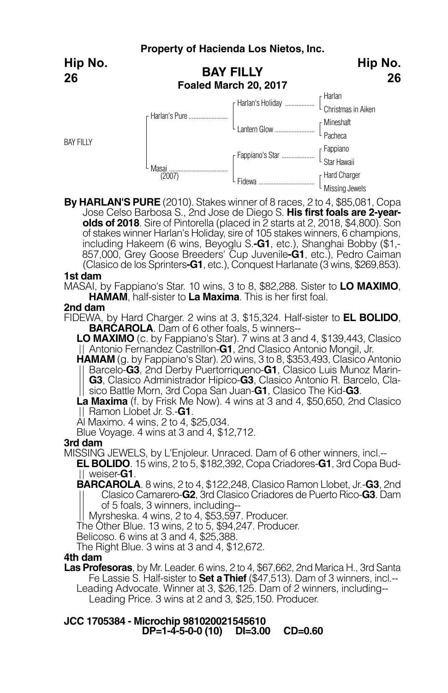|                  |                 | Property of Hacienda Los Nietos, Inc.     |                                 |
|------------------|-----------------|-------------------------------------------|---------------------------------|
| Hip No.<br>26    |                 | <b>BAY FILLY</b><br>Foaled March 20, 2017 | Hip No.<br>26                   |
|                  |                 |                                           |                                 |
|                  | r Harlan's Pure | F Harlan's Holiday                        | [ Harlan<br>Christmas in Aiken  |
|                  |                 |                                           | [Mineshaft                      |
|                  |                 |                                           | Pacheca                         |
| <b>BAY FILLY</b> |                 |                                           |                                 |
|                  | Masai<br>(2007) | [ Fappiano's Star                         | [Fappiano<br>Star Hawaii        |
|                  |                 |                                           |                                 |
|                  |                 | L Fidewa                                  | [Hard Charger<br>Missing Jewels |

**By HARLAN'S PURE** (2010). Stakes winner of 8 races, 2 to 4, \$85,081, Copa Jose Celso Barbosa S., 2nd Jose de Diego S. **His first foals are 2-yearolds of 2018**. Sire of Pintorella (placed in 2 starts at 2, 2018, \$4,800). Son of stakes winner Harlan's Holiday, sire of 105 stakes winners, 6 champions, including Hakeem (6 wins, Beyoglu S.**-G1**, etc.), Shanghai Bobby (\$1,- 857,000, Grey Goose Breeders' Cup Juvenile**-G1**, etc.), Pedro Caiman (Clasico de los Sprinters**-G1**, etc.), Conquest Harlanate (3 wins, \$269,853).

### **1st dam**

MASAI, by Fappiano's Star. 10 wins, 3 to 8, \$82,288. Sister to **LO MAXIMO**, **HAMAM**, half-sister to **La Maxima**. This is her first foal.

### **2nd dam**

FIDEWA, by Hard Charger. 2 wins at 3, \$15,324. Half-sister to **EL BOLIDO**, **BARCAROLA**. Dam of 6 other foals, 5 winners--

**LO MAXIMO** (c. by Fappiano's Star). 7 wins at 3 and 4, \$139,443, Clasico Antonio Fernandez Castrillon-**G1**, 2nd Clasico Antonio Mongil, Jr.

**HAMAM** (g. by Fappiano's Star). 20 wins, 3 to 8, \$353,493, Clasico Antonio Barcelo-**G3**, 2nd Derby Puertorriqueno-**G1**, Clasico Luis Munoz Marin-|| sico Battle Morn, 3rd Copa San Juan-G1, Clasico The Kid-G3.<br>La Maxima (f. by Frisk Me Now). 4 wins at 3 and 4, \$50,650, 2nd Clasico

Ramon Llobet Jr. S.-**G1**.

Al Maximo. 4 wins, 2 to 4, \$25,034.

Blue Voyage. 4 wins at 3 and 4, \$12,712.

### **3rd dam**

MISSING JEWELS, by L'Enjoleur. Unraced. Dam of 6 other winners, incl.--

**EL BOLIDO**. 15 wins, 2 to 5, \$182,392, Copa Criadores-**G1**, 3rd Copa Bud-

**BARCAROLA**. 8 wins, 2 to 4, \$122,248, Clasico Ramon Llobet, Jr.-**G3**, 2nd Clasico Camarero-**G2**, 3rd Clasico Criadores de Puerto Rico-**G3**. Dam of 5 foals, 3 winners, including--<br>Myrsheska. 4 wins, 2 to 4, \$53,597. Producer.

The Other Blue. 13 wins, 2 to 5, \$94,247. Producer.

Belicoso. 6 wins at 3 and 4, \$25,388.

The Right Blue. 3 wins at 3 and 4, \$12,672.

## **4th dam**

**Las Profesoras**, by Mr. Leader. 6 wins, 2 to 4, \$67,662, 2nd Marica H., 3rd Santa Fe Lassie S. Half-sister to **Set aThief** (\$47,513). Dam of 3 winners, incl.--

Leading Advocate. Winner at 3, \$26,125. Dam of <sup>2</sup> winners, including-- Leading Price. <sup>3</sup> wins at <sup>2</sup> and 3, \$25,150. Producer.

## **JCC 1705384 - Microchip 981020021545610 DP=1-4-5-0-0 (10) DI=3.00 CD=0.60**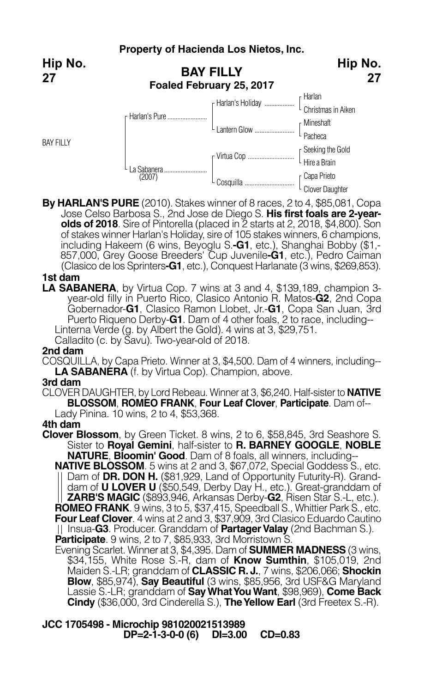**Hip No. 27**

BAY FILLY



**By HARLAN'S PURE** (2010). Stakes winner of 8 races, 2 to 4, \$85,081, Copa Jose Celso Barbosa S., 2nd Jose de Diego S. **His first foals are 2-yearolds of 2018**. Sire of Pintorella (placed in 2 starts at 2, 2018, \$4,800). Son of stakes winner Harlan's Holiday, sire of 105 stakes winners, 6 champions, including Hakeem (6 wins, Beyoglu S.**-G1**, etc.), Shanghai Bobby (\$1,- 857,000, Grey Goose Breeders' Cup Juvenile**-G1**, etc.), Pedro Caiman (Clasico de los Sprinters**-G1**, etc.), Conquest Harlanate (3 wins, \$269,853).

## **1st dam**

**LA SABANERA**, by Virtua Cop. 7 wins at 3 and 4, \$139,189, champion 3 year-old filly in Puerto Rico, Clasico Antonio R. Matos-**G2**, 2nd Copa Gobernador-**G1**, Clasico Ramon Llobet, Jr.-**G1**, Copa San Juan, 3rd Puerto Riqueno Derby-**G1**. Dam of 4 other foals, 2 to race, including-- Linterna Verde (g. by Albert the Gold). 4 wins at 3, \$29,751.

Calladito (c. by Savu). Two-year-old of 2018.

## **2nd dam**

COSQUILLA, by Capa Prieto. Winner at 3, \$4,500. Dam of 4 winners, including-- **LA SABANERA** (f. by Virtua Cop). Champion, above. **3rd dam**

CLOVER DAUGHTER, by Lord Rebeau. Winner at 3, \$6,240. Half-sister to **NATIVE BLOSSOM**, **ROMEO FRANK**, **Four Leaf Clover**, **Participate**. Dam of-- Lady Pinina. 10 wins, 2 to 4, \$53,368.

## **4th dam**

**Clover Blossom**, by Green Ticket. 8 wins, 2 to 6, \$58,845, 3rd Seashore S. Sister to **Royal Gemini**, half-sister to **R. BARNEY GOOGLE**, **NOBLE NATURE**, **Bloomin' Good**. Dam of 8 foals, all winners, including--

**NATIVE BLOSSOM**. 5 wins at 2 and 3, \$67,072, Special Goddess S., etc. Dam of **DR. DON H.** (\$81,929, Land of Opportunity Futurity-R). Granddam of **U LOVER U** (\$50,549, Derby Day H., etc.). Great-granddam of **ZARB'S MAGIC** (\$893,946, Arkansas Derby-**G2**, Risen Star S.-L, etc.). **ROMEO FRANK**. 9 wins, 3 to 5, \$37,415, Speedball S., Whittier Park S., etc. **Four Leaf Clover**. 4 wins at 2 and 3, \$37,909, 3rd Clasico Eduardo Cautino || Insua-**G3**. Producer. Granddam of **Partager Valay** (2nd Bachman S.).<br>**Participate**. 9 wins, 2 to 7, \$85,933, 3rd Morristown S.

**Participate**. <sup>9</sup> wins, <sup>2</sup> to 7, \$85,933, 3rd Morristown S. Evening Scarlet. Winner at 3, \$4,395. Dam of **SUMMER MADNESS** (3 wins, \$34,155, White Rose S.-R, dam of **Know Sumthin**, \$105,019, 2nd Maiden S.-LR; granddam of **CLASSIC R. J.**, 7 wins, \$206,066; **Shockin Blow**, \$85,974), **Say Beautiful** (3 wins, \$85,956, 3rd USF&G Maryland Lassie S.-LR; granddam of **SayWhatYouWant**, \$98,969), **Come Back Cindy** (\$36,000, 3rd Cinderella S.), **TheYellow Earl** (3rd Freetex S.-R).

**JCC 1705498 - Microchip 981020021513989 DP=2-1-3-0-0 (6) DI=3.00 CD=0.83**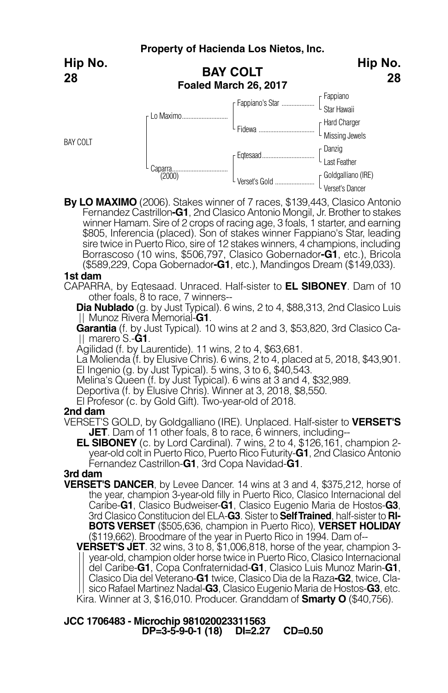**Property of Hacienda Los Nietos, Inc. BAY COLT Foaled March 26, 2017** Fappiano Star Hawaii Hard Charger Missing Jewels Danzig L<sub>I</sub> ast Feather Goldgalliano (IRE) Verset's Dancer Fappiano's Star ..... - Fidewa .... Eqtesaad................................ Verset's Gold ........................ r Lo Maximo... Caparra......<br>(2000) BAY COLT **Hip No. 28 Hip No. 28**

**By LO MAXIMO** (2006). Stakes winner of 7 races, \$139,443, Clasico Antonio Fernandez Castrillon**-G1**, 2nd Clasico Antonio Mongil, Jr. Brother to stakes winner Hamam. Sire of 2 crops of racing age, 3 foals, 1 starter, and earning \$805, Inferencia (placed). Son of stakes winner Fappiano's Star, leading sire twice in Puerto Rico, sire of 12 stakes winners, 4 champions, including Borrascoso (10 wins, \$506,797, Clasico Gobernador**-G1**, etc.), Bricola (\$589,229, Copa Gobernador**-G1**, etc.), Mandingos Dream (\$149,033).

## **1st dam**

CAPARRA, by Eqtesaad. Unraced. Half-sister to **EL SIBONEY**. Dam of 10 other foals, 8 to race, 7 winners--

**Dia Nublado** (g. by Just Typical). 6 wins, 2 to 4, \$88,313, 2nd Clasico Luis Munoz Rivera Memorial-**G1**.

**Garantia** (f. by Just Typical). 10 wins at 2 and 3, \$53,820, 3rd Clasico Camarero S.-**G1**.

Agilidad (f. by Laurentide). 11 wins, 2 to 4, \$63,681.

La Molienda (f. by Elusive Chris). 6 wins, 2 to 4, placed at 5, 2018, \$43,901. El Ingenio (g. by Just Typical). 5 wins, 3 to 6, \$40,543.

Melina's Queen (f. by Just Typical). 6 wins at 3 and 4, \$32,989.<br>Deportiva (f. by Elusive Chris). Winner at 3, 2018, \$8,550.

El Profesor (c. by Gold Gift). Two-year-old of 2018.

## **2nd dam**

VERSET'S GOLD, by Goldgalliano (IRE). Unplaced. Half-sister to **VERSET'S**

**EL SIBONEY** (c. by Lord Cardinal). 7 wins, 2 to 4, \$126,161, champion 2year-old colt in Puerto Rico, Puerto Rico Futurity-**G1**, 2nd Clasico Antonio Fernandez Castrillon-**G1**, 3rd Copa Navidad-**G1**.

## **3rd dam**

**VERSET'S DANCER**, by Levee Dancer. 14 wins at 3 and 4, \$375,212, horse of the year, champion 3-year-old filly in Puerto Rico, Clasico Internacional del Caribe-**G1**, Clasico Budweiser-**G1**, Clasico Eugenio Maria de Hostos-**G3**, 3rd Clasico Constitucion del ELA-**G3**. Sister to **SelfTrained**, half-sister to **RI-BOTS VERSET** (\$505,636, champion in Puerto Rico), **VERSET HOLIDAY** (\$119,662). Broodmare of the year in Puerto Rico in 1994. Dam of--

**VERSET'S JET**. 32 wins, 3 to 8, \$1,006,818, horse of the year, champion 3 year-old, champion older horse twice in Puerto Rico, Clasico Internacional del Caribe-**G1**, Copa Confraternidad-**G1**, Clasico Luis Munoz Marin-**G1**, Clasico Dia del Veterano-**G1** twice, Clasico Dia de la Raza**-G2**, twice, Cla sico Rafael Martinez Nadal-**G3**, Clasico Eugenio Maria de Hostos-**G3**, etc. Kira. Winner at 3, \$16,010. Producer. Granddam of **Smarty O** (\$40,756).

**JCC 1706483 - Microchip 981020023311563 DP=3-5-9-0-1 (18) DI=2.27 CD=0.50**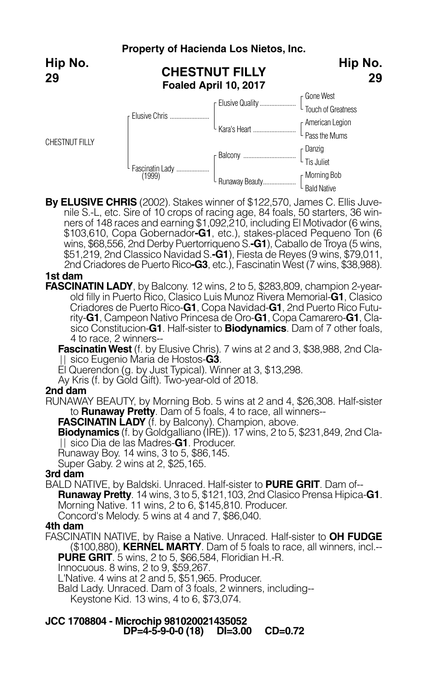## **Property of Hacienda Los Nietos, Inc. CHESTNUT FILLY Hip No.**



**By ELUSIVE CHRIS** (2002). Stakes winner of \$122,570, James C. Ellis Juvenile S.-L, etc. Sire of 10 crops of racing age, 84 foals, 50 starters, 36 winners of 148 races and earning \$1,092,210, including El Motivador (6 wins, \$103,610, Copa Gobernador**-G1**, etc.), stakes-placed Pequeno Ton (6 wins, \$68,556, 2nd Derby Puertorriqueno S.**-G1**), Caballo de Troya (5 wins, \$51,219, 2nd Classico Navidad S.**-G1**), Fiesta de Reyes (9 wins, \$79,011, 2nd Criadores de Puerto Rico**-G3**, etc.), Fascinatin West (7 wins, \$38,988).

Bald Native

## **1st dam**

**FASCINATIN LADY**, by Balcony. 12 wins, 2 to 5, \$283,809, champion 2-yearold filly in Puerto Rico, Clasico Luis Munoz Rivera Memorial-**G1**, Clasico Criadores de Puerto Rico-**G1**, Copa Navidad-**G1**, 2nd Puerto Rico Futurity-**G1**, Campeon Nativo Princesa de Oro-**G1**, Copa Camarero-**G1**, Clasico Constitucion-**G1**. Half-sister to **Biodynamics**. Dam of 7 other foals, 4 to race, 2 winners--

**Fascinatin West** (f. by Elusive Chris). 7 wins at 2 and 3, \$38,988, 2nd Cla-<br>|| sico Eugenio Maria de Hostos-**G3**.

El Querendon (g. by Just Typical). Winner at 3, \$13,298.

Ay Kris (f. by Gold Gift). Two-year-old of 2018.

## **2nd dam**

RUNAWAY BEAUTY, by Morning Bob. 5 wins at 2 and 4, \$26,308. Half-sister to **Runaway Pretty**. Dam of 5 foals, 4 to race, all winners--

**FASCINATIN LADY** (f. by Balcony). Champion, above.

**Biodynamics** (f. by Goldgalliano (IRE)). 17 wins, 2 to 5, \$231,849, 2nd Clasico Dia de las Madres-**G1**. Producer.

Runaway Boy. 14 wins, 3 to 5, \$86,145.

Super Gaby. 2 wins at 2, \$25,165.

## **3rd dam**

BALD NATIVE, by Baldski. Unraced. Half-sister to **PURE GRIT**. Dam of-- **Runaway Pretty**. <sup>14</sup> wins, <sup>3</sup> to 5, \$121,103, 2nd Clasico Prensa Hipica-**G1**. Morning Native. 11 wins, 2 to 6, \$145,810. Producer. Concord's Melody. 5 wins at 4 and 7, \$86,040.

## **4th dam**

FASCINATIN NATIVE, by Raise a Native. Unraced. Half-sister to **OH FUDGE** (\$100,880), **KERNEL MARTY**. Dam of 5 foals to race, all winners, incl.-- **PURE GRIT**. 5 wins, 2 to 5, \$66,584, Floridian H.-R.

Innocuous. 8 wins, 2 to 9, \$59,267.

L'Native. 4 wins at 2 and 5, \$51,965. Producer.

Bald Lady. Unraced. Dam of 3 foals, 2 winners, including--

Keystone Kid. 13 wins, 4 to 6, \$73,074.

## **JCC 1708804 - Microchip 981020021435052 DP=4-5-9-0-0 (18) DI=3.00 CD=0.72**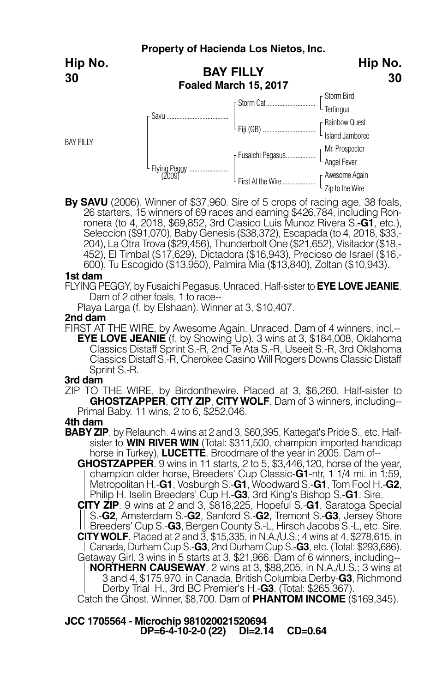**Hip No. 30**

BAY FILLY



**By SAVU** (2006). Winner of \$37,960. Sire of 5 crops of racing age, 38 foals, ronera (to 4, 2018, \$69,852, 3rd Clasico Luis Munoz Rivera S.**-G1**, etc.),<br>Seleccion (\$91,070), Baby Genesis (\$38,372), Escapada (to 4, 2018, \$33,-204), La Otra Trova (\$29,456), Thunderbolt One (\$21,652), Visitador (\$18,-452), El Timbal (\$17,629), Dictadora (\$16,943), Precioso de Israel (\$16,- 600), Tu Escogido (\$13,950), Palmira Mia (\$13,840), Zoltan (\$10,943).

#### **1st dam**

FLYING PEGGY, by Fusaichi Pegasus. Unraced. Half-sister to **EYE LOVE JEANIE**. Dam of 2 other foals, 1 to race--

Playa Larga (f. by Elshaan). Winner at 3, \$10,407.

#### **2nd dam**

FIRST AT THE WIRE, by Awesome Again. Unraced. Dam of 4 winners, incl.-- **EYE LOVE JEANIE** (f. by Showing Up). 3 wins at 3, \$184,008, Oklahoma Classics Distaff Sprint S.-R, 2nd Te Ata S.-R, Useeit S.-R, 3rd Oklahoma Classics Distaff S.-R, Cherokee Casino Will Rogers Downs Classic Distaff Sprint S.-R.

#### **3rd dam**

ZIP TO THE WIRE, by Birdonthewire. Placed at 3, \$6,260. Half-sister to **GHOSTZAPPER**, **CITY ZIP**, **CITYWOLF**. Dam of <sup>3</sup> winners, including-- Primal Baby. <sup>11</sup> wins, <sup>2</sup> to 6, \$252,046.

## **4th dam**

**BABY ZIP**, by Relaunch. 4 wins at 2 and 3, \$60,395, Kattegat's Pride S., etc. Half sister to **WIN RIVER WIN** (Total: \$311,500, champion imported handicap horse in Turkey), **LUCETTE**. Broodmare of the year in 2005. Dam of--

**GHOSTZAPPER**. 9 wins in 11 starts, 2 to 5, \$3,446,120, horse of the year, champion older horse, Breeders' Cup Classic-**G1**-ntr, 1 1/4 mi. in 1:59, Metropolitan H.-**G1**, Vosburgh S.-**G1**, Woodward S.-**G1**, Tom Fool H.-**G2**, Philip H. Iselin Breeders' Cup H.-**G3**, 3rd King's Bishop S.-**G1**. Sire.

**CITY ZIP**. 9 wins at 2 and 3, \$818,225, Hopeful S.-**G1**, Saratoga Special S.-**G2**, Amsterdam S.-**G2**, Sanford S.-**G2**, Tremont S.-**G3**, Jersey Shore Breeders' Cup S.-**G3**, Bergen County S.-L, Hirsch Jacobs S.-L, etc. Sire. **CITYWOLF**. Placed at 2 and 3, \$15,335, in N.A./U.S.; 4 wins at 4, \$278,615, in Canada, Durham Cup S.-**G3**, 2nd Durham Cup S.-**G3**, etc. (Total: \$293,686). Getaway Girl. 3 wins in 5 starts at 3, \$21,966. Dam of 6 winners, including-- **NORTHERN CAUSEWAY**. 2 wins at 3, \$88,205, in N.A./U.S.; 3 wins at 3 and 4, \$175,970, in Canada, British Columbia Derby-**G3**, Richmond Derby Trial H., 3rd BC Premier's H.-**G3**. (Total: \$265,367).

Catch the Ghost. Winner, \$8,700. Dam of **PHANTOM INCOME** (\$169,345).

**JCC 1705564 - Microchip 981020021520694 DP=6-4-10-2-0 (22) DI=2.14 CD=0.64**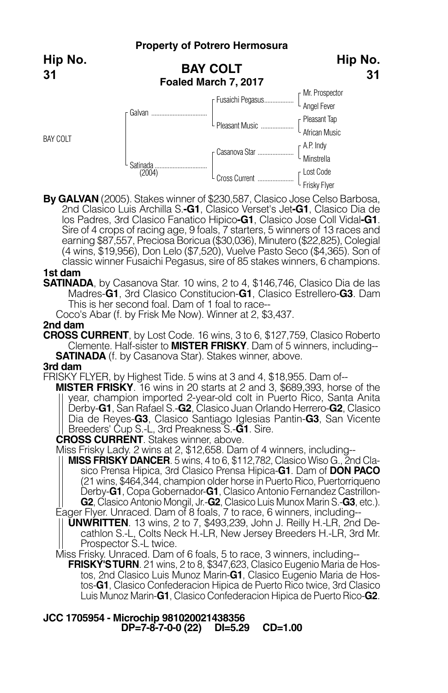## **Property of Potrero Hermosura**

**Hip No.**

**Hip No. 31**



**By GALVAN** (2005). Stakes winner of \$230,587, Clasico Jose Celso Barbosa, 2nd Clasico Luis Archilla S.**-G1**, Clasico Verset's Jet**-G1**, Clasico Dia de los Padres, 3rd Clasico Fanatico Hipico**-G1**, Clasico Jose Coll Vidal**-G1**. Sire of 4 crops of racing age, 9 foals, 7 starters, 5 winners of 13 races and earning \$87,557, Preciosa Boricua (\$30,036), Minutero (\$22,825), Colegial (4 wins, \$19,956), Don Lelo (\$7,520), Vuelve Pasto Seco (\$4,365). Son of classic winner Fusaichi Pegasus, sire of 85 stakes winners, 6 champions.

### **1st dam**

**SATINADA**, by Casanova Star. 10 wins, 2 to 4, \$146,746, Clasico Dia de las Madres-**G1**, 3rd Clasico Constitucion-**G1**, Clasico Estrellero-**G3**. Dam This is her second foal. Dam of 1 foal to race--

Coco's Abar (f. by Frisk Me Now). Winner at 2, \$3,437.

### **2nd dam**

**CROSS CURRENT**, by Lost Code. 16 wins, 3 to 6, \$127,759, Clasico Roberto Clemente. Half-sister to **MISTER FRISKY**. Dam of 5 winners, including-- **SATINADA** (f. by Casanova Star). Stakes winner, above.

### **3rd dam**

FRISKY FLYER, by Highest Tide. 5 wins at 3 and 4, \$18,955. Dam of--

**MISTER FRISKY**. 16 wins in 20 starts at 2 and 3, \$689,393, horse of the year, champion imported 2-year-old colt in Puerto Rico, Santa Anita Derby-**G1**, San Rafael S.-**G2**, Clasico Juan Orlando Herrero-**G2**, Clasico Dia de Reyes-**G3**, Clasico Santiago Iglesias Pantin-**G3**, San Vicente Breeders' Cup S.-L, 3rd Preakness S.-**G1**. Sire.

**CROSS CURRENT**. Stakes winner, above.

Miss Frisky Lady. 2 wins at 2, \$12,658. Dam of 4 winners, including--

**MISS FRISKY DANCER**. 5 wins, 4 to 6, \$112,782, Clasico Wiso G., 2nd Clasico Prensa Hipica, 3rd Clasico Prensa Hipica-**G1**. Dam of **DON PACO** (21 wins, \$464,344, champion older horse in Puerto Rico, Puertorriqueno Derby-**G1**, Copa Gobernador-**G1**, Clasico Antonio Fernandez Castrillon- **G2**, Clasico Antonio Mongil, Jr.-**G2**, Clasico Luis Munox Marin S.-**G3**, etc.).

Eager Flyer. Unraced. Dam of 8 foals, 7 to race, 6 winners, including-- **UNWRITTEN**. 13 wins, 2 to 7, \$493,239, John J. Reilly H.-LR, 2nd Decathlon S.-L, Colts Neck H.-LR, New Jersey Breeders H.-LR, 3rd Mr. Prospector S.-L twice.

Miss Frisky. Unraced. Dam of 6 foals, 5 to race, 3 winners, including--

**FRISKY'STURN**. 21 wins, 2 to 8, \$347,623, Clasico Eugenio Maria de Hostos, 2nd Clasico Luis Munoz Marin-**G1**, Clasico Eugenio Maria de Hostos-**G1**, Clasico Confederacion Hipica de Puerto Rico twice, 3rd Clasico Luis Munoz Marin-**G1**, Clasico Confederacion Hipica de Puerto Rico-**G2**.

**JCC 1705954 - Microchip 981020021438356 DP=7-8-7-0-0 (22) DI=5.29 CD=1.00**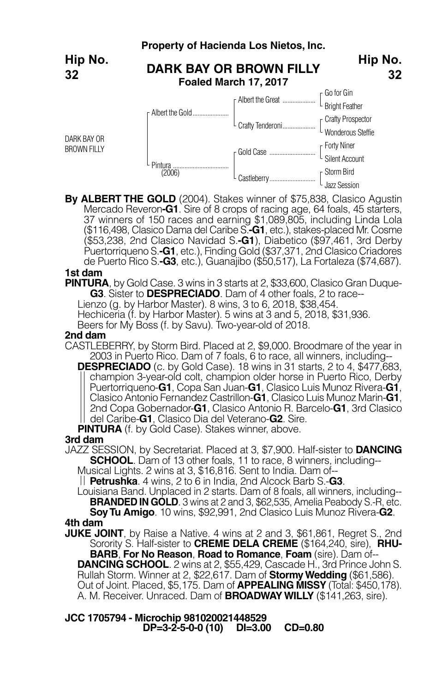

**By ALBERT THE GOLD** (2004). Stakes winner of \$75,838, Clasico Agustin Mercado Reveron**-G1**. Sire of 8 crops of racing age, 64 foals, 45 starters, 37 winners of 150 races and earning \$1,089,805, including Linda Lola (\$116,498, Clasico Dama del Caribe S.**-G1**, etc.), stakes-placed Mr. Cosme (\$53,238, 2nd Clasico Navidad S.**-G1**), Diabetico (\$97,461, 3rd Derby Puertorriqueno S.**-G1**, etc.), Finding Gold (\$37,371, 2nd Clasico Criadores de Puerto Rico S.**-G3**, etc.), Guanajibo (\$50,517), La Fortaleza (\$74,687).

## **1st dam**

**PINTURA**, by Gold Case. 3 wins in 3 starts at 2, \$33,600, Clasico Gran Duque-**G3**. Sister to **DESPRECIADO**. Dam of 4 other foals, 2 to race--

Lienzo (g. by Harbor Master). 8 wins, 3 to 6, 2018, \$38,454.

Hechiceria (f. by Harbor Master). 5 wins at 3 and 5, 2018, \$31,936.

Beers for My Boss (f. by Savu). Two-year-old of 2018.

#### **2nd dam**

CASTLEBERRY, by Storm Bird. Placed at 2, \$9,000. Broodmare of the year in 2003 in Puerto Rico. Dam of 7 foals, 6 to race, all winners, including--

**DESPRECIADO** (c. by Gold Case). 18 wins in 31 starts, 2 to 4, \$477,683, <br>|| champion 3-year-old colt, champion older horse in Puerto Rico, Derby Puertorriqueno-**G1**, Copa San Juan-**G1**, Clasico Luis Munoz Rivera-**G1**, Clasico Antonio Fernandez Castrillon-**G1**, Clasico Luis Munoz Marin-**G1**, 2nd Copa Gobernador-**G1**, Clasico Antonio R. Barcelo-**G1**, 3rd Clasico del Caribe-**G1**, Clasico Dia del Veterano-**G2**. Sire.

**PINTURA** (f. by Gold Case). Stakes winner, above. **3rd dam**

JAZZ SESSION, by Secretariat. Placed at 3, \$7,900. Half-sister to **DANCING SCHOOL**. Dam of 13 other foals, 11 to race, 8 winners, including--

Musical Lights. 2 wins at 3, \$16,816. Sent to India. Dam of--

**Petrushka**. 4 wins, 2 to 6 in India, 2nd Alcock Barb S.-**G3**.

Louisiana Band. Unplaced in 2 starts. Dam of 8 foals, all winners, including-- **BRANDED IN GOLD**. 3 wins at 2 and 3, \$62,535, Amelia Peabody S.-R, etc.

**SoyTu Amigo**. 10 wins, \$92,991, 2nd Clasico Luis Munoz Rivera-**G2**. **4th dam**

**JUKE JOINT**, by Raise a Native. 4 wins at 2 and 3, \$61,861, Regret S., 2nd Sorority S. Half-sister to **CREME DELA CREME** (\$164,240, sire), **RHU-BARB**, **For No Reason**, **Road to Romance**, **Foam** (sire). Dam of--

**DANCING SCHOOL**. 2 wins at 2, \$55,429, Cascade H., 3rd Prince John S. Rullah Storm. Winner at 2, \$22,617. Dam of **StormyWedding** (\$61,586). Out of Joint. Placed, \$5,175. Dam of **APPEALING MISSY** (Total: \$450,178). A. M. Receiver. Unraced. Dam of **BROADWAY WILLY** (\$141,263, sire).

**JCC 1705794 - Microchip 981020021448529 DP=3-2-5-0-0 (10) DI=3.00 CD=0.80**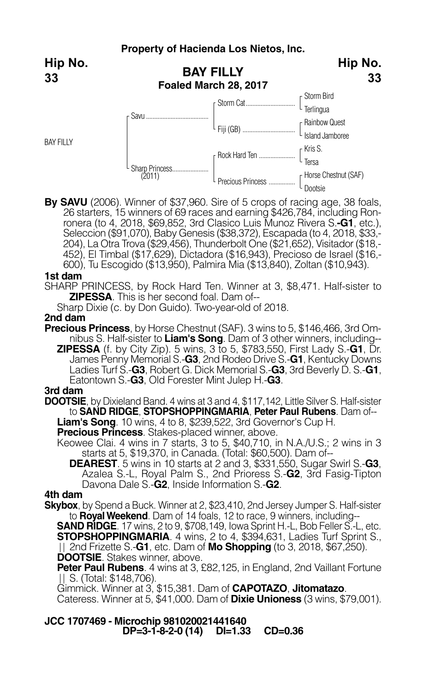**Hip No. 33**

BAY FILLY



**By SAVU** (2006). Winner of \$37,960. Sire of 5 crops of racing age, 38 foals, 26 starters, 15 winners of 69 races and earning \$426,784, including Ronronera (to 4, 2018, \$69,852, 3rd Clasico Luis Munoz Rivera S.**-G1**, etc.), Seleccion (\$91,070), Baby Genesis (\$38,372), Escapada (to 4, 2018, \$33,- 204), La Otra Trova (\$29,456), Thunderbolt One (\$21,652), Visitador (\$18,- 452), El Timbal (\$17,629), Dictadora (\$16,943), Precioso de Israel (\$16,- 600), Tu Escogido (\$13,950), Palmira Mia (\$13,840), Zoltan (\$10,943).

### **1st dam**

SHARP PRINCESS, by Rock Hard Ten. Winner at 3, \$8,471. Half-sister to **ZIPESSA**. This is her second foal. Dam of--

Sharp Dixie (c. by Don Guido). Two-year-old of 2018.

**2nd dam**

**Precious Princess**, by Horse Chestnut (SAF). 3 wins to 5, \$146,466, 3rd Omnibus S. Half-sister to **Liam's Song**. Dam of 3 other winners, including-- **ZIPESSA** (f. by City Zip). 5 wins, 3 to 5, \$783,550, First Lady S.-**G1**, Dr. James Penny Memorial S.-**G3**, 2nd Rodeo Drive S.-**G1**, Kentucky Downs Ladies Turf S.-**G3**, Robert G. Dick Memorial S.-**G3**, 3rd Beverly D. S.-**G1**,

Eatontown S.-**G3**, Old Forester Mint Julep H.-**G3**. **3rd dam**

**DOOTSIE**, by Dixieland Band. 4 wins at 3 and 4, \$117,142, Little Silver S. Half-sister to **SAND RIDGE**, **STOPSHOPPINGMARIA**, **Peter Paul Rubens**. Dam of-- **Liam's Song**. 10 wins, 4 to 8, \$239,522, 3rd Governor's Cup H.

**Precious Princess**. Stakes-placed winner, above.

Keowee Clai. 4 wins in 7 starts, 3 to 5, \$40,710, in N.A./U.S.; 2 wins in 3 starts at 5, \$19,370, in Canada. (Total: \$60,500). Dam of--

**DEAREST**. 5 wins in 10 starts at 2 and 3, \$331,550, Sugar Swirl S.-**G3**, Azalea S.-L, Royal Palm S., 2nd Prioress S.-**G2**, 3rd Fasig-Tipton Davona Dale S.-**G2**, Inside Information S.-**G2**. **4th dam**

**Skybox**, by Spend a Buck. Winner at 2, \$23,410, 2nd Jersey Jumper S. Half-sister to **RoyalWeekend**. Dam of 14 foals, 12 to race, 9 winners, including--

**SAND RIDGE**. 17 wins, 2 to 9, \$708,149, Iowa Sprint H.-L, Bob Feller S.-L, etc. **STOPSHOPPINGMARIA**. 4 wins, 2 to 4, \$394,631, Ladies Turf Sprint S., 2nd Frizette S.-**G1**, etc. Dam of **Mo Shopping** (to 3, 2018, \$67,250). **DOOTSIE**. Stakes winner, above.

**Peter Paul Rubens**. 4 wins at 3, £82,125, in England, 2nd Vaillant Fortune S. (Total: \$148,706).

Gimmick. Winner at 3, \$15,381. Dam of **CAPOTAZO**, **Jitomatazo**.

Cateress. Winner at 5, \$41,000. Dam of **Dixie Unioness** (3 wins, \$79,001).

**JCC 1707469 - Microchip 981020021441640 DP=3-1-8-2-0 (14) DI=1.33 CD=0.36**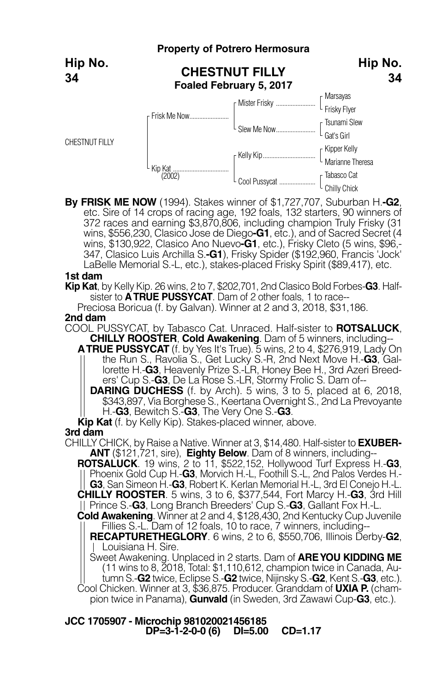|                       |              | <b>Property of Potrero Hermosura</b>             |                              |
|-----------------------|--------------|--------------------------------------------------|------------------------------|
| Hip No.<br>34         |              | <b>CHESTNUT FILLY</b><br>Foaled February 5, 2017 |                              |
|                       |              |                                                  |                              |
| <b>CHESTNUT FILLY</b> | Frisk Me Now | L Slew Me Now                                    | [ Tsunami Slew<br>Gat's Girl |
|                       |              |                                                  |                              |
|                       |              |                                                  |                              |

**By FRISK ME NOW** (1994). Stakes winner of \$1,727,707, Suburban H.**-G2**, etc. Sire of 14 crops of racing age, 192 foals, 132 starters, 90 winners of 372 races and earning \$3,870,806, including champion Truly Frisky (31 wins, \$556,230, Clasico Jose de Diego**-G1**, etc.), and of Sacred Secret (4 wins, \$130,922, Clasico Ano Nuevo**-G1**, etc.), Frisky Cleto (5 wins, \$96,- 347, Clasico Luis Archilla S.**-G1**), Frisky Spider (\$192,960, Francis 'Jock' LaBelle Memorial S.-L, etc.), stakes-placed Frisky Spirit (\$89,417), etc.

### **1st dam**

**Kip Kat**, by Kelly Kip. 26 wins, 2 to 7, \$202,701, 2nd Clasico Bold Forbes-**G3**. Halfsister to **ATRUE PUSSYCAT**. Dam of 2 other foals, 1 to race--

Preciosa Boricua (f. by Galvan). Winner at 2 and 3, 2018, \$31,186. **2nd dam**

COOL PUSSYCAT, by Tabasco Cat. Unraced. Half-sister to **ROTSALUCK**, **CHILLY ROOSTER**, **Cold Awakening**. Dam of 5 winners, including--

**ATRUE PUSSYCAT** (f. by Yes It's True). 5 wins, 2 to 4, \$276,919, Lady On the Run S., Ravolia S., Get Lucky S.-R, 2nd Next Move H.-**G3**, Gallorette H.-**G3**, Heavenly Prize S.-LR, Honey Bee H., 3rd Azeri Breed-

**DARING DUCHESS** (f. by Arch). 5 wins, 3 to 5, placed at 6, 2018, \$343,897, Via Borghese S., Keertana Overnight S., 2nd La Prevoyante H.-**G3**, Bewitch S.-**G3**, The Very One S.-**G3**.

**Kip Kat** (f. by Kelly Kip). Stakes-placed winner, above.

### **3rd dam**

CHILLY CHICK, by Raise a Native. Winner at 3, \$14,480. Half-sister to **EXUBER-ANT** (\$121,721, sire), **Eighty Below**. Dam of 8 winners, including--

**ROTSALUCK**. 19 wins, 2 to 11, \$522,152, Hollywood Turf Express H.-**G3**, Phoenix Gold Cup H.-**G3**, Morvich H.-L, Foothill S.-L, 2nd Palos Verdes H.- **G3**, San Simeon H.-**G3**, Robert K. Kerlan Memorial H.-L, 3rd El Conejo H.-L. **CHILLY ROOSTER**. 5 wins, 3 to 6, \$377,544, Fort Marcy H.-**G3**, 3rd Hill Prince S.-**G3**, Long Branch Breeders' Cup S.-**G3**, Gallant Fox H.-L.

**Cold Awakening**. Winner at 2 and 4, \$128,430, 2nd Kentucky Cup Juvenile Fillies S.-L. Dam of 12 foals, 10 to race, 7 winners, including--

**RECAPTURETHEGLORY**. 6 wins, 2 to 6, \$550,706, Illinois Derby-**G2**, Louisiana H. Sire.

Sweet Awakening. Unplaced in 2 starts. Dam of **AREYOU KIDDING ME** (11 wins to 8, 2018, Total: \$1,110,612, champion twice in Canada, Autumn S.-**G2** twice, Eclipse S.-**G2** twice, Nijinsky S.-**G2**, Kent S.-**G3**, etc.).

Cool Chicken. Winner at 3, \$36,875. Producer. Granddam of **UXIA P.** (cham pion twice in Panama), **Gunvald** (in Sweden, 3rd Zawawi Cup-**G3**, etc.).

**JCC 1705907 - Microchip 981020021456185 DP=3-1-2-0-0 (6) DI=5.00 CD=1.17**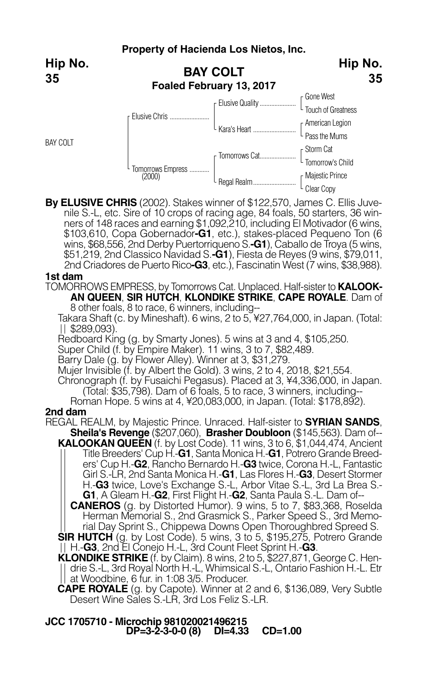**Hip No. 35**

BAY COLT



**By ELUSIVE CHRIS** (2002). Stakes winner of \$122,570, James C. Ellis Juvenile S.-L, etc. Sire of 10 crops of racing age, 84 foals, 50 starters, 36 winners of 148 races and earning \$1,092,210, including El Motivador (6 wins, \$103,610, Copa Gobernador**-G1**, etc.), stakes-placed Pequeno Ton (6 wins, \$68,556, 2nd Derby Puertorriqueno S.**-G1**), Caballo de Trova (5 wins, \$51,219, 2nd Classico Navidad S.**-G1**), Fiesta de Reyes (9 wins, \$79,011, 2nd Criadores de Puerto Rico**-G3**, etc.), Fascinatin West (7 wins, \$38,988).

## **1st dam**

TOMORROWS EMPRESS, by Tomorrows Cat. Unplaced. Half-sister to **KALOOK-AN QUEEN**, **SIR HUTCH**, **KLONDIKE STRIKE**, **CAPE ROYALE**. Dam of

8 other foals, 8 to race, 6 winners, including--

Takara Shaft (c. by Mineshaft). 6 wins, 2 to 5, ¥27,764,000, in Japan. (Total:  $||$  \$289,093).

Redboard King (g. by Smarty Jones). 5 wins at 3 and 4, \$105,250.<br>Super Child (f. by Empire Maker). 11 wins, 3 to 7, \$82,489.

Barry Dale (g. by Flower Alley). Winner at 3, \$31,279.

Mujer Invisible (f. by Albert the Gold). 3 wins, 2 to 4, 2018, \$21,554.

Chronograph (f. by Fusaichi Pegasus). Placed at 3, ¥4,336,000, in Japan. (Total: \$35,798). Dam of <sup>6</sup> foals, <sup>5</sup> to race, <sup>3</sup> winners, including-- Roman Hope. <sup>5</sup> wins at 4, ¥20,083,000, in Japan. (Total: \$178,892).

## **2nd dam**

REGAL REALM, by Majestic Prince. Unraced. Half-sister to **SYRIAN SANDS**, **Sheila's Revenge** (\$207,060), **Brasher Doubloon** (\$145,563). Dam of--

**KALOOKAN QUEEN** (f. by Lost Code). 11 wins, 3 to 6, \$1,044,474, Ancient Title Breeders' Cup H.-**G1**, Santa Monica H.-**G1**, Potrero Grande Breed ers' Cup H.-**G2**, Rancho Bernardo H.-**G3** twice, Corona H.-L, Fantastic Girl S.-LR, 2nd Santa Monica H.-**G1**, Las Flores H.-**G3**, Desert Stormer H.-**G3** twice, Love's Exchange S.-L, Arbor Vitae S.-L, 3rd La Brea S.- **G1**, A Gleam H.-**G2**, First Flight H.-**G2**, Santa Paula S.-L. Dam of--

**CANEROS** (g. by Distorted Humor). 9 wins, 5 to 7, \$83,368, Roselda Herman Memorial S., 2nd Grasmick S., Parker Speed S., 3rd Memorial Day Sprint S., Chippewa Downs Open Thoroughbred Spreed S.

**SIR HUTCH** (g. by Lost Code). 5 wins, 3 to 5, \$195,275, Potrero Grande

H.-**G3**, 2nd El Conejo H.-L, 3rd Count Fleet Sprint H.-**G3**. **KLONDIKE STRIKE** (f. by Claim). <sup>8</sup> wins, <sup>2</sup> to 5, \$227,871, George C. Hendrie S.-L, 3rd Royal North H.-L, Whimsical S.-L, Ontario Fashion H.-L. Etr at Woodbine, 6 fur. in 1:08 3/5. Producer.

**CAPE ROYALE** (g. by Capote). Winner at 2 and 6, \$136,089, Very Subtle Desert Wine Sales S.-LR, 3rd Los Feliz S.-LR.

## **JCC 1705710 - Microchip 981020021496215 DP=3-2-3-0-0 (8) DI=4.33 CD=1.00**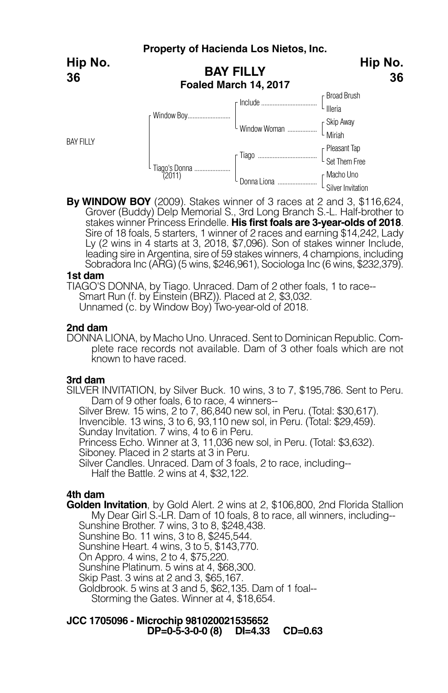

**By WINDOW BOY** (2009). Stakes winner of 3 races at 2 and 3, \$116,624, Grover (Buddy) Delp Memorial S., 3rd Long Branch S.-L. Half-brother to stakes winner Princess Erindelle. **His first foals are 3-year-olds of 2018**. Sire of 18 foals, 5 starters, 1 winner of 2 races and earning \$14,242, Lady Ly (2 wins in 4 starts at 3, 2018, \$7,096). Son of stakes winner Include, leading sire in Argentina, sire of 59 stakes winners, 4 champions, including Sobradora Inc (ARG) (5 wins, \$246,961), Sociologa Inc (6 wins, \$232,379).

### **1st dam**

TIAGO'S DONNA, by Tiago. Unraced. Dam of 2 other foals, 1 to race-- Unnamed (c. by Window Boy) Two-year-old of 2018.

### **2nd dam**

DONNA LIONA, by Macho Uno. Unraced. Sent to Dominican Republic. Complete race records not available. Dam of 3 other foals which are not known to have raced.

#### **3rd dam**

SILVER INVITATION, by Silver Buck. 10 wins, 3 to 7, \$195,786. Sent to Peru. Dam of 9 other foals, 6 to race, 4 winners--

Silver Brew. 15 wins, 2 to 7, 86,840 new sol, in Peru. (Total: \$30,617).

Sunday Invitation. 7 wins, 4 to 6 in Peru.<br>Princess Echo. Winner at 3, 11,036 new sol, in Peru. (Total: \$3,632).

Siboney. Placed in 2 starts at 3 in Peru.

Silver Candles. Unraced. Dam of 3 foals, 2 to race, including-- Half the Battle. 2 wins at 4, \$32,122.

## **4th dam**

**Golden Invitation**, by Gold Alert. 2 wins at 2, \$106,800, 2nd Florida Stallion My Dear Girl S.-LR. Dam of <sup>10</sup> foals, <sup>8</sup> to race, all winners, including-- Sunshine Brother. <sup>7</sup> wins, <sup>3</sup> to 8, \$248,438.

Sunshine Bo. 11 wins, 3 to 8, \$245,544.

Sunshine Heart. 4 wins, 3 to 5, \$143,770.

On Appro. 4 wins, 2 to 4, \$75,220.

Sunshine Platinum. 5 wins at 4, \$68,300.<br>Skip Past. 3 wins at 2 and 3, \$65,167.

Goldbrook. 5 wins at 3 and 5, \$62,135. Dam of 1 foal--

Storming the Gates. Winner at 4, \$18,654.

## **JCC 1705096 - Microchip 981020021535652 DP=0-5-3-0-0 (8) DI=4.33 CD=0.63**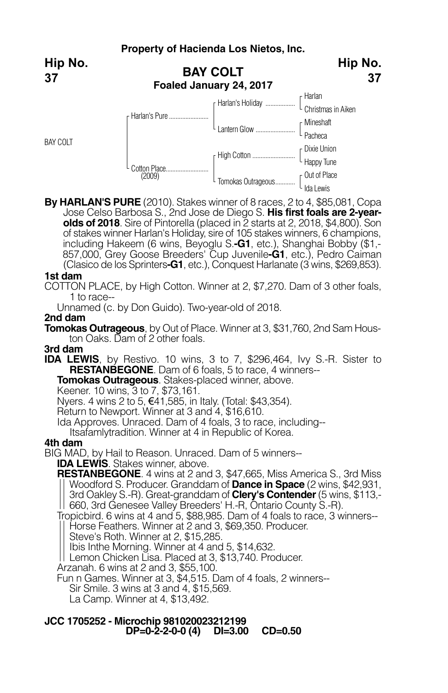**BAY COLT Foaled January 24, 2017** Harlan L Christmas in Aiken Mineshaft L Pacheca Dixie Union L Happy Tune Out of Place Ida Lewis F Harlan's Holiday ....... **Lantern Glow ........... High Cotton ..............** Tomokas Outrageous.... r Harlan's Pure. Cotton Place...<br>(2009) BAY COLT **Hip No. 37 Hip No. 37**

**By HARLAN'S PURE** (2010). Stakes winner of 8 races, 2 to 4, \$85,081, Copa Jose Celso Barbosa S., 2nd Jose de Diego S. **His first foals are 2-yearolds of 2018**. Sire of Pintorella (placed in 2 starts at 2, 2018, \$4,800). Son of stakes winner Harlan's Holiday, sire of 105 stakes winners, 6 champions, including Hakeem (6 wins, Beyoglu S.**-G1**, etc.), Shanghai Bobby (\$1,- 857,000, Grey Goose Breeders' Cup Juvenile**-G1**, etc.), Pedro Caiman (Clasico de los Sprinters**-G1**, etc.), Conquest Harlanate (3 wins, \$269,853).

## **1st dam**

COTTON PLACE, by High Cotton. Winner at 2, \$7,270. Dam of 3 other foals, 1 to race--

Unnamed (c. by Don Guido). Two-year-old of 2018.

### **2nd dam**

**Tomokas Outrageous**, by Out of Place. Winner at 3, \$31,760, 2nd Sam Hous- ton Oaks. Dam of <sup>2</sup> other foals.

## **3rd dam**

**IDA LEWIS**, by Restivo. 10 wins, 3 to 7, \$296,464, Ivy S.-R. Sister to **RESTANBEGONE**. Dam of 6 foals, 5 to race, 4 winners--

**Tomokas Outrageous**. Stakes-placed winner, above.<br>Keener. 10 wins, 3 to 7, \$73,161.

Nyers. 4 wins 2 to 5, €41,585, in Italy. (Total: \$43,354).

Return to Newport. Winner at 3 and 4, \$16,610.

Ida Approves. Unraced. Dam of 4 foals, 3 to race, including--

Itsafamlytradition. Winner at 4 in Republic of Korea.

### **4th dam**

BIG MAD, by Hail to Reason. Unraced. Dam of 5 winners--

**IDA LEWIS**. Stakes winner, above.

**RESTANBEGONE**. 4 wins at 2 and 3, \$47,665, Miss America S., 3rd Miss Woodford S. Producer. Granddam of **Dance in Space** (2 wins, \$42,931, 3rd Oakley S.-R). Great-granddam of **Clery's Contender**(5 wins, \$113,- | 660, 3rd Genesee Valley Breeders' H.-R, Ontario County S.-R).

Tropicbird. 6 wins at 4 and 5, \$88,985. Dam of 4 foals to race, 3 winners--<br>|| Horse Feathers. Winner at 2 and 3, \$69,350. Producer.

Steve's Roth. Winner at 2, \$15,285.

Ibis Inthe Morning. Winner at 4 and 5, \$14,632.

Lemon Chicken Lisa. Placed at 3, \$13,740. Producer.

Arzanah. 6 wins at 2 and 3, \$55,100.

Fun n Games. Winner at 3, \$4,515. Dam of 4 foals, 2 winners--

- Sir Smile. <sup>3</sup> wins at <sup>3</sup> and 4, \$15,569. La Camp. Winner at 4, \$13,492.
- 

## **JCC 1705252 - Microchip 981020023212199 DP=0-2-2-0-0 (4) DI=3.00 CD=0.50**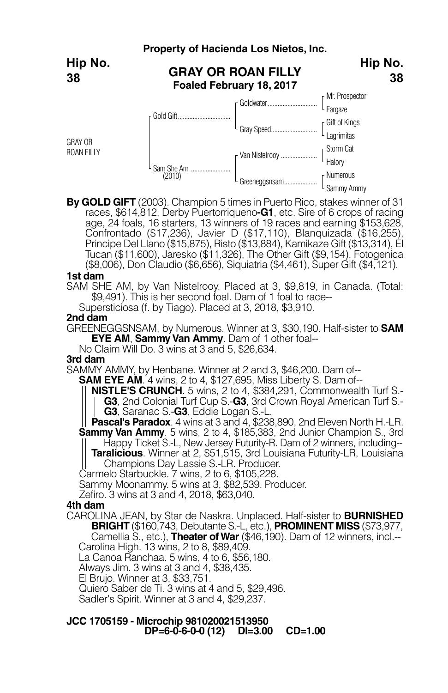

**By GOLD GIFT** (2003). Champion 5 times in Puerto Rico, stakes winner of 31 races, \$614,812, Derby Puertorriqueno**-G1**, etc. Sire of 6 crops of racing age, 24 foals, 16 starters, 13 winners of 19 races and earning \$153,628, Confrontado (\$17,236), Javier D (\$17,110), Blanquizada (\$16,255), Principe Del Llano (\$15,875), Risto (\$13,884), Kamikaze Gift (\$13,314), El Tucan (\$11,600), Jaresko (\$11,326), The Other Gift (\$9,154), Fotogenica (\$8,006), Don Claudio (\$6,656), Siquiatria (\$4,461), Super Gift (\$4,121).

#### **1st dam**

SAM SHE AM, by Van Nistelrooy. Placed at 3, \$9,819, in Canada. (Total: \$9,491). This is her second foal. Dam of 1 foal to race--

Supersticiosa (f. by Tiago). Placed at 3, 2018, \$3,910.

### **2nd dam**

GREENEGGSNSAM, by Numerous. Winner at 3, \$30,190. Half-sister to **SAM EYE AM, Sammy Van Ammy.** Dam of 1 other foal--

No Claim Will Do. 3 wins at 3 and 5, \$26,634.

#### **3rd dam**

SAMMY AMMY, by Henbane. Winner at 2 and 3, \$46,200. Dam of--<br>--**SAM EYE AM**. 4 wins. 2 to 4. \$127.695. Miss Liberty S. Dam of-

- **NISTLE'S CRUNCH.** 5 wins, 2 to 4, \$384,291, Commonwealth Turf S.-
	- **G3**, 2nd Colonial Turf Cup S.-**G3**, 3rd Crown Royal American Turf S.- **G3**, Saranac S.-**G3**, Eddie Logan S.-L.

**Pascal's Paradox**. 4 wins at 3 and 4, \$238,890, 2nd Eleven North H.-LR. **Sammy Van Ammy**. 5 wins, 2 to 4, \$185,383, 2nd Junior Champion S., 3rd

Happy Ticket S.-L, New Jersey Futurity-R. Dam of 2 winners, including-- **Taralicious**. Winner at 2, \$51,515, 3rd Louisiana Futurity-LR, Louisiana Champions Day Lassie S.-LR. Producer.

Carmelo Starbuckle. 7 wins, 2 to 6, \$105,228.

Sammy Moonammy. 5 wins at 3, \$82,539. Producer.

Zefiro. 3 wins at 3 and 4, 2018, \$63,040.

## **4th dam**

CAROLINA JEAN, by Star de Naskra. Unplaced. Half-sister to **BURNISHED BRIGHT** (\$160,743, Debutante S.-L, etc.), **PROMINENT MISS** (\$73,977,

Camellia S., etc.), **Theater ofWar** (\$46,190). Dam of 12 winners, incl.-- Carolina High. 13 wins, 2 to 8, \$89,409.

La Canoa Ranchaa. 5 wins, 4 to 6, \$56,180.<br>Always Jim. 3 wins at 3 and 4, \$38,435.

El Brujo. Winner at 3, \$33,751.

Quiero Saber de Ti. 3 wins at 4 and 5, \$29,496.

Sadler's Spirit. Winner at 3 and 4, \$29,237.

## **JCC 1705159 - Microchip 981020021513950 DP=6-0-6-0-0 (12) DI=3.00 CD=1.00**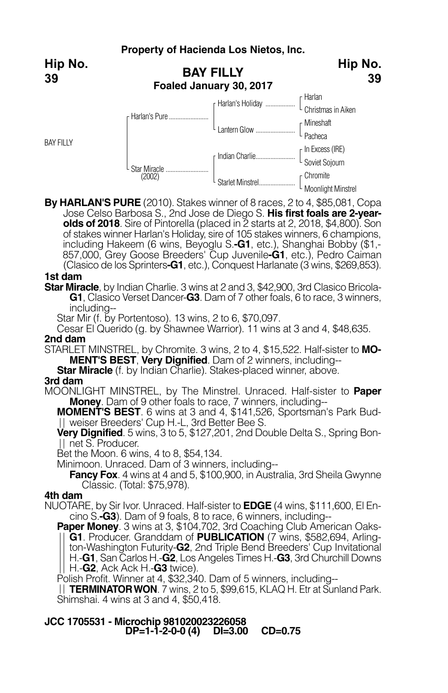**BAY FILLY Foaled January 30, 2017** Harlan L Christmas in Aiken Mineshaft L Pacheca In Excess (IRE) L Soviet Sojourn Chromite r Harlan's Holiday ..... L Lantern Glow .... r Indian Charlie... Starlet Minstrel... r Harlan's Pure. Star Miracle .......................... (2002) BAY FILLY **Hip No. 39 Hip No.**

**By HARLAN'S PURE** (2010). Stakes winner of 8 races, 2 to 4, \$85,081, Copa Jose Celso Barbosa S., 2nd Jose de Diego S. **His first foals are 2-yearolds of 2018**. Sire of Pintorella (placed in 2 starts at 2, 2018, \$4,800). Son of stakes winner Harlan's Holiday, sire of 105 stakes winners, 6 champions, including Hakeem (6 wins, Beyoglu S.**-G1**, etc.), Shanghai Bobby (\$1,- 857,000, Grey Goose Breeders' Cup Juvenile**-G1**, etc.), Pedro Caiman (Clasico de los Sprinters**-G1**, etc.), Conquest Harlanate (3 wins, \$269,853).

L Moonlight Minstrel

**39**

## **1st dam**

**Star Miracle**, by Indian Charlie. 3 wins at 2 and 3, \$42,900, 3rd Clasico Bricola-**G1**, Clasico Verset Dancer-**G3**. Dam of 7 other foals, 6 to race, 3 winners, including--

Star Mir (f. by Portentoso). 13 wins, 2 to 6, \$70,097.

Cesar El Querido (g. by Shawnee Warrior). 11 wins at 3 and 4, \$48,635. **2nd dam**

STARLET MINSTREL, by Chromite. 3 wins, 2 to 4, \$15,522. Half-sister to **MO-**

**Star Miracle** (f. by Indian Charlie). Stakes-placed winner, above.

### **3rd dam**

MOONLIGHT MINSTREL, by The Minstrel. Unraced. Half-sister to **Paper Money**. Dam of 9 other foals to race, 7 winners, including--

**MOMENT'S BEST**. 6 wins at 3 and 4, \$141,526, Sportsman's Park Bud-<br>|| weiser Breeders' Cup H.-L, 3rd Better Bee S.

**Very Dignified**. 5 wins, 3 to 5, \$127,201, 2nd Double Delta S., Spring Bonnet S. Producer.

Bet the Moon. 6 wins, 4 to 8, \$54,134.

Minimoon. Unraced. Dam of 3 winners, including--

**Fancy Fox**. 4 wins at 4 and 5, \$100,900, in Australia, 3rd Sheila Gwynne Classic. (Total: \$75,978).

### **4th dam**

NUOTARE, by Sir Ivor. Unraced. Half-sister to **EDGE** (4 wins, \$111,600, El En-

**Paper Money**. 3 wins at 3, \$104,702, 3rd Coaching Club American Oaks-**G1**. Producer. Granddam of **PUBLICATION** (7 wins, \$582,694, Arlington-Washington Futurity-**G2**, 2nd Triple Bend Breeders' Cup Invitational H.-**G1**, San Carlos H.-**G2**, Los Angeles Times H.-**G3**, 3rd Churchill Downs H.-**G2**, Ack Ack H.-**G3** twice).

Polish Profit. Winner at 4, \$32,340. Dam of 5 winners, including--

**TERMINATORWON**. 7 wins, 2 to 5, \$99,615, KLAQ H. Etr at Sunland Park. Shimshai. 4 wins at 3 and 4, \$50,418.

## **JCC 1705531 - Microchip 981020023226058 DP=1-1-2-0-0 (4) DI=3.00 CD=0.75**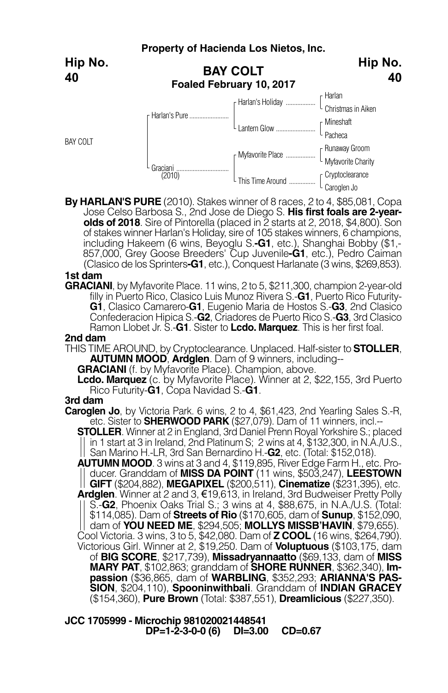**BAY COLT Foaled February 10, 2017** Harlan Christmas in Aiken **Mineshaft** Pacheca Runaway Groom L Myfavorite Charity Cryptoclearance Caroglen Jo F Harlan's Holiday .... Lantern Glow .... r Myfavorite Place .... This Time Around ...... Harlan's Pure... Graciani ....<br>(2010) BAY COLT **Hip No. 40 Hip No. 40**

**By HARLAN'S PURE** (2010). Stakes winner of 8 races, 2 to 4, \$85,081, Copa Jose Celso Barbosa S., 2nd Jose de Diego S. **His first foals are 2-year- olds of <sup>2018</sup>**. Sire of Pintorella (placed in <sup>2</sup> starts at 2, 2018, \$4,800). Son of stakes winner Harlan's Holiday, sire of 105 stakes winners, 6 champions, including Hakeem (6 wins, Beyoglu S.**-G1**, etc.), Shanghai Bobby (\$1,- 857,000, Grey Goose Breeders' Cup Juvenile**-G1**, etc.), Pedro Caiman (Clasico de los Sprinters**-G1**, etc.), Conquest Harlanate (3 wins, \$269,853).

## **1st dam**

**GRACIANI**, by Myfavorite Place. 11 wins, 2 to 5, \$211,300, champion 2-year-old filly in Puerto Rico, Clasico Luis Munoz Rivera S.-**G1**, Puerto Rico Futurity-**G1**, Clasico Camarero-**G1**, Eugenio Maria de Hostos S.-**G3**, 2nd Clasico Confederacion Hipica S.-**G2**, Criadores de Puerto Rico S.-**G3**, 3rd Clasico Ramon Llobet Jr. S.-**G1**. Sister to **Lcdo. Marquez**. This is her first foal.

## **2nd dam**

THIS TIME AROUND, by Cryptoclearance. Unplaced. Half-sister to **STOLLER**, **AUTUMN MOOD**, **Ardglen**. Dam of <sup>9</sup> winners, including-- **GRACIANI** (f. by Myfavorite Place). Champion, above.

**Lcdo. Marquez** (c. by Myfavorite Place). Winner at 2, \$22,155, 3rd Puerto Rico Futurity-**G1**, Copa Navidad S.-**G1**.

### **3rd dam**

**Caroglen Jo**, by Victoria Park. 6 wins, 2 to 4, \$61,423, 2nd Yearling Sales S.-R, etc. Sister to **SHERWOOD PARK** (\$27,079). Dam of 11 winners, incl.--

**STOLLER**. Winner at 2 in England, 3rd Daniel Prenn Royal Yorkshire S.; placed in 1 start at 3 in Ireland, 2nd Platinum S; 2 wins at 4, \$132,300, in N.A./U.S., San Marino H.-LR, 3rd San Bernardino H.-**G2**, etc. (Total: \$152,018).

**AUTUMN MOOD**. 3 wins at 3 and 4, \$119,895, River Edge Farm H., etc. Producer. Granddam of **MISS DA POINT** (11 wins, \$503,247), **LEESTOWN GIFT** (\$204,882), **MEGAPIXEL** (\$200,511), **Cinematize** (\$231,395), etc. **Ardglen**. Winner at 2 and 3, €19,613, in Ireland, 3rd Budweiser Pretty Polly S.-**G2**, Phoenix Oaks Trial S.; 3 wins at 4, \$88,675, in N.A./U.S. (Total: \$114,085). Dam of **Streets of Rio** (\$170,605, dam of **Sunup**, \$152,090, dam of **YOU NEED ME**, \$294,505; **MOLLYS MISSB'HAVIN**, \$79,655). Cool Victoria. 3 wins, 3 to 5, \$42,080. Dam of **Z COOL** (16 wins, \$264,790). Victorious Girl. Winner at 2, \$19,250. Dam of **Voluptuous** (\$103,175, dam of **BIG SCORE**, \$217,739), **Missadryannaatto** (\$69,133, dam of **MISS MARY PAT**, \$102,863; granddam of **SHORE RUNNER**, \$362,340), **Im- passion** (\$36,865, dam of **WARBLING**, \$352,293; **ARIANNA'S PAS-SION**, \$204,110), **Spooninwithbali**. Granddam of **INDIAN GRACEY** (\$154,360), **Pure Brown** (Total: \$387,551), **Dreamlicious** (\$227,350).

**JCC 1705999 - Microchip 981020021448541 DP=1-2-3-0-0 (6) DI=3.00 CD=0.67**

## **Property of Hacienda Los Nietos, Inc.**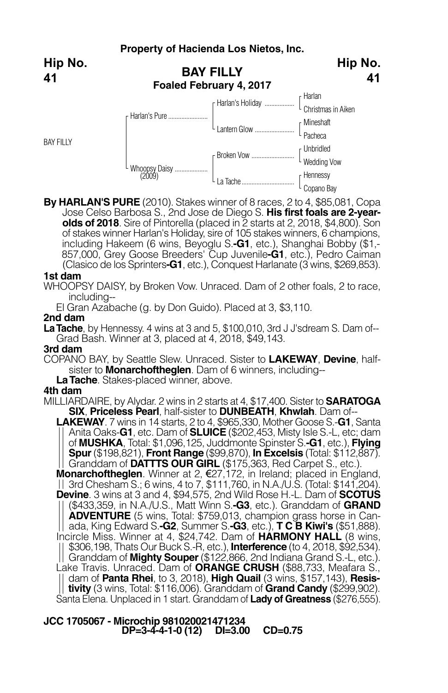**Hip No. 41**

BAY FILLY



**By HARLAN'S PURE** (2010). Stakes winner of 8 races, 2 to 4, \$85,081, Copa Jose Celso Barbosa S., 2nd Jose de Diego S. **His first foals are 2-yearolds of 2018**. Sire of Pintorella (placed in 2 starts at 2, 2018, \$4,800). Son of stakes winner Harlan's Holiday, sire of 105 stakes winners, 6 champions, including Hakeem (6 wins, Beyoglu S.**-G1**, etc.), Shanghai Bobby (\$1,- 857,000, Grey Goose Breeders' Cup Juvenile**-G1**, etc.), Pedro Caiman (Clasico de los Sprinters**-G1**, etc.), Conquest Harlanate (3 wins, \$269,853).

## **1st dam**

WHOOPSY DAISY, by Broken Vow. Unraced. Dam of 2 other foals, 2 to race, including--

El Gran Azabache (g. by Don Guido). Placed at 3, \$3,110.

## **2nd dam**

**LaTache**, by Hennessy. <sup>4</sup> wins at <sup>3</sup> and 5, \$100,010, 3rd <sup>J</sup> J'sdream S. Dam of-- Grad Bash. Winner at 3, placed at 4, 2018, \$49,143.

**3rd dam**

COPANO BAY, by Seattle Slew. Unraced. Sister to **LAKEWAY**, **Devine**, halfsister to **Monarchoftheglen**. Dam of <sup>6</sup> winners, including-- **LaTache**. Stakes-placed winner, above.

## **4th dam**

MILLIARDAIRE, by Alydar. 2 wins in 2 starts at 4, \$17,400. Sister to **SARATOGA SIX**, **Priceless Pearl**, half-sister to **DUNBEATH**, **Khwlah**. Dam of--

**LAKEWAY**. 7 wins in 14 starts, 2 to 4, \$965,330, Mother Goose S.-**G1**, Santa Anita Oaks-**G1**, etc. Dam of **SLUICE** (\$202,453, Misty Isle S.-L, etc; dam of **MUSHKA**, Total: \$1,096,125, Juddmonte Spinster S.**-G1**, etc.), **Flying Spur**(\$198,821), **Front Range** (\$99,870), **In Excelsis** (Total: \$112,887). Granddam of **DATTTS OUR GIRL** (\$175,363, Red Carpet S., etc.).

**Monarchoftheglen**. Winner at 2, €27,172, in Ireland; placed in England, 3rd Chesham S.; 6 wins, 4 to 7, \$111,760, in N.A./U.S. (Total: \$141,204). **Devine**. 3 wins at 3 and 4, \$94,575, 2nd Wild Rose H.-L. Dam of **SCOTUS** (\$433,359, in N.A./U.S., Matt Winn S.**-G3**, etc.). Granddam of **GRAND ADVENTURE** (5 wins, Total: \$759,013, champion grass horse in Can- ada, King Edward S.**-G2**, Summer S.**-G3**, etc.), **<sup>T</sup> <sup>C</sup> <sup>B</sup> Kiwi's** (\$51,888). Incircle Miss. Winner at 4, \$24,742. Dam of **HARMONY HALL** (8 wins, \$306,198, Thats Our Buck S.-R, etc.), **Interference** (to 4, 2018, \$92,534). Granddam of **Mighty Souper** (\$122,866, 2nd Indiana Grand S.-L, etc.). Lake Travis. Unraced. Dam of **ORANGE CRUSH** (\$88,733, Meafara S., dam of **Panta Rhei**, to 3, 2018), **High Quail** (3 wins, \$157,143), **Resistivity** (3 wins, Total: \$116,006). Granddam of **Grand Candy** (\$299,902). Santa Elena. Unplaced in 1 start. Granddam of **Lady of Greatness** (\$276,555).

## **JCC 1705067 - Microchip 981020021471234 DP=3-4-4-1-0 (12) DI=3.00 CD=0.75**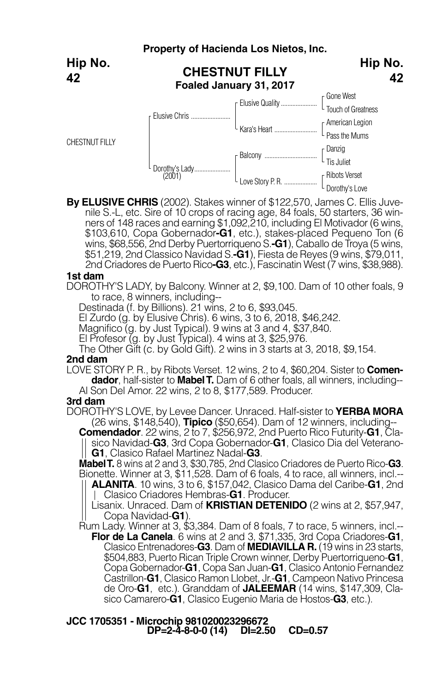|                       | Property of Hacienda Los Nietos, Inc.            |                          |                                                  |
|-----------------------|--------------------------------------------------|--------------------------|--------------------------------------------------|
| Hip No.<br>42         | <b>CHESTNUT FILLY</b><br>Foaled January 31, 2017 | Hip No.<br>42            |                                                  |
|                       |                                                  | <b>F</b> Elusive Quality | <sub>r</sub> Gone West<br>$L$ Touch of Greatness |
| <b>CHESTNUT FILLY</b> | Elusive Chris                                    | L Kara's Heart           | [American Legion]<br>Pass the Mums               |
|                       |                                                  |                          | $\int$ Danzig<br>L Tis Juliet                    |
|                       | Dorothy's Lady<br>(2001)                         | L Love Story P. R.       | r Ribots Verset<br>L Dorothy's Love              |

**By ELUSIVE CHRIS** (2002). Stakes winner of \$122,570, James C. Ellis Juvenile S.-L, etc. Sire of 10 crops of racing age, 84 foals, 50 starters, 36 winners of 148 races and earning \$1,092,210, including El Motivador (6 wins, \$103,610, Copa Gobernador**-G1**, etc.), stakes-placed Pequeno Ton (6 wins, \$68,556, 2nd Derby Puertorriqueno S.**-G1**), Caballo de Troya (5 wins, \$51,219, 2nd Classico Navidad S.**-G1**), Fiesta de Reyes (9 wins, \$79,011, 2nd Criadores de Puerto Rico**-G3**, etc.), Fascinatin West (7 wins, \$38,988).

### **1st dam**

DOROTHY'S LADY, by Balcony. Winner at 2, \$9,100. Dam of 10 other foals, 9 to race, 8 winners, including--

Destinada (f. by Billions). 21 wins, 2 to 6, \$93,045.

El Zurdo (g. by Elusive Chris). 6 wins, 3 to 6, 2018, \$46,242.

Magnifico (g. by Just Typical). 9 wins at 3 and 4, \$37,840.

El Profesor (g. by Just Typical). 4 wins at 3, \$25,976.

The Other Gift (c. by Gold Gift). 2 wins in 3 starts at 3, 2018, \$9,154.

#### **2nd dam**

LOVE STORY P. R., by Ribots Verset. 12 wins, 2 to 4, \$60,204. Sister to **Comendador**, half-sister to **MabelT.** Dam of 6 other foals, all winners, including-- Al Son Del Amor. 22 wins, 2 to 8, \$177,589. Producer.

### **3rd dam**

DOROTHY'S LOVE, by Levee Dancer. Unraced. Half-sister to **YERBA MORA** (26 wins, \$148,540), **Tipico** (\$50,654). Dam of 12 winners, including--

**Comendador**. 22 wins, 2 to 7, \$256,972, 2nd Puerto Rico Futurity-**G1**, Clasico Navidad-**G3**, 3rd Copa Gobernador-**G1**, Clasico Dia del Veterano-

**G1**, Clasico Rafael Martinez Nadal-**G3**. Bionette. Winner at 3, \$11,528. Dam of 6 foals, 4 to race, all winners, incl.--**ALANITA**. 10 wins, 3 to 6, \$157,042, Clasico Dama del Caribe-**G1**, 2nd Clasico Criadores Hembras-**G1**. Producer.

Lisanix. Unraced. Dam of **KRISTIAN DETENIDO** (2 wins at 2, \$57,947,

|| Copa Navidad-**G1**).<br>Rum Lady. Winner at 3, \$3,384. Dam of 8 foals, 7 to race, 5 winners, incl.--**Flor de La Canela**. 6 wins at 2 and 3, \$71,335, 3rd Copa Criadores-**G1**, Clasico Entrenadores-**G3**. Dam of **MEDIAVILLA R.** (19 wins in 23 starts, \$504,883, Puerto Rican Triple Crown winner, Derby Puertorriqueno-**G1**, Copa Gobernador-**G1**, Copa San Juan-**G1**, Clasico Antonio Fernandez Castrillon-**G1**, Clasico Ramon Llobet, Jr.-**G1**, Campeon Nativo Princesa de Oro-**G1**, etc.). Granddam of **JALEEMAR** (14 wins, \$147,309, Clasico Camarero-**G1**, Clasico Eugenio Maria de Hostos-**G3**, etc.).

### **JCC 1705351 - Microchip 981020023296672 DP=2-4-8-0-0 (14) DI=2.50 CD=0.57**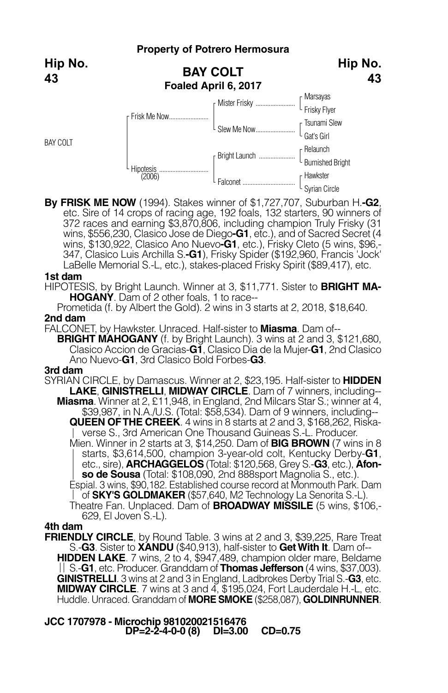#### **Property of Potrero Hermosura BAY COLT Foaled April 6, 2017** Marsayas Frisky Flyer Tsunami Slew Gat's Girl Relaunch Burnished Bright Hawkster Syrian Circle Mister Frisky. Slew Me Now. Bright Launch. **Falconet** Frisk Me Now........................ Hipotesis .............................. (2006) BAY COLT **Hip No. Hip No. 43**

**By FRISK ME NOW** (1994). Stakes winner of \$1,727,707, Suburban H.**-G2**, etc. Sire of 14 crops of racing age, 192 foals, 132 starters, 90 winners of 372 races and earning \$3,870,806, including champion Truly Frisky (31 wins, \$556,230, Clasico Jose de Diego**-G1**, etc.), and of Sacred Secret (4 wins, \$130,922, Clasico Ano Nuevo**-G1**, etc.), Frisky Cleto (5 wins, \$96,- 347, Clasico Luis Archilla S.**-G1**), Frisky Spider (\$192,960, Francis 'Jock' LaBelle Memorial S.-L, etc.), stakes-placed Frisky Spirit (\$89,417), etc.

## **1st dam**

**43**

HIPOTESIS, by Bright Launch. Winner at 3, \$11,771. Sister to **BRIGHT MA-HOGANY**. Dam of 2 other foals, 1 to race--

Prometida (f. by Albert the Gold). 2 wins in 3 starts at 2, 2018, \$18,640. **2nd dam**

FALCONET, by Hawkster. Unraced. Half-sister to **Miasma**. Dam of--

**BRIGHT MAHOGANY** (f. by Bright Launch). <sup>3</sup> wins at <sup>2</sup> and 3, \$121,680, Clasico Accion de Gracias-**G1**, Clasico Dia de la Mujer-**G1**, 2nd Clasico Ano Nuevo-**G1**, 3rd Clasico Bold Forbes-**G3**.

### **3rd dam**

SYRIAN CIRCLE, by Damascus. Winner at 2, \$23,195. Half-sister to **HIDDEN LAKE**, **GINISTRELLI**, **MIDWAY CIRCLE**. Dam of 7 winners, including-- **Miasma**. Winner at 2, £11,948, in England, 2nd Milcars Star S.; winner at 4, \$39,987, in N.A./U.S. (Total: \$58,534). Dam of 9 winners, including-- **QUEEN OFTHE CREEK**. 4 wins in 8 starts at 2 and 3, \$168,262, Riskaverse S., 3rd American One Thousand Guineas S.-L. Producer. Mien. Winner in 2 starts at 3, \$14,250. Dam of **BIG BROWN** (7 wins in 8 starts, \$3,614,500, champion 3-year-old colt, Kentucky Derby-**G1**,

etc., sire), **ARCHAGGELOS** (Total: \$120,568, Grey S.-**G3**, etc.), **Afonso de Sousa** (Total: \$108,090, 2nd 888sport Magnolia S., etc.).

Espial. 3 wins, \$90,182. Established course record at Monmouth Park. Dam of **SKY'S GOLDMAKER** (\$57,640, M2 Technology La Senorita S.-L).

Theatre Fan. Unplaced. Dam of **BROADWAY MISSILE** (5 wins, \$106,- 629, El Joven S.-L).

## **4th dam**

**FRIENDLY CIRCLE**, by Round Table. 3 wins at 2 and 3, \$39,225, Rare Treat<br>S.**-G3**. Sister to **XANDU** (\$40.913). half-sister to **Get With It**. Dam of--**HIDDEN LAKE**. 7 wins, 2 to 4, \$947,489, champion older mare, Beldame S.-**G1**, etc. Producer. Granddam of **Thomas Jefferson** (4 wins, \$37,003). **GINISTRELLI**. 3 wins at 2 and 3 in England, Ladbrokes Derby Trial S.-**G3**, etc. **MIDWAY CIRCLE**. 7 wins at 3 and 4, \$195,024, Fort Lauderdale H.-L, etc. Huddle. Unraced. Granddam of **MORE SMOKE** (\$258,087), **GOLDINRUNNER**.

**JCC 1707978 - Microchip 981020021516476 DP=2-2-4-0-0 (8) DI=3.00 CD=0.75**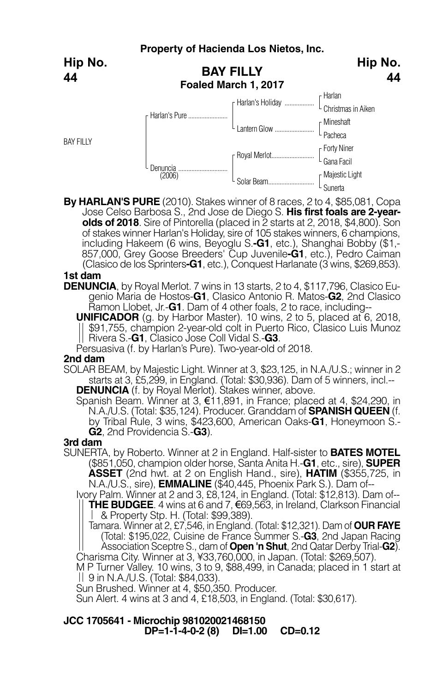|                  |                                          | Property of Hacienda Los Nietos, Inc. |                               |
|------------------|------------------------------------------|---------------------------------------|-------------------------------|
| Hip No.<br>44    | <b>BAY FILLY</b><br>Foaled March 1, 2017 |                                       | Hip No.<br>44                 |
|                  |                                          |                                       | r Harlan                      |
|                  | r Harlan's Pure                          | F Harlan's Holiday                    | $\int_{C}$ Christmas in Aiken |
|                  |                                          | Lantern Glow                          | $\int$ Mineshaft              |
| <b>BAY FILLY</b> |                                          |                                       | Pacheca                       |
|                  |                                          |                                       |                               |
|                  | Denuncia<br>(2006)                       |                                       | [ Forty Niner<br>[ Gana Facil |
|                  |                                          |                                       |                               |
|                  |                                          | Solar Beam                            | [ Majestic Light<br>[ Sunerta |

**By HARLAN'S PURE** (2010). Stakes winner of 8 races, 2 to 4, \$85,081, Copa Jose Celso Barbosa S., 2nd Jose de Diego S. **His first foals are 2-yearolds of 2018**. Sire of Pintorella (placed in 2 starts at 2, 2018, \$4,800). Son of stakes winner Harlan's Holiday, sire of 105 stakes winners, 6 champions,<br>including Hakeem (6 wins, Beyoglu S.**-G1**, etc.), Shanghai Bobby (\$1,-857,000, Grey Goose Breeders' Cup Juvenile**-G1**, etc.), Pedro Caiman (Clasico de los Sprinters**-G1**, etc.), Conquest Harlanate (3 wins, \$269,853).

## **1st dam**

**DENUNCIA**, by Royal Merlot. 7 wins in 13 starts, 2 to 4, \$117,796, Clasico Eugenio Maria de Hostos-**G1**, Clasico Antonio R. Matos-**G2**, 2nd Clasico Ramon Llobet, Jr.-**G1**. Dam of 4 other foals, 2 to race, including--

**UNIFICADOR** (g. by Harbor Master). 10 wins, 2 to 5, placed at 6, 2018, \$91,755, champion 2-year-old colt in Puerto Rico, Clasico Luis Munoz Rivera S.-**G1**, Clasico Jose Coll Vidal S.-**G3**.

Persuasiva (f. by Harlan's Pure). Two-year-old of 2018.

## **2nd dam**

SOLAR BEAM, by Majestic Light. Winner at 3, \$23,125, in N.A./U.S.; winner in 2 starts at 3, £5,299, in England. (Total: \$30,936). Dam of 5 winners, incl.-- **DENUNCIA** (f. by Royal Merlot). Stakes winner, above.

Spanish Beam. Winner at 3, €11,891, in France; placed at 4, \$24,290, in N.A./U.S. (Total: \$35,124). Producer. Granddam of **SPANISH QUEEN** (f. by Tribal Rule, 3 wins, \$423,600, American Oaks-**G1**, Honeymoon S.- **G2**, 2nd Providencia S.-**G3**).

### **3rd dam**

SUNERTA, by Roberto. Winner at 2 in England. Half-sister to **BATES MOTEL** (\$851,050, champion older horse, Santa Anita H.-**G1**, etc., sire), **SUPER ASSET** (2nd hwt. at 2 on English Hand., sire), **HATIM** (\$355,725, in N.A./U.S., sire), **EMMALINE** (\$40,445, Phoenix Park S.). Dam of--

Ivory Palm. Winner at 2 and 3, £8,124, in England. (Total: \$12,813). Dam of-- **THE BUDGEE**. 4 wins at 6 and 7, €69,563, in Ireland, Clarkson Financial & Property Stp. H. (Total: \$99,389).

Tamara. Winner at 2, £7,546, in England. (Total: \$12,321). Dam of **OUR FAYE** (Total: \$195,022, Cuisine de France Summer S.-**G3**, 2nd Japan Racing Association Sceptre S., dam of **Open 'n Shut**, 2nd Qatar Derby Trial-**G2**).

M P Turner Valley. 10 wins, 3 to 9, \$88,499, in Canada; placed in 1 start at  $||$  9 in N.A./U.S. (Total: \$84,033).

Sun Brushed. Winner at 4, \$50,350. Producer.

Sun Alert. 4 wins at 3 and 4, £18,503, in England. (Total: \$30,617).

**JCC 1705641 - Microchip 981020021468150 DP=1-1-4-0-2 (8) DI=1.00 CD=0.12**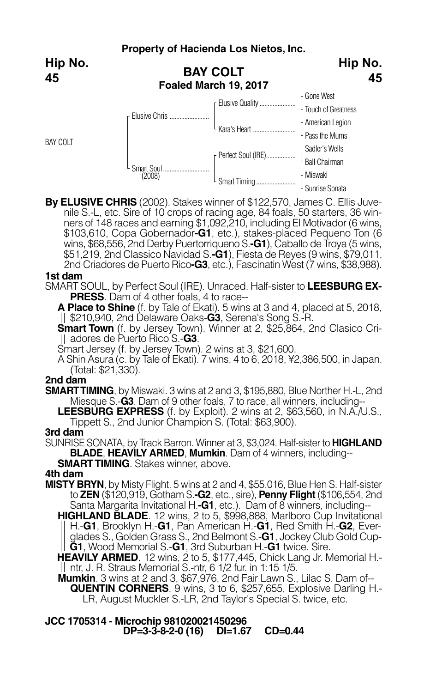**Hip No. 45**

BAY COLT



**By ELUSIVE CHRIS** (2002). Stakes winner of \$122,570, James C. Ellis Juvenile S.-L, etc. Sire of 10 crops of racing age, 84 foals, 50 starters, 36 winners of 148 races and earning \$1,092, 210, including El Motivador (6 wins, \$103,610, Copa Gobernador**-G1**, etc.), stakes-placed Pequeno Ton (6 wins, \$68,556, 2nd Derby Puertorriqueno S.**-G1**), Caballo de Troya (5 wins, \$51,219, 2nd Classico Navidad S.**-G1**), Fiesta de Reyes (9 wins, \$79,011, 2nd Criadores de Puerto Rico**-G3**, etc.), Fascinatin West (7 wins, \$38,988).

## **1st dam**

SMART SOUL, by Perfect Soul (IRE). Unraced. Half-sister to **LEESBURG EX-PRESS**. Dam of 4 other foals, 4 to race--

**A Place to Shine** (f. by Tale of Ekati). 5 wins at 3 and 4, placed at 5, 2018, \$210,940, 2nd Delaware Oaks-**G3**, Serena's Song S.-R.

**Smart Town** (f. by Jersey Town). Winner at 2, \$25,864, 2nd Clasico Criadores de Puerto Rico S.-**G3**.

Smart Jersey (f. by Jersey Town). 2 wins at 3, \$21,600.

A Shin Asura (c. by Tale of Ekati). 7 wins, 4 to 6, 2018, ¥2,386,500, in Japan. (Total: \$21,330).

### **2nd dam**

**SMARTTIMING**, by Miswaki. 3 wins at 2 and 3, \$195,880, Blue Norther H.-L, 2nd Miesque S.-**G3**. Dam of 9 other foals, 7 to race, all winners, including--

**LEESBURG EXPRESS** (f. by Exploit). 2 wins at 2, \$63,560, in N.A./U.S., Tippett S., 2nd Junior Champion S. (Total: \$63,900).

## **3rd dam**

SUNRISE SONATA, by Track Barron. Winner at 3, \$3,024. Half-sister to **HIGHLAND BLADE**, **HEAVILY ARMED**, **Mumkin**. Dam of 4 winners, including--

**SMARTTIMING**. Stakes winner, above.

## **4th dam**

**MISTY BRYN**, by Misty Flight. 5 wins at 2 and 4, \$55,016, Blue Hen S. Half-sister to **ZEN** (\$120,919, Gotham S.**-G2**, etc., sire), **Penny Flight** (\$106,554, 2nd Santa Margarita Invitational H.**-G1**, etc.). Dam of 8 winners, including--

**HIGHLAND BLADE**. 12 wins, 2 to 5, \$998,888, Marlboro Cup Invitational H.-**G1**, Brooklyn H.-**G1**, Pan American H.-**G1**, Red Smith H.-**G2**, Everglades S., Golden Grass S., 2nd Belmont S.-**G1**, Jockey Club Gold Cup-**G1**, Wood Memorial S.-**G1**, 3rd Suburban H.-**G1** twice. Sire.

**HEAVILY ARMED**. 12 wins, 2 to 5, \$177,445, Chick Lang Jr. Memorial H. ntr, J. R. Straus Memorial S.-ntr, 6 1/2 fur. in 1:15 1/5.

**Mumkin**. 3 wins at 2 and 3, \$67,976, 2nd Fair Lawn S., Lilac S. Dam of-- **QUENTIN CORNERS**. <sup>9</sup> wins, <sup>3</sup> to 6, \$257,655, Explosive Darling H.- LR, August Muckler S.-LR, 2nd Taylor's Special S. twice, etc.

**JCC 1705314 - Microchip 981020021450296 DP=3-3-8-2-0 (16) DI=1.67 CD=0.44**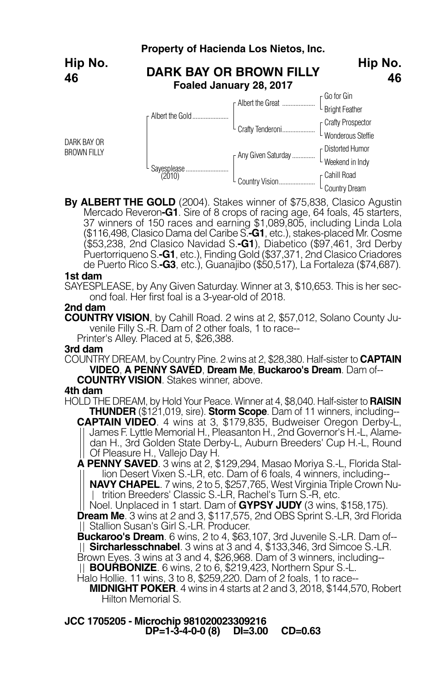

**By ALBERT THE GOLD** (2004). Stakes winner of \$75,838, Clasico Agustin 37 winners of 150 races and earning \$1,089,805, including Linda Lola (\$116,498, Clasico Dama del Caribe S.**-G1**, etc.), stakes-placed Mr. Cosme (\$53,238, 2nd Clasico Navidad S.**-G1**), Diabetico (\$97,461, 3rd Derby Puertorriqueno S.**-G1**, etc.), Finding Gold (\$37,371, 2nd Clasico Criadores de Puerto Rico S.**-G3**, etc.), Guanajibo (\$50,517), La Fortaleza (\$74,687).

#### **1st dam**

SAYESPLEASE, by Any Given Saturday. Winner at 3, \$10,653. This is her second foal. Her first foal is a 3-year-old of 2018.

**2nd dam**

**COUNTRY VISION**, by Cahill Road. 2 wins at 2, \$57,012, Solano County Juvenile Filly S.-R. Dam of 2 other foals, 1 to race-- Printer's Alley. Placed at 5, \$26,388.

## **3rd dam**

COUNTRY DREAM, by Country Pine. 2 wins at 2, \$28,380. Half-sister to **CAPTAIN VIDEO**, **A PENNY SAVED**, **Dream Me**, **Buckaroo's Dream**. Dam of--

**COUNTRY VISION.** Stakes winner, above.

## **4th dam**

HOLD THE DREAM, by Hold Your Peace. Winner at 4, \$8,040. Half-sister to **RAISIN THUNDER** (\$121,019, sire). **Storm Scope**. Dam of 11 winners, including--

**CAPTAIN VIDEO**. 4 wins at 3, \$179,835, Budweiser Oregon Derby-L, James F. Lyttle Memorial H., Pleasanton H., 2nd Governor's H.-L, Alamedan H., 3rd Golden State Derby-L, Auburn Breeders' Cup H.-L, Round Of Pleasure H., Vallejo Day H.

**A PENNY SAVED**. 3 wins at 2, \$129,294, Masao Moriya S.-L, Florida Stallion Desert Vixen S.-LR, etc. Dam of 6 foals, 4 winners, including--

**NAVY CHAPEL**. 7 wins, 2 to 5, \$257,765, West Virginia Triple Crown Nu-| trition Breeders' Classic S.-LR, Rachel's Turn S.-R, etc.

Noel. Unplaced in 1 start. Dam of **GYPSY JUDY** (3 wins, \$158,175). **Dream Me**. 3 wins at 2 and 3, \$117,575, 2nd OBS Sprint S.-LR, 3rd Florida Stallion Susan's Girl S.-LR. Producer.

**Buckaroo's Dream**. 6 wins, 2 to 4, \$63,107, 3rd Juvenile S.-LR. Dam of-- **Sircharlesschnabel**. 3 wins at 3 and 4, \$133,346, 3rd Simcoe S.-LR. Brown Eyes. 3 wins at 3 and 4, \$26,968. Dam of 3 winners, including-- **BOURBONIZE**. 6 wins, 2 to 6, \$219,423, Northern Spur S.-L.

Halo Hollie. 11 wins, 3 to 8, \$259,220. Dam of 2 foals, 1 to race--

**MIDNIGHT POKER**. 4 wins in 4 starts at 2 and 3, 2018, \$144,570, Robert Hilton Memorial S.

**JCC 1705205 - Microchip 981020023309216 DP=1-3-4-0-0 (8) DI=3.00 CD=0.63**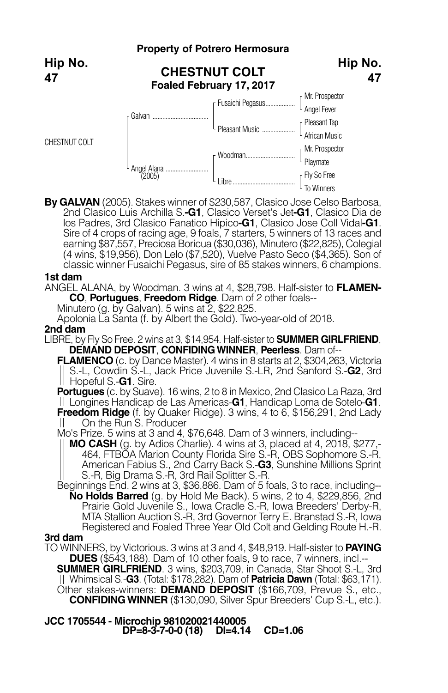**Property of Potrero Hermosura CHESTNUT COLT Foaled February 17, 2017** Mr. Prospector Angel Fever Pleasant Tap African Music Mr. Prospector Playmate Fly So Free To Winners Fusaichi Pegasus... Pleasant Music ... Woodman... Libre. Galvan Angel Alana.<br>(2005) CHESTNUT COLT **Hip No. 47 Hip No. 47**

**By GALVAN** (2005). Stakes winner of \$230,587, Clasico Jose Celso Barbosa, 2nd Clasico Luis Archilla S.**-G1**, Clasico Verset's Jet**-G1**, Clasico Dia de los Padres, 3rd Clasico Fanatico Hipico**-G1**, Clasico Jose Coll Vidal**-G1**. Sire of 4 crops of racing age, 9 foals, 7 starters, 5 winners of 13 races and earning \$87,557, Preciosa Boricua (\$30,036), Minutero (\$22,825), Colegial (4 wins, \$19,956), Don Lelo (\$7,520), Vuelve Pasto Seco (\$4,365). Son of classic winner Fusaichi Pegasus, sire of 85 stakes winners, 6 champions.

### **1st dam**

ANGEL ALANA, by Woodman. 3 wins at 4, \$28,798. Half-sister to **FLAMEN-CO**, **Portugues**, **Freedom Ridge**. Dam of 2 other foals--

Minutero (g. by Galvan). 5 wins at 2, \$22,825.

Apolonia La Santa (f. by Albert the Gold). Two-year-old of 2018.

## **2nd dam**

LIBRE, by Fly So Free. 2 wins at 3, \$14,954. Half-sister to **SUMMER GIRLFRIEND**, **DEMAND DEPOSIT**, **CONFIDINGWINNER**, **Peerless**. Dam of--

**FLAMENCO** (c. by Dance Master). 4 wins in 8 starts at 2, \$304,263, Victoria S.-L, Cowdin S.-L, Jack Price Juvenile S.-LR, 2nd Sanford S.-**G2**, 3rd Hopeful S.-**G1**. Sire.

**Portugues** (c. by Suave). 16 wins, 2 to 8 in Mexico, 2nd Clasico La Raza, 3rd Longines Handicap de Las Americas-**G1**, Handicap Loma de Sotelo-**G1**. **Freedom Ridge** (f. by Quaker Ridge). 3 wins, 4 to 6, \$156,291, 2nd Lady

On the Run S. Producer

Mo's Prize. 5 wins at 3 and 4, \$76,648. Dam of 3 winners, including--

**MO CASH** (g. by Adios Charlie). 4 wins at 3, placed at 4, 2018, \$277,- 464, FTBOA Marion County Florida Sire S.-R, OBS Sophomore S.-R, American Fabius S., 2nd Carry Back S.-**G3**, Sunshine Millions Sprint S.-R, Big Drama S.-R, 3rd Rail Splitter S.-R.

Beginnings End. 2 wins at 3, \$36,886. Dam of 5 foals, 3 to race, including-- **No Holds Barred** (g. by Hold Me Back). 5 wins, 2 to 4, \$229,856, 2nd Prairie Gold Juvenile S., Iowa Cradle S.-R, Iowa Breeders' Derby-R, MTA Stallion Auction S.-R, 3rd Governor Terry E. Branstad S.-R, Iowa Registered and Foaled Three Year Old Colt and Gelding Route H.-R.

## **3rd dam**

TO WINNERS, by Victorious. 3 wins at 3 and 4, \$48,919. Half-sister to **PAYING DUES** (\$543,188). Dam of 10 other foals, 9 to race, 7 winners, incl.--

**SUMMER GIRLFRIEND**. 3 wins, \$203,709, in Canada, Star Shoot S.-L, 3rd Whimsical S.-**G3**. (Total: \$178,282). Dam of **Patricia Dawn** (Total: \$63,171). Other stakes-winners: **DEMAND DEPOSIT** (\$166,709, Prevue S., etc., **CONFIDINGWINNER** (\$130,090, Silver Spur Breeders' Cup S.-L, etc.).

**JCC 1705544 - Microchip 981020021440005 DP=8-3-7-0-0 (18) DI=4.14 CD=1.06**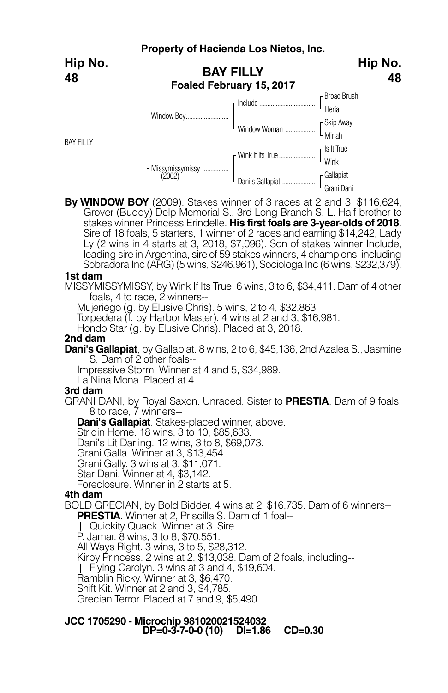**Hip No. 48**

**BAY FILLY** 



**By WINDOW BOY** (2009). Stakes winner of 3 races at 2 and 3, \$116,624, Grover (Buddy) Delp Memorial S., 3rd Long Branch S.-L. Half-brother to stakes winner Princess Erindelle. **His first foals are 3-year-olds of 2018**. Sire of 18 foals, 5 starters, 1 winner of 2 races and earning \$14,242, Lady Ly (2 wins in 4 starts at 3, 2018, \$7,096). Son of stakes winner Include, leading sire in Argentina, sire of 59 stakes winners, 4 champions, including Sobradora Inc (ARG) (5 wins, \$246,961), Sociologa Inc (6 wins, \$232,379).

### **1st dam**

MISSYMISSYMISSY, by Wink If Its True. 6 wins, 3 to 6, \$34,411. Dam of 4 other foals, 4 to race, 2 winners--

Mujeriego (g. by Elusive Chris). 5 wins, 2 to 4, \$32,863.

Torpedera (f. by Harbor Master). 4 wins at 2 and 3, \$16,981.

Hondo Star (g. by Elusive Chris). Placed at 3, 2018.

## **2nd dam**

**Dani's Gallapiat**, by Gallapiat. 8 wins, 2 to 6, \$45,136, 2nd Azalea S., Jasmine S. Dam of 2 other foals--

Impressive Storm. Winner at 4 and 5, \$34,989.

La Nina Mona. Placed at 4.

## **3rd dam**

GRANI DANI, by Royal Saxon. Unraced. Sister to **PRESTIA**. Dam of 9 foals, 8 to race, 7 winners--

**Dani's Gallapiat**. Stakes-placed winner, above.

Dani's Lit Darling. 12 wins, 3 to 8, \$69,073.

Grani Galla. Winner at 3, \$13,454.

Grani Gally. 3 wins at 3, \$11,071.

Star Dani. Winner at 4, \$3,142.

Foreclosure. Winner in 2 starts at 5.

## **4th dam**

BOLD GRECIAN, by Bold Bidder. 4 wins at 2, \$16,735. Dam of 6 winners--

**PRESTIA**. Winner at 2, Priscilla S. Dam of 1 foal--<br>|| Quickity Quack. Winner at 3. Sire.

P. Jamar. 8 wins, 3 to 8, \$70,551.

All Ways Right. 3 wins, 3 to 5, \$28,312.

Kirby Princess. 2 wins at 2, \$13,038. Dam of 2 foals, including--

Flying Carolyn. 3 wins at 3 and 4, \$19,604.

Ramblin Ricky. Winner at 3, \$6,470.

Shift Kit. Winner at 2 and 3, \$4,785.

Grecian Terror. Placed at 7 and 9, \$5,490.

## **JCC 1705290 - Microchip 981020021524032 DP=0-3-7-0-0 (10) DI=1.86 CD=0.30**